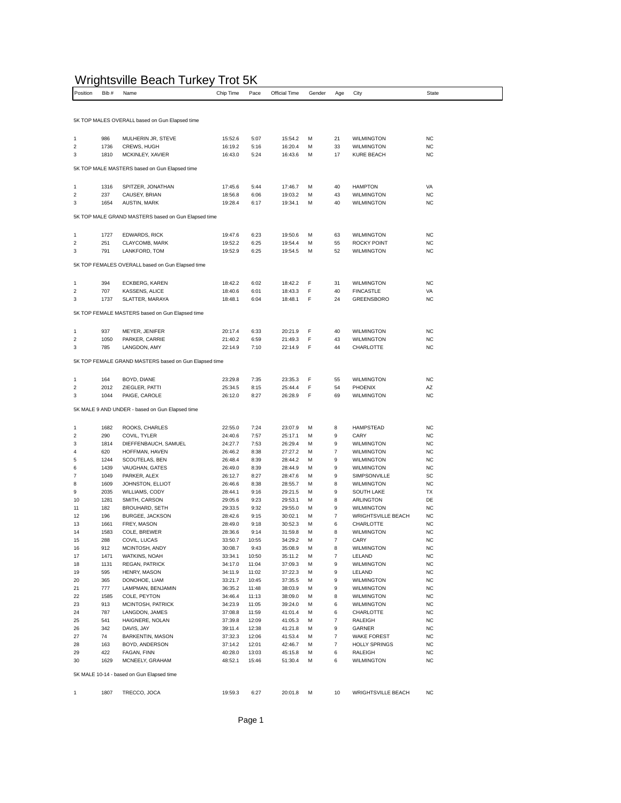## Wrightsville Beach Turkey Trot 5K

| .<br>Position           | Bib#         | Name                                                  | Chip Time          | ັບເ<br>Pace    | Official Time      | Gender | Age                                  | City                                           | State                  |
|-------------------------|--------------|-------------------------------------------------------|--------------------|----------------|--------------------|--------|--------------------------------------|------------------------------------------------|------------------------|
|                         |              |                                                       |                    |                |                    |        |                                      |                                                |                        |
|                         |              | 5K TOP MALES OVERALL based on Gun Elapsed time        |                    |                |                    |        |                                      |                                                |                        |
|                         |              |                                                       |                    |                |                    |        |                                      |                                                |                        |
| 1                       | 986          | MULHERIN JR, STEVE                                    | 15:52.6            | 5:07           | 15:54.2            | M      | 21                                   | <b>WILMINGTON</b>                              | <b>NC</b>              |
| 2                       | 1736         | CREWS, HUGH                                           | 16:19.2            | 5:16           | 16:20.4            | M      | 33                                   | <b>WILMINGTON</b>                              | <b>NC</b>              |
| 3                       | 1810         | MCKINLEY, XAVIER                                      | 16:43.0            | 5:24           | 16:43.6            | M      | 17                                   | KURE BEACH                                     | <b>NC</b>              |
|                         |              | 5K TOP MALE MASTERS based on Gun Elapsed time         |                    |                |                    |        |                                      |                                                |                        |
| 1                       | 1316         | SPITZER, JONATHAN                                     | 17:45.6            | 5:44           | 17:46.7            | M      | 40                                   | <b>HAMPTON</b>                                 | VA                     |
| 2                       | 237          | CAUSEY, BRIAN                                         | 18:56.8            | 6:06           | 19:03.2            | M      | 43                                   | <b>WILMINGTON</b>                              | <b>NC</b>              |
| 3                       | 1654         | AUSTIN, MARK                                          | 19:28.4            | 6:17           | 19:34.1            | M      | 40                                   | <b>WILMINGTON</b>                              | <b>NC</b>              |
|                         |              | 5K TOP MALE GRAND MASTERS based on Gun Elapsed time   |                    |                |                    |        |                                      |                                                |                        |
|                         |              |                                                       |                    |                |                    |        |                                      |                                                |                        |
| 1                       | 1727         | <b>EDWARDS, RICK</b>                                  | 19:47.6            | 6:23           | 19:50.6            | M      | 63                                   | <b>WILMINGTON</b>                              | <b>NC</b>              |
| 2<br>3                  | 251<br>791   | CLAYCOMB, MARK<br>LANKFORD, TOM                       | 19:52.2<br>19:52.9 | 6:25<br>6:25   | 19:54.4<br>19:54.5 | M<br>M | 55<br>52                             | ROCKY POINT<br><b>WILMINGTON</b>               | <b>NC</b><br><b>NC</b> |
|                         |              |                                                       |                    |                |                    |        |                                      |                                                |                        |
|                         |              | 5K TOP FEMALES OVERALL based on Gun Elapsed time      |                    |                |                    |        |                                      |                                                |                        |
| 1                       | 394          | ECKBERG, KAREN                                        | 18:42.2            | 6:02           | 18:42.2            | F      | 31                                   | <b>WILMINGTON</b>                              | <b>NC</b>              |
| 2                       | 707          | KASSENS, ALICE                                        | 18:40.6            | 6:01           | 18:43.3            | F      | 40                                   | <b>FINCASTLE</b>                               | VA                     |
| 3                       | 1737         | SLATTER, MARAYA                                       | 18:48.1            | 6:04           | 18:48.1            | F      | 24                                   | GREENSBORO                                     | <b>NC</b>              |
|                         |              | 5K TOP FEMALE MASTERS based on Gun Elapsed time       |                    |                |                    |        |                                      |                                                |                        |
| 1                       | 937          | MEYER, JENIFER                                        | 20:17.4            | 6:33           | 20:21.9            | F      | 40                                   | <b>WILMINGTON</b>                              | <b>NC</b>              |
| $\overline{\mathbf{c}}$ | 1050         | PARKER, CARRIE                                        | 21:40.2            | 6:59           | 21:49.3            | F      | 43                                   | <b>WILMINGTON</b>                              | <b>NC</b>              |
| 3                       | 785          | LANGDON, AMY                                          | 22:14.9            | 7:10           | 22:14.9            | F      | 44                                   | CHARLOTTE                                      | <b>NC</b>              |
|                         |              | 5K TOP FEMALE GRAND MASTERS based on Gun Elapsed time |                    |                |                    |        |                                      |                                                |                        |
|                         |              |                                                       |                    |                |                    |        |                                      |                                                |                        |
| 1                       | 164          | BOYD, DIANE                                           | 23:29.8            | 7:35           | 23:35.3            | F      | 55                                   | <b>WILMINGTON</b>                              | <b>NC</b>              |
| $\boldsymbol{2}$<br>3   | 2012<br>1044 | ZIEGLER, PATTI<br>PAIGE, CAROLE                       | 25:34.5<br>26:12.0 | 8:15<br>8:27   | 25:44.4<br>26:28.9 | F<br>F | 54<br>69                             | PHOENIX<br><b>WILMINGTON</b>                   | ΑZ<br><b>NC</b>        |
|                         |              |                                                       |                    |                |                    |        |                                      |                                                |                        |
|                         |              | 5K MALE 9 AND UNDER - based on Gun Elapsed time       |                    |                |                    |        |                                      |                                                |                        |
| 1                       | 1682         | ROOKS, CHARLES                                        | 22:55.0            | 7:24           | 23:07.9            | M      | 8                                    | <b>HAMPSTEAD</b>                               | <b>NC</b>              |
| 2                       | 290          | COVIL, TYLER                                          | 24:40.6            | 7:57           | 25:17.1            | M      | 9                                    | CARY                                           | <b>NC</b>              |
| 3                       | 1814         | DIEFFENBAUCH, SAMUEL                                  | 24:27.7            | 7:53           | 26:29.4            | M      | 9                                    | <b>WILMINGTON</b>                              | <b>NC</b>              |
| $\overline{4}$<br>5     | 620<br>1244  | HOFFMAN, HAVEN<br>SCOUTELAS, BEN                      | 26:46.2<br>26:48.4 | 8:38<br>8:39   | 27:27.2<br>28:44.2 | M<br>M | $\overline{7}$<br>9                  | <b>WILMINGTON</b><br><b>WILMINGTON</b>         | <b>NC</b><br><b>NC</b> |
| 6                       | 1439         | VAUGHAN, GATES                                        | 26:49.0            | 8:39           | 28:44.9            | M      | 9                                    | <b>WILMINGTON</b>                              | <b>NC</b>              |
| $\overline{7}$          | 1049         | PARKER, ALEX                                          | 26:12.7            | 8:27           | 28:47.6            | M      | 9                                    | SIMPSONVILLE                                   | SC                     |
| 8                       | 1609         | JOHNSTON, ELLIOT                                      | 26:46.6            | 8:38           | 28:55.7            | M      | 8                                    | <b>WILMINGTON</b>                              | <b>NC</b>              |
| 9                       | 2035         | WILLIAMS, CODY                                        | 28:44.1            | 9:16           | 29:21.5            | M      | 9                                    | SOUTH LAKE                                     | TX                     |
| 10                      | 1281         | SMITH, CARSON                                         | 29:05.6            | 9:23           | 29:53.1            | M      | 8                                    | ARLINGTON                                      | DE                     |
| 11<br>12                | 182<br>196   | BROUHARD, SETH<br><b>BURGEE, JACKSON</b>              | 29:33.5            | 9:32<br>9:15   | 29:55.0            | M<br>M | 9<br>$\overline{7}$                  | <b>WILMINGTON</b><br><b>WRIGHTSVILLE BEACH</b> | <b>NC</b><br><b>NC</b> |
| 13                      | 1661         | FREY, MASON                                           | 28:42.6<br>28:49.0 | 9:18           | 30:02.1<br>30:52.3 | M      | 6                                    | CHARLOTTE                                      | <b>NC</b>              |
| 14                      | 1583         | COLE, BREWER                                          | 28:36.6            | 9:14           | 31:59.8            | M      | 8                                    | <b>WILMINGTON</b>                              | <b>NC</b>              |
| 15                      | 288          | COVIL, LUCAS                                          | 33:50.7            | 10:55          | 34:29.2            | м      | $\overline{7}$                       | CARY                                           | NC                     |
| 16                      | 912          | MCINTOSH, ANDY                                        | 30:08.7            | 9:43           | 35:08.9            | M      | 8                                    | <b>WILMINGTON</b>                              | <b>NC</b>              |
| 17                      | 1471         | WATKINS, NOAH                                         | 33:34.1            | 10:50          | 35:11.2            | М      | $\overline{\mathfrak{c}}$            | LELAND                                         | <b>NC</b>              |
| 18                      | 1131         | REGAN, PATRICK                                        | 34:17.0            | 11:04          | 37:09.3            | М      | 9                                    | <b>WILMINGTON</b>                              | <b>NC</b>              |
| 19                      | 595          | HENRY, MASON<br>DONOHOE, LIAM                         | 34:11.9            | 11:02          | 37:22.3            | M      | 9                                    | LELAND                                         | <b>NC</b>              |
| 20<br>21                | 365<br>777   | LAMPMAN, BENJAMIN                                     | 33:21.7<br>36:35.2 | 10:45<br>11:48 | 37:35.5<br>38:03.9 | M<br>М | 9<br>9                               | <b>WILMINGTON</b><br><b>WILMINGTON</b>         | <b>NC</b><br><b>NC</b> |
| 22                      | 1585         | COLE, PEYTON                                          | 34:46.4            | 11:13          | 38:09.0            | М      | 8                                    | <b>WILMINGTON</b>                              | <b>NC</b>              |
| 23                      | 913          | MCINTOSH, PATRICK                                     | 34:23.9            | 11:05          | 39:24.0            | М      | 6                                    | <b>WILMINGTON</b>                              | <b>NC</b>              |
| 24                      | 787          | LANGDON, JAMES                                        | 37:08.8            | 11:59          | 41:01.4            | М      | 6                                    | CHARLOTTE                                      | <b>NC</b>              |
| 25                      | 541          | HAIGNERE, NOLAN                                       | 37:39.8            | 12:09          | 41:05.3            | М      | $\boldsymbol{7}$                     | RALEIGH                                        | <b>NC</b>              |
| 26                      | 342          | DAVIS, JAY                                            | 39:11.4            | 12:38          | 41:21.8            | М      | 9                                    | GARNER                                         | <b>NC</b>              |
| 27<br>28                | 74<br>163    | BARKENTIN, MASON<br>BOYD, ANDERSON                    | 37:32.3<br>37:14.2 | 12:06<br>12:01 | 41:53.4            | M<br>М | $\boldsymbol{7}$<br>$\boldsymbol{7}$ | <b>WAKE FOREST</b><br><b>HOLLY SPRINGS</b>     | <b>NC</b><br><b>NC</b> |
| 29                      | 422          | FAGAN, FINN                                           | 40:28.0            | 13:03          | 42:46.7<br>45:15.8 | М      | 6                                    | RALEIGH                                        | <b>NC</b>              |
| 30                      | 1629         | MCNEELY, GRAHAM                                       | 48:52.1            | 15:46          | 51:30.4            | М      | 6                                    | <b>WILMINGTON</b>                              | <b>NC</b>              |
|                         |              | 5K MALE 10-14 - based on Gun Elapsed time             |                    |                |                    |        |                                      |                                                |                        |
|                         |              |                                                       |                    |                |                    |        |                                      |                                                |                        |
| 1                       | 1807         | TRECCO, JOCA                                          | 19:59.3            | 6:27           | 20:01.8            | M      | 10                                   | WRIGHTSVILLE BEACH                             | <b>NC</b>              |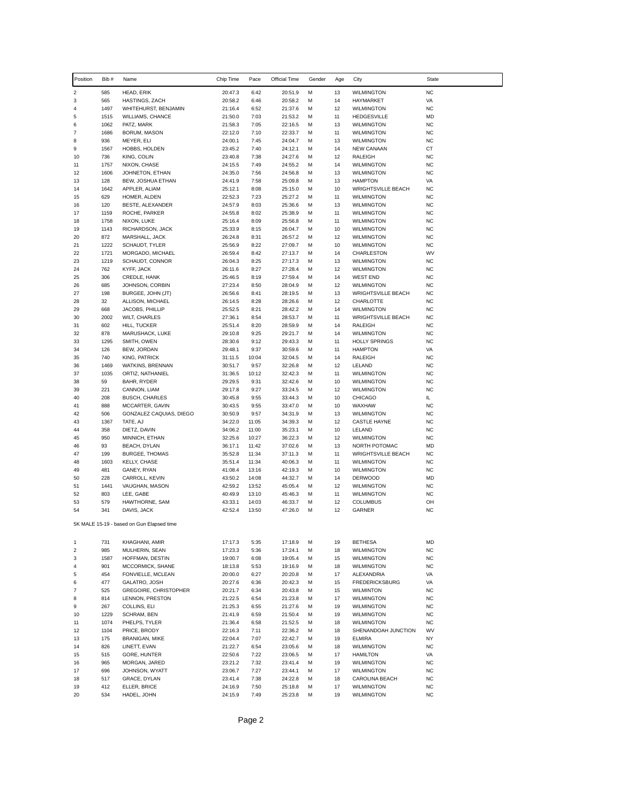| Position                  | Bib #        | Name                                         | Chip Time          | Pace           | Official Time      | Gender | Age      | City                                           | State                  |
|---------------------------|--------------|----------------------------------------------|--------------------|----------------|--------------------|--------|----------|------------------------------------------------|------------------------|
| $\overline{c}$            | 585          | HEAD, ERIK                                   | 20:47.3            | 6:42           | 20:51.9            | М      | 13       | <b>WILMINGTON</b>                              | <b>NC</b>              |
| 3                         | 565          | HASTINGS, ZACH                               | 20:58.2            | 6:46           | 20:58.2            | М      | 14       | HAYMARKET                                      | VA                     |
| 4                         | 1497         | WHITEHURST, BENJAMIN                         | 21:16.4            | 6:52           | 21:37.6            | М      | 12       | <b>WILMINGTON</b>                              | <b>NC</b>              |
| 5                         | 1515         | <b>WILLIAMS, CHANCE</b>                      | 21:50.0            | 7:03           | 21:53.2            | М      | 11       | <b>HEDGESVILLE</b>                             | <b>MD</b>              |
| 6                         | 1062         | PATZ, MARK                                   | 21:58.3            | 7:05           | 22:16.5            | М      | 13       | <b>WILMINGTON</b>                              | <b>NC</b>              |
| $\boldsymbol{7}$<br>8     | 1686<br>936  | BORUM, MASON                                 | 22:12.0            | 7:10           | 22:33.7            | М      | 11       | <b>WILMINGTON</b><br><b>WILMINGTON</b>         | <b>NC</b><br><b>NC</b> |
| 9                         | 1567         | MEYER, ELI<br>HOBBS, HOLDEN                  | 24:00.1<br>23:45.2 | 7:45<br>7:40   | 24:04.7<br>24:12.1 | М<br>М | 13<br>14 | <b>NEW CANAAN</b>                              | CT                     |
| 10                        | 736          | KING, COLIN                                  | 23:40.8            | 7:38           | 24:27.6            | М      | 12       | RALEIGH                                        | <b>NC</b>              |
| 11                        | 1757         | NIXON, CHASE                                 | 24:15.5            | 7:49           | 24:55.2            | М      | 14       | <b>WILMINGTON</b>                              | <b>NC</b>              |
| 12                        | 1606         | JOHNETON, ETHAN                              | 24:35.0            | 7:56           | 24:56.8            | М      | 13       | <b>WILMINGTON</b>                              | <b>NC</b>              |
| 13                        | 128          | BEW, JOSHUA ETHAN                            | 24:41.9            | 7:58           | 25:09.8            | М      | 13       | <b>HAMPTON</b>                                 | VA                     |
| 14                        | 1642         | APPLER, ALIAM                                | 25:12.1            | 8:08           | 25:15.0            | М      | 10       | <b>WRIGHTSVILLE BEACH</b>                      | <b>NC</b>              |
| 15                        | 629          | HOMER, ALDEN                                 | 22:52.3            | 7:23           | 25:27.2            | М      | 11       | <b>WILMINGTON</b>                              | <b>NC</b>              |
| 16<br>17                  | 120          | BESTE, ALEXANDER                             | 24:57.9            | 8:03           | 25:36.6            | М      | 13<br>11 | <b>WILMINGTON</b>                              | <b>NC</b><br><b>NC</b> |
| 18                        | 1159<br>1758 | ROCHE, PARKER<br>NIXON, LUKE                 | 24:55.8<br>25:16.4 | 8:02<br>8:09   | 25:38.9<br>25:56.8 | М<br>М | 11       | <b>WILMINGTON</b><br><b>WILMINGTON</b>         | <b>NC</b>              |
| 19                        | 1143         | RICHARDSON, JACK                             | 25:33.9            | 8:15           | 26:04.7            | М      | 10       | <b>WILMINGTON</b>                              | <b>NC</b>              |
| 20                        | 872          | MARSHALL, JACK                               | 26:24.8            | 8:31           | 26:57.2            | М      | 12       | <b>WILMINGTON</b>                              | <b>NC</b>              |
| 21                        | 1222         | SCHAUDT, TYLER                               | 25:56.9            | 8:22           | 27:09.7            | М      | 10       | <b>WILMINGTON</b>                              | <b>NC</b>              |
| 22                        | 1721         | MORGADO, MICHAEL                             | 26:59.4            | 8:42           | 27:13.7            | М      | 14       | CHARLESTON                                     | WV                     |
| 23                        | 1219         | SCHAUDT, CONNOR                              | 26:04.3            | 8:25           | 27:17.3            | М      | 13       | <b>WILMINGTON</b>                              | <b>NC</b>              |
| 24                        | 762          | KYFF, JACK                                   | 26:11.6            | 8:27           | 27:28.4            | М      | 12       | <b>WILMINGTON</b>                              | <b>NC</b>              |
| 25                        | 306          | CREDLE, HANK                                 | 25:46.5            | 8:19           | 27:59.4            | М      | 14       | <b>WEST END</b>                                | <b>NC</b>              |
| 26                        | 685          | JOHNSON, CORBIN                              | 27:23.4            | 8:50           | 28:04.9            | М      | 12       | <b>WILMINGTON</b><br><b>WRIGHTSVILLE BEACH</b> | <b>NC</b>              |
| 27<br>28                  | 198<br>32    | BURGEE, JOHN (JT)<br>ALLISON, MICHAEL        | 26:56.6<br>26:14.5 | 8:41<br>8:28   | 28:19.5<br>28:26.6 | М<br>М | 13<br>12 | CHARLOTTE                                      | <b>NC</b><br><b>NC</b> |
| 29                        | 668          | JACOBS, PHILLIP                              | 25:52.5            | 8:21           | 28:42.2            | М      | 14       | <b>WILMINGTON</b>                              | <b>NC</b>              |
| 30                        | 2002         | <b>WILT, CHARLES</b>                         | 27:36.1            | 8:54           | 28:53.7            | М      | 11       | <b>WRIGHTSVILLE BEACH</b>                      | <b>NC</b>              |
| 31                        | 602          | HILL, TUCKER                                 | 25:51.4            | 8:20           | 28:59.9            | М      | 14       | RALEIGH                                        | <b>NC</b>              |
| 32                        | 878          | MARUSHACK, LUKE                              | 29:10.8            | 9:25           | 29:21.7            | М      | 14       | <b>WILMINGTON</b>                              | <b>NC</b>              |
| 33                        | 1295         | SMITH, OWEN                                  | 28:30.6            | 9:12           | 29:43.3            | М      | 11       | <b>HOLLY SPRINGS</b>                           | <b>NC</b>              |
| 34                        | 126          | BEW, JORDAN                                  | 29:48.1            | 9:37           | 30:59.6            | М      | 11       | <b>HAMPTON</b>                                 | VA                     |
| 35                        | 740          | KING, PATRICK                                | 31:11.5            | 10:04          | 32:04.5            | М      | 14       | RALEIGH                                        | <b>NC</b>              |
| 36                        | 1469         | WATKINS, BRENNAN                             | 30:51.7            | 9:57           | 32:26.8            | М      | 12       | LELAND                                         | <b>NC</b>              |
| 37                        | 1035<br>59   | ORTIZ, NATHANIEL                             | 31:36.5            | 10:12          | 32:42.3            | М      | 11<br>10 | <b>WILMINGTON</b>                              | <b>NC</b><br><b>NC</b> |
| 38<br>39                  | 221          | BAHR, RYDER<br>CANNON, LIAM                  | 29:29.5<br>29:17.8 | 9:31<br>9:27   | 32:42.6<br>33:24.5 | М<br>М | 12       | <b>WILMINGTON</b><br><b>WILMINGTON</b>         | <b>NC</b>              |
| 40                        | 208          | <b>BUSCH, CHARLES</b>                        | 30:45.8            | 9:55           | 33:44.3            | М      | 10       | CHICAGO                                        | IL                     |
| 41                        | 888          | MCCARTER, GAVIN                              | 30:43.5            | 9:55           | 33:47.0            | М      | 10       | WAXHAW                                         | <b>NC</b>              |
| 42                        | 506          | GONZALEZ CAQUIAS, DIEGO                      | 30:50.9            | 9:57           | 34:31.9            | М      | 13       | <b>WILMINGTON</b>                              | <b>NC</b>              |
| 43                        | 1367         | TATE, AJ                                     | 34:22.0            | 11:05          | 34:39.3            | М      | 12       | <b>CASTLE HAYNE</b>                            | <b>NC</b>              |
| 44                        | 358          | DIETZ, DAVIN                                 | 34:06.2            | 11:00          | 35:23.1            | М      | 10       | LELAND                                         | <b>NC</b>              |
| 45                        | 950          | MINNICH, ETHAN                               | 32:25.6            | 10:27          | 36:22.3            | М      | 12       | <b>WILMINGTON</b>                              | <b>NC</b>              |
| 46                        | 93           | BEACH, DYLAN                                 | 36:17.1            | 11:42          | 37:02.6            | М      | 13       | NORTH POTOMAC                                  | <b>MD</b>              |
| 47<br>48                  | 199<br>1603  | <b>BURGEE, THOMAS</b><br><b>KELLY, CHASE</b> | 35:52.8<br>35:51.4 | 11:34<br>11:34 | 37:11.3<br>40:06.3 | М<br>М | 11<br>11 | <b>WRIGHTSVILLE BEACH</b><br><b>WILMINGTON</b> | <b>NC</b><br><b>NC</b> |
| 49                        | 481          | GANEY, RYAN                                  | 41:08.4            | 13:16          | 42:19.3            | М      | 10       | <b>WILMINGTON</b>                              | <b>NC</b>              |
| 50                        | 228          | CARROLL, KEVIN                               | 43:50.2            | 14:08          | 44:32.7            | М      | 14       | <b>DERWOOD</b>                                 | <b>MD</b>              |
| 51                        | 1441         | VAUGHAN, MASON                               | 42:59.2            | 13:52          | 45:05.4            | М      | 12       | <b>WILMINGTON</b>                              | <b>NC</b>              |
| 52                        | 803          | LEE, GABE                                    | 40:49.9            | 13:10          | 45:46.3            | М      | 11       | <b>WILMINGTON</b>                              | <b>NC</b>              |
| 53                        | 579          | HAWTHORNE, SAM                               | 43:33.1            | 14:03          | 46:33.7            | М      | 12       | <b>COLUMBUS</b>                                | OH                     |
| 54                        | 341          | DAVIS, JACK                                  | 42:52.4            | 13:50          | 47:26.0            | М      | 12       | <b>GARNER</b>                                  | <b>NC</b>              |
|                           |              | 5K MALE 15-19 - based on Gun Elapsed time    |                    |                |                    |        |          |                                                |                        |
| 1                         | 731          | KHAGHANI, AMIR                               | 17:17.3            | 5:35           | 17:18.9            | М      | 19       | <b>BETHESA</b>                                 | MD                     |
| $\overline{2}$            | 985          | MULHERIN, SEAN                               | 17:23.3            | 5:36           | 17:24.1            | М      | 18       | <b>WILMINGTON</b>                              | <b>NC</b>              |
| 3                         | 1587         | HOFFMAN, DESTIN                              | 19:00.7            | 6:08           | 19:05.4            | М      | 15       | <b>WILMINGTON</b>                              | <b>NC</b>              |
| 4                         | 901          | MCCORMICK, SHANE                             | 18:13.8            | 5:53           | 19:16.9            | М      | 18       | <b>WILMINGTON</b>                              | <b>NC</b>              |
| 5                         | 454          | FONVIELLE, MCLEAN                            | 20:00.0            | 6:27           | 20:20.8            | М      | 17       | ALEXANDRIA                                     | VA                     |
| 6                         | 477          | GALATRO, JOSH                                | 20:27.6            | 6:36           | 20:42.3            | М      | 15       | <b>FREDERICKSBURG</b>                          | VA                     |
| $\overline{\mathfrak{c}}$ | 525          | GREGOIRE, CHRISTOPHER                        | 20:21.7            | 6:34           | 20:43.8            | М      | 15       | <b>WILMINTON</b>                               | <b>NC</b>              |
| 8                         | 814          | LENNON, PRESTON                              | 21:22.5            | 6:54           | 21:23.8            | М      | 17       | <b>WILMINGTON</b>                              | <b>NC</b>              |
| 9                         | 267          | COLLINS, ELI                                 | 21:25.3            | 6:55           | 21:27.6            | М      | 19       | <b>WILMINGTON</b>                              | <b>NC</b>              |
| 10                        | 1229<br>1074 | SCHRAM, BEN                                  | 21:41.9<br>21:36.4 | 6:59<br>6:58   | 21:50.4<br>21:52.5 | М<br>М | 19<br>18 | <b>WILMINGTON</b><br><b>WILMINGTON</b>         | <b>NC</b><br><b>NC</b> |
| 11<br>12                  | 1104         | PHELPS, TYLER<br>PRICE, BRODY                | 22:16.3            | 7:11           | 22:36.2            | М      | 18       | SHENANDOAH JUNCTION                            | WV                     |
| 13                        | 175          | BRANIGAN, MIKE                               | 22:04.4            | 7:07           | 22:42.7            | М      | 19       | <b>ELMIRA</b>                                  | <b>NY</b>              |
| 14                        | 826          | LINETT, EVAN                                 | 21:22.7            | 6:54           | 23:05.6            | М      | 18       | <b>WILMINGTON</b>                              | <b>NC</b>              |
| 15                        | 515          | GORE, HUNTER                                 | 22:50.6            | 7:22           | 23:06.5            | М      | 17       | <b>HAMILTON</b>                                | VA                     |
| 16                        | 965          | MORGAN, JARED                                | 23:21.2            | 7:32           | 23:41.4            | М      | 19       | <b>WILMINGTON</b>                              | <b>NC</b>              |
| 17                        | 696          | JOHNSON, WYATT                               | 23:06.7            | 7:27           | 23:44.1            | М      | 17       | <b>WILMINGTON</b>                              | <b>NC</b>              |
| 18                        | 517          | GRACE, DYLAN                                 | 23:41.4            | 7:38           | 24:22.8            | М      | 18       | CAROLINA BEACH                                 | <b>NC</b>              |
| 19                        | 412          | ELLER, BRICE                                 | 24:16.9            | 7:50           | 25:18.8            | М      | 17       | <b>WILMINGTON</b>                              | <b>NC</b>              |
| 20                        | 534          | HADEL, JOHN                                  | 24:15.9            | 7:49           | 25:23.8            | м      | 19       | <b>WILMINGTON</b>                              | <b>NC</b>              |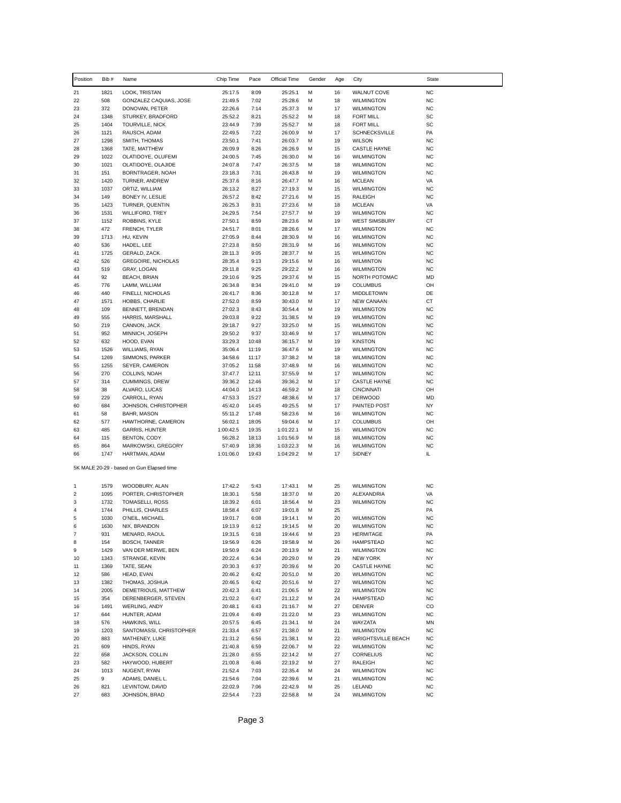| Position                  | Bib#         | Name                                      | Chip Time          | Pace           | Official Time      | Gender | Age      | City                                     | <b>State</b>           |
|---------------------------|--------------|-------------------------------------------|--------------------|----------------|--------------------|--------|----------|------------------------------------------|------------------------|
| 21                        | 1821         | LOOK, TRISTAN                             | 25:17.5            | 8:09           | 25:25.1            | М      | 16       | <b>WALNUT COVE</b>                       | <b>NC</b>              |
| 22                        | 508          | GONZALEZ CAQUIAS, JOSE                    | 21:49.5            | 7:02           | 25:28.6            | M      | 18       | <b>WILMINGTON</b>                        | <b>NC</b>              |
| 23                        | 372          | DONOVAN, PETER                            | 22:26.6            | 7:14           | 25:37.3            | М      | 17       | <b>WILMINGTON</b>                        | <b>NC</b>              |
| 24                        | 1348         | STURKEY, BRADFORD                         | 25:52.2            | 8:21           | 25:52.2            | М      | 18       | <b>FORT MILL</b>                         | SC                     |
| 25                        | 1404         | TOURVILLE, NICK                           | 23:44.9            | 7:39           | 25:52.7            | М      | 18       | <b>FORT MILL</b>                         | SC                     |
| 26                        | 1121         | RAUSCH, ADAM                              | 22:49.5            | 7:22           | 26:00.9            | м      | 17       | SCHNECKSVILLE                            | PA                     |
| 27<br>28                  | 1298         | SMITH, THOMAS                             | 23:50.1            | 7:41           | 26:03.7            | М<br>М | 19       | <b>WILSON</b>                            | <b>NC</b><br><b>NC</b> |
| 29                        | 1368<br>1022 | TATE, MATTHEW<br>OLATIDOYE, OLUFEMI       | 26:09.9<br>24:00.5 | 8:26<br>7:45   | 26:26.9<br>26:30.0 | м      | 15<br>16 | <b>CASTLE HAYNE</b><br><b>WILMINGTON</b> | <b>NC</b>              |
| 30                        | 1021         | OLATIDOYE, OLAJIDE                        | 24:07.8            | 7:47           | 26:37.5            | M      | 18       | <b>WILMINGTON</b>                        | <b>NC</b>              |
| 31                        | 151          | BORNTRAGER, NOAH                          | 23:18.3            | 7:31           | 26:43.8            | М      | 19       | <b>WILMINGTON</b>                        | <b>NC</b>              |
| 32                        | 1420         | TURNER, ANDREW                            | 25:37.6            | 8:16           | 26:47.7            | м      | 16       | <b>MCLEAN</b>                            | VA                     |
| 33                        | 1037         | ORTIZ, WILLIAM                            | 26:13.2            | 8:27           | 27:19.3            | M      | 15       | <b>WILMINGTON</b>                        | <b>NC</b>              |
| 34                        | 149          | BONEY IV, LESLIE                          | 26:57.2            | 8:42           | 27:21.6            | М      | 15       | RALEIGH                                  | <b>NC</b>              |
| 35                        | 1423         | TURNER, QUENTIN                           | 26:25.3            | 8:31           | 27:23.6            | М      | 18       | <b>MCLEAN</b>                            | VA                     |
| 36                        | 1531         | <b>WILLIFORD, TREY</b>                    | 24:29.5            | 7:54           | 27:57.7            | м      | 19       | <b>WILMINGTON</b>                        | <b>NC</b>              |
| 37                        | 1152         | ROBBINS, KYLE                             | 27:50.1            | 8:59           | 28:23.6            | м      | 19       | <b>WEST SIMSBURY</b>                     | CT                     |
| 38                        | 472          | FRENCH, TYLER                             | 24:51.7            | 8:01           | 28:26.6            | М      | 17       | <b>WILMINGTON</b>                        | <b>NC</b>              |
| 39                        | 1713         | HU, KEVIN                                 | 27:05.9            | 8:44           | 28:30.9            | M      | 16       | <b>WILMINGTON</b>                        | <b>NC</b>              |
| 40                        | 536          | HADEL, LEE                                | 27:23.8            | 8:50           | 28:31.9            | м      | 16       | <b>WILMINGTON</b>                        | <b>NC</b>              |
| 41                        | 1725         | GERALD, ZACK                              | 28:11.3            | 9:05           | 28:37.7            | М      | 15       | <b>WILMINGTON</b>                        | <b>NC</b>              |
| 42<br>43                  | 526<br>519   | <b>GREGOIRE, NICHOLAS</b><br>GRAY, LOGAN  | 28:35.4<br>29:11.8 | 9:13<br>9:25   | 29:15.6<br>29:22.2 | М<br>м | 16<br>16 | <b>WILMINTON</b><br><b>WILMINGTON</b>    | <b>NC</b><br><b>NC</b> |
| 44                        | 92           | BEACH, BRIAN                              | 29:10.6            | 9:25           | 29:37.6            | М      | 15       | NORTH POTOMAC                            | MD                     |
| 45                        | 776          | LAMM, WILLIAM                             | 26:34.8            | 8:34           | 29:41.0            | М      | 19       | <b>COLUMBUS</b>                          | OH                     |
| 46                        | 440          | FINELLI, NICHOLAS                         | 26:41.7            | 8:36           | 30:12.8            | М      | 17       | <b>MIDDLETOWN</b>                        | DE                     |
| 47                        | 1571         | HOBBS, CHARLIE                            | 27:52.0            | 8:59           | 30:43.0            | М      | 17       | <b>NEW CANAAN</b>                        | СT                     |
| 48                        | 109          | BENNETT, BRENDAN                          | 27:02.3            | 8:43           | 30:54.4            | М      | 19       | <b>WILMINGTON</b>                        | <b>NC</b>              |
| 49                        | 555          | HARRIS, MARSHALL                          | 29:03.8            | 9:22           | 31:38.5            | М      | 19       | <b>WILMINGTON</b>                        | <b>NC</b>              |
| 50                        | 219          | CANNON, JACK                              | 29:18.7            | 9:27           | 33:25.0            | м      | 15       | <b>WILMINGTON</b>                        | <b>NC</b>              |
| 51                        | 952          | MINNICH, JOSEPH                           | 29:50.2            | 9:37           | 33:46.9            | м      | 17       | <b>WILMINGTON</b>                        | <b>NC</b>              |
| 52                        | 632          | HOOD, EVAN                                | 33:29.3            | 10:48          | 36:15.7            | М      | 19       | <b>KINSTON</b>                           | <b>NC</b>              |
| 53                        | 1526         | WILLIAMS, RYAN                            | 35:06.4            | 11:19          | 36:47.6            | М      | 19       | <b>WILMINGTON</b>                        | <b>NC</b>              |
| 54                        | 1269         | SIMMONS, PARKER                           | 34:58.6            | 11:17          | 37:38.2            | М      | 18       | <b>WILMINGTON</b>                        | <b>NC</b>              |
| 55                        | 1255         | SEYER, CAMERON                            | 37:05.2            | 11:58          | 37:48.9            | М      | 16       | <b>WILMINGTON</b>                        | <b>NC</b>              |
| 56<br>57                  | 270<br>314   | COLLINS, NOAH                             | 37:47.7<br>39:36.2 | 12:11<br>12:46 | 37:55.9            | М<br>м | 17<br>17 | <b>WILMINGTON</b>                        | <b>NC</b><br><b>NC</b> |
| 58                        | 38           | <b>CUMMINGS, DREW</b><br>ALVARO, LUCAS    | 44:04.0            | 14:13          | 39:36.2<br>46:59.2 | M      | 18       | <b>CASTLE HAYNE</b><br><b>CINCINNATI</b> | OH                     |
| 59                        | 229          | CARROLL, RYAN                             | 47:53.3            | 15:27          | 48:38.6            | М      | 17       | <b>DERWOOD</b>                           | MD                     |
| 60                        | 684          | JOHNSON, CHRISTOPHER                      | 45:42.0            | 14:45          | 49:25.5            | М      | 17       | PAINTED POST                             | <b>NY</b>              |
| 61                        | 58           | BAHR, MASON                               | 55:11.2            | 17:48          | 58:23.6            | м      | 16       | <b>WILMINGTON</b>                        | <b>NC</b>              |
| 62                        | 577          | HAWTHORNE, CAMERON                        | 56:02.1            | 18:05          | 59:04.6            | м      | 17       | <b>COLUMBUS</b>                          | OH                     |
| 63                        | 485          | <b>GARRIS, HUNTER</b>                     | 1:00:42.5          | 19:35          | 1:01:22.1          | М      | 15       | <b>WILMINGTON</b>                        | <b>NC</b>              |
| 64                        | 115          | BENTON, CODY                              | 56:28.2            | 18:13          | 1:01:56.9          | м      | 18       | <b>WILMINGTON</b>                        | <b>NC</b>              |
| 65                        | 864          | MARKOWSKI, GREGORY                        | 57:40.9            | 18:36          | 1:03:22.3          | М      | 16       | <b>WILMINGTON</b>                        | <b>NC</b>              |
| 66                        | 1747         | HARTMAN, ADAM                             | 1:01:06.0          | 19:43          | 1:04:29.2          | М      | 17       | <b>SIDNEY</b>                            | IL.                    |
|                           |              | 5K MALE 20-29 - based on Gun Elapsed time |                    |                |                    |        |          |                                          |                        |
| 1                         | 1579         | WOODBURY, ALAN                            | 17:42.2            | 5:43           | 17:43.1            | М      | 25       | <b>WILMINGTON</b>                        | <b>NC</b>              |
| 2                         | 1095         | PORTER, CHRISTOPHER                       | 18:30.1            | 5:58           | 18:37.0            | м      | 20       | ALEXANDRIA                               | VA                     |
| 3                         | 1732         | TOMASELLI, ROSS                           | 18:39.2            | 6:01           | 18:56.4            | М      | 23       | <b>WILMINGTON</b>                        | <b>NC</b>              |
| 4                         | 1744         | PHILLIS, CHARLES                          | 18:58.4            | 6:07           | 19:01.8            | М      | 25       |                                          | PA                     |
| 5                         | 1030         | O'NEIL, MICHAEL                           | 19:01.7            | 6:08           | 19:14.1            | М      | 20       | <b>WILMINGTON</b>                        | <b>NC</b>              |
| 6                         | 1630         | NIX, BRANDON                              | 19:13.9            | 6:12           | 19:14.5            | М      | 20       | <b>WILMINGTON</b>                        | NC                     |
| $\overline{\mathfrak{c}}$ | 931          | MENARD, RAOUL                             | 19:31.5            | 6:18           | 19:44.6            | м      | 23       | <b>HERMITAGE</b>                         | PA                     |
| 8                         | 154          | <b>BOSCH, TANNER</b>                      | 19:56.9            | 6:26           | 19:58.9            | M      | 26       | <b>HAMPSTEAD</b>                         | <b>NC</b>              |
| 9                         | 1429         | VAN DER MERWE, BEN                        | 19:50.9            | 6:24           | 20:13.9            | М      | 21       | <b>WILMINGTON</b>                        | <b>NC</b>              |
| 10<br>11                  | 1343<br>1369 | STRANGE, KEVIN<br>TATE, SEAN              | 20:22.4<br>20:30.3 | 6:34<br>6:37   | 20:29.0<br>20:39.6 | M<br>M | 29<br>20 | <b>NEW YORK</b><br>CASTLE HAYNE          | NY<br><b>NC</b>        |
| 12                        | 586          | HEAD, EVAN                                | 20:46.2            | 6:42           | 20:51.0            | М      | 20       | <b>WILMINGTON</b>                        | <b>NC</b>              |
| 13                        | 1382         | THOMAS, JOSHUA                            | 20:46.5            | 6:42           | 20:51.6            | м      | 27       | <b>WILMINGTON</b>                        | <b>NC</b>              |
| 14                        | 2005         | DEMETRIOUS, MATTHEW                       | 20:42.3            | 6:41           | 21:06.5            | M      | 22       | <b>WILMINGTON</b>                        | <b>NC</b>              |
| 15                        | 354          | DERENBERGER, STEVEN                       | 21:02.2            | 6:47           | 21:12.2            | М      | 24       | HAMPSTEAD                                | <b>NC</b>              |
| 16                        | 1491         | <b>WERLING, ANDY</b>                      | 20:48.1            | 6:43           | 21:16.7            | М      | 27       | DENVER                                   | CO                     |
| 17                        | 644          | HUNTER, ADAM                              | 21:09.4            | 6:49           | 21:22.0            | M      | 23       | <b>WILMINGTON</b>                        | <b>NC</b>              |
| 18                        | 576          | HAWKINS, WILL                             | 20:57.5            | 6:45           | 21:34.1            | М      | 24       | WAYZATA                                  | MN                     |
| 19                        | 1203         | SANTOMASSI, CHRISTOPHER                   | 21:33.4            | 6:57           | 21:38.0            | М      | 21       | <b>WILMINGTON</b>                        | <b>NC</b>              |
| 20                        | 883          | MATHENEY, LUKE                            | 21:31.2            | 6:56           | 21:38.1            | M      | 22       | <b>WRIGHTSVILLE BEACH</b>                | <b>NC</b>              |
| 21                        | 609          | HINDS, RYAN                               | 21:40.8            | 6:59           | 22:06.7            | М      | 22       | <b>WILMINGTON</b>                        | <b>NC</b>              |
| 22                        | 658          | JACKSON, COLLIN                           | 21:28.0            | 6:55           | 22:14.2            | М      | 27       | <b>CORNELIUS</b>                         | <b>NC</b>              |
| 23                        | 582          | HAYWOOD, HUBERT                           | 21:00.8            | 6:46           | 22:19.2            | М      | 27       | RALEIGH                                  | <b>NC</b>              |
| 24                        | 1013<br>9    | NUGENT, RYAN                              | 21:52.4            | 7:03           | 22:35.4            | м      | 24       | <b>WILMINGTON</b>                        | <b>NC</b><br><b>NC</b> |
| 25<br>26                  | 821          | ADAMS, DANIEL L.<br>LEVINTOW, DAVID       | 21:54.6<br>22:02.9 | 7:04<br>7:06   | 22:39.6<br>22:42.9 | М<br>M | 21<br>25 | <b>WILMINGTON</b><br>LELAND              | <b>NC</b>              |
| 27                        | 683          | JOHNSON, BRAD                             | 22:54.4            | 7:23           | 22:58.8            | М      | 24       | <b>WILMINGTON</b>                        | NC                     |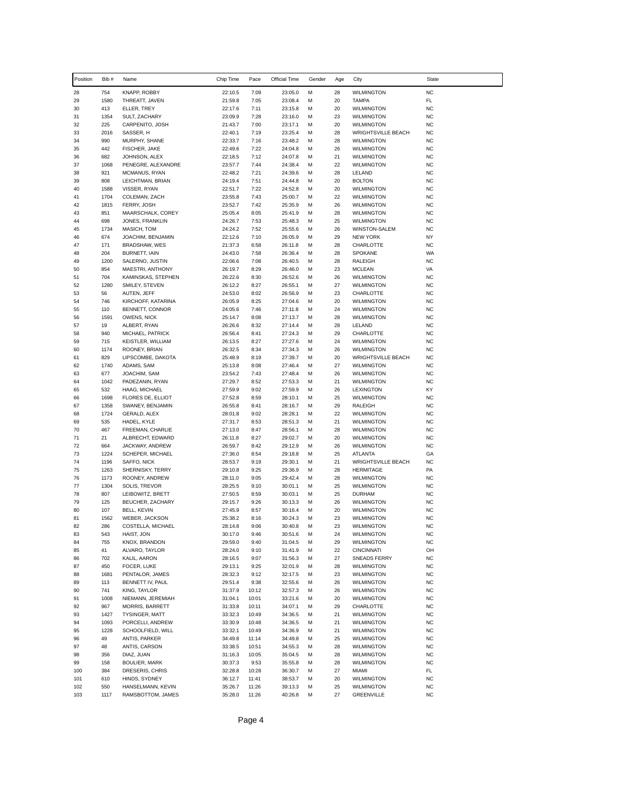| Position   | Bib #       | Name                               | Chip Time          | Pace           | Official Time      | Gender | Age      | City                                   | <b>State</b>           |
|------------|-------------|------------------------------------|--------------------|----------------|--------------------|--------|----------|----------------------------------------|------------------------|
| 28         | 754         | KNAPP, ROBBY                       | 22:10.5            | 7:09           | 23:05.0            | M      | 28       | <b>WILMINGTON</b>                      | <b>NC</b>              |
| 29         | 1580        | THREATT, JAVEN                     | 21:59.8            | 7:05           | 23:08.4            | М      | 20       | <b>TAMPA</b>                           | FL                     |
| 30         | 413         | ELLER, TREY                        | 22:17.6            | 7:11           | 23:15.8            | M      | 20       | <b>WILMINGTON</b>                      | <b>NC</b>              |
| 31<br>32   | 1354<br>225 | SULT, ZACHARY<br>CARPENITO, JOSH   | 23:09.9<br>21:43.7 | 7:28<br>7:00   | 23:16.0<br>23:17.1 | м<br>М | 23<br>20 | <b>WILMINGTON</b><br><b>WILMINGTON</b> | <b>NC</b><br><b>NC</b> |
| 33         | 2016        | SASSER, H                          | 22:40.1            | 7:19           | 23:25.4            | M      | 28       | <b>WRIGHTSVILLE BEACH</b>              | <b>NC</b>              |
| 34         | 990         | MURPHY, SHANE                      | 22:33.7            | 7:16           | 23:48.2            | М      | 28       | <b>WILMINGTON</b>                      | <b>NC</b>              |
| 35         | 442         | FISCHER, JAKE                      | 22:49.6            | 7:22           | 24:04.8            | M      | 26       | <b>WILMINGTON</b>                      | <b>NC</b>              |
| 36         | 682         | JOHNSON, ALEX                      | 22:18.5            | 7:12           | 24:07.8            | М      | 21       | <b>WILMINGTON</b>                      | <b>NC</b>              |
| 37         | 1068        | PENEGRE, ALEXANDRE                 | 23:57.7            | 7:44           | 24:38.4            | M      | 22       | <b>WILMINGTON</b>                      | <b>NC</b>              |
| 38         | 921         | MCMANUS, RYAN                      | 22:48.2            | 7:21           | 24:39.6            | M      | 28       | LELAND                                 | <b>NC</b>              |
| 39<br>40   | 808<br>1588 | LEICHTMAN, BRIAN<br>VISSER, RYAN   | 24:19.4<br>22:51.7 | 7:51<br>7:22   | 24:44.8<br>24:52.8 | М<br>M | 20<br>20 | <b>BOLTON</b><br><b>WILMINGTON</b>     | <b>NC</b><br><b>NC</b> |
| 41         | 1704        | COLEMAN, ZACH                      | 23:55.8            | 7:43           | 25:00.7            | М      | 22       | <b>WILMINGTON</b>                      | <b>NC</b>              |
| 42         | 1815        | FERRY, JOSH                        | 23:52.7            | 7:42           | 25:35.9            | M      | 26       | <b>WILMINGTON</b>                      | <b>NC</b>              |
| 43         | 851         | MAARSCHALK, COREY                  | 25:05.4            | 8:05           | 25:41.9            | M      | 28       | <b>WILMINGTON</b>                      | <b>NC</b>              |
| 44         | 698         | JONES, FRANKLIN                    | 24:26.7            | 7:53           | 25:48.3            | M      | 25       | <b>WILMINGTON</b>                      | <b>NC</b>              |
| 45         | 1734        | MASICH, TOM                        | 24:24.2            | 7:52           | 25:55.6            | М      | 26       | WINSTON-SALEM                          | <b>NC</b>              |
| 46         | 674         | JOACHIM, BENJAMIN                  | 22:12.6            | 7:10           | 26:05.9            | M      | 29       | <b>NEW YORK</b>                        | NY                     |
| 47<br>48   | 171<br>204  | BRADSHAW, WES<br>BURNETT, IAIN     | 21:37.3<br>24:43.0 | 6:58<br>7:58   | 26:11.8<br>26:36.4 | M<br>М | 28<br>28 | CHARLOTTE<br>SPOKANE                   | <b>NC</b><br>WA        |
| 49         | 1200        | SALERNO, JUSTIN                    | 22:06.6            | 7:08           | 26:40.5            | M      | 28       | <b>RALEIGH</b>                         | <b>NC</b>              |
| 50         | 854         | MAESTRI, ANTHONY                   | 26:19.7            | 8:29           | 26:46.0            | М      | 23       | <b>MCLEAN</b>                          | VA                     |
| 51         | 704         | KAMINSKAS, STEPHEN                 | 26:22.6            | 8:30           | 26:52.6            | М      | 26       | <b>WILMINGTON</b>                      | <b>NC</b>              |
| 52         | 1280        | SMILEY, STEVEN                     | 26:12.2            | 8:27           | 26:55.1            | M      | 27       | <b>WILMINGTON</b>                      | <b>NC</b>              |
| 53         | 56          | AUTEN, JEFF                        | 24:53.0            | 8:02           | 26:56.9            | М      | 23       | CHARLOTTE                              | <b>NC</b>              |
| 54<br>55   | 746         | KIRCHOFF, KATARINA                 | 26:05.9<br>24:05.6 | 8:25<br>7:46   | 27:04.6<br>27:11.8 | M<br>M | 20<br>24 | <b>WILMINGTON</b>                      | <b>NC</b><br><b>NC</b> |
| 56         | 110<br>1591 | BENNETT, CONNOR<br>OWENS, NICK     | 25:14.7            | 8:08           | 27:13.7            | м      | 28       | <b>WILMINGTON</b><br><b>WILMINGTON</b> | <b>NC</b>              |
| 57         | 19          | ALBERT, RYAN                       | 26:26.6            | 8:32           | 27:14.4            | М      | 28       | LELAND                                 | <b>NC</b>              |
| 58         | 940         | MICHAEL, PATRICK                   | 26:56.4            | 8:41           | 27:24.3            | M      | 29       | <b>CHARLOTTE</b>                       | <b>NC</b>              |
| 59         | 715         | KEISTLER, WILLIAM                  | 26:13.5            | 8:27           | 27:27.6            | М      | 24       | <b>WILMINGTON</b>                      | <b>NC</b>              |
| 60         | 1174        | ROONEY, BRIAN                      | 26:32.5            | 8:34           | 27:34.3            | M      | 26       | WILMINGTON                             | <b>NC</b>              |
| 61         | 829         | LIPSCOMBE, DAKOTA                  | 25:48.9            | 8:19           | 27:39.7            | M      | 20       | <b>WRIGHTSVILLE BEACH</b>              | <b>NC</b>              |
| 62<br>63   | 1740<br>677 | ADAMS, SAM<br>JOACHIM, SAM         | 25:13.8<br>23:54.2 | 8:08<br>7:43   | 27:46.4<br>27:48.4 | М<br>M | 27<br>26 | <b>WILMINGTON</b><br><b>WILMINGTON</b> | <b>NC</b><br><b>NC</b> |
| 64         | 1042        | PADEZANIN, RYAN                    | 27:29.7            | 8:52           | 27:53.3            | M      | 21       | <b>WILMINGTON</b>                      | <b>NC</b>              |
| 65         | 532         | HAAG, MICHAEL                      | 27:59.9            | 9:02           | 27:59.9            | M      | 26       | <b>LEXINGTON</b>                       | KY                     |
| 66         | 1698        | FLORES DE, ELLIOT                  | 27:52.8            | 8:59           | 28:10.1            | М      | 25       | <b>WILMINGTON</b>                      | <b>NC</b>              |
| 67         | 1358        | SWANEY, BENJAMIN                   | 26:55.8            | 8:41           | 28:16.7            | M      | 29       | RALEIGH                                | <b>NC</b>              |
| 68         | 1724        | GERALD, ALEX                       | 28:01.8            | 9:02           | 28:28.1            | М      | 22       | <b>WILMINGTON</b>                      | <b>NC</b>              |
| 69<br>70   | 535<br>467  | HADEL, KYLE<br>FREEMAN, CHARLIE    | 27:31.7<br>27:13.0 | 8:53<br>8:47   | 28:51.3<br>28:56.1 | M<br>M | 21<br>28 | <b>WILMINGTON</b><br><b>WILMINGTON</b> | <b>NC</b><br><b>NC</b> |
| 71         | 21          | ALBRECHT, EDWARD                   | 26:11.8            | 8:27           | 29:02.7            | M      | 20       | <b>WILMINGTON</b>                      | <b>NC</b>              |
| 72         | 664         | JACKWAY, ANDREW                    | 26:59.7            | 8:42           | 29:12.9            | M      | 26       | <b>WILMINGTON</b>                      | <b>NC</b>              |
| 73         | 1224        | SCHEPER, MICHAEL                   | 27:36.0            | 8:54           | 29:18.8            | M      | 25       | ATLANTA                                | GA                     |
| 74         | 1196        | SAFFO, NICK                        | 28:53.7            | 9:19           | 29:30.1            | M      | 21       | <b>WRIGHTSVILLE BEACH</b>              | <b>NC</b>              |
| 75         | 1263        | SHERNISKY, TERRY                   | 29:10.8            | 9:25           | 29:36.9            | М      | 28       | <b>HERMITAGE</b>                       | PA                     |
| 76         | 1173        | ROONEY, ANDREW                     | 28:11.0            | 9:05           | 29:42.4            | М      | 28       | <b>WILMINGTON</b>                      | <b>NC</b>              |
| 77<br>78   | 1304<br>807 | SOLIS, TREVOR<br>LEIBOWITZ, BRETT  | 28:25.5<br>27:50.5 | 9:10<br>8:59   | 30:01.1<br>30:03.1 | M<br>М | 25<br>25 | <b>WILMINGTON</b><br><b>DURHAM</b>     | <b>NC</b><br><b>NC</b> |
| 79         | 125         | BEUCHER, ZACHARY                   | 29:15.7            | 9:26           | 30:13.3            | М      | 26       | <b>WILMINGTON</b>                      | <b>NC</b>              |
| 80         | 107         | BELL, KEVIN                        | 27:45.9            | 8:57           | 30:16.4            | M      | 20       | <b>WILMINGTON</b>                      | <b>NC</b>              |
| 81         | 1562        | WEBER, JACKSON                     | 25:38.2            | 8:16           | 30:24.3            | M      | 23       | <b>WILMINGTON</b>                      | <b>NC</b>              |
| 82         | 286         | COSTELLA, MICHAEL                  | 28:14.8            | 9:06           | 30:40.8            | м      | 23       | WILMINGTON                             | <b>NC</b>              |
| 83         | 543         | HAIST, JON                         | 30:17.0            | 9:46           | 30:51.6            | М      | 24       | <b>WILMINGTON</b>                      | <b>NC</b>              |
| 84         | 755         | KNOX, BRANDON                      | 29:59.0            | 9:40           | 31:04.5            | М      | 29       | <b>WILMINGTON</b>                      | NC                     |
| 85<br>86   | 41<br>702   | ALVARO, TAYLOR<br>KALIL, AARON     | 28:24.0<br>28:16.5 | 9:10<br>9:07   | 31:41.9<br>31:56.3 | М<br>М | 22<br>27 | CINCINNATI<br><b>SNEADS FERRY</b>      | OH<br>NC               |
| 87         | 450         | FOCER, LUKE                        | 29:13.1            | 9:25           | 32:01.9            | М      | 28       | <b>WILMINGTON</b>                      | NC                     |
| 88         | 1681        | PENTALOR, JAMES                    | 28:32.3            | 9:12           | 32:17.5            | М      | 23       | <b>WILMINGTON</b>                      | NC                     |
| 89         | 113         | BENNETT IV, PAUL                   | 29:51.4            | 9:38           | 32:55.6            | М      | 26       | <b>WILMINGTON</b>                      | NC                     |
| 90         | 741         | KING, TAYLOR                       | 31:37.9            | 10:12          | 32:57.3            | М      | 26       | WILMINGTON                             | NC                     |
| 91         | 1008        | NIEMANN, JEREMIAH                  | 31:04.1            | 10:01          | 33:21.6            | М      | 20       | WILMINGTON                             | NC                     |
| 92<br>93   | 967<br>1427 | MORRIS, BARRETT<br>TYSINGER, MATT  | 31:33.8<br>33:32.3 | 10:11<br>10:49 | 34:07.1            | M<br>М | 29       | CHARLOTTE                              | NC<br><b>NC</b>        |
| 94         | 1093        | PORCELLI, ANDREW                   | 33:30.9            | 10:48          | 34:36.5<br>34:36.5 | М      | 21<br>21 | WILMINGTON<br>WILMINGTON               | NC                     |
| 95         | 1228        | SCHOOLFIELD, WILL                  | 33:32.1            | 10:49          | 34:36.9            | M      | 21       | <b>WILMINGTON</b>                      | NC                     |
| 96         | 49          | ANTIS, PARKER                      | 34:49.8            | 11:14          | 34:49.8            | М      | 25       | <b>WILMINGTON</b>                      | <b>NC</b>              |
| 97         | 48          | ANTIS, CARSON                      | 33:38.5            | 10:51          | 34:55.3            | М      | 28       | <b>WILMINGTON</b>                      | NC                     |
| 98         | 356         | DIAZ, JUAN                         | 31:16.3            | 10:05          | 35:04.5            | М      | 28       | <b>WILMINGTON</b>                      | <b>NC</b>              |
| 99         | 158         | BOULIER, MARK                      | 30:37.3            | 9:53           | 35:55.8            | М      | 28       | WILMINGTON                             | <b>NC</b>              |
| 100        | 384<br>610  | DRESERIS, CHRIS                    | 32:28.8<br>36:12.7 | 10:28<br>11:41 | 36:30.7            | М      | 27       | MIAMI                                  | FL<br>NC               |
| 101<br>102 | 550         | HINDS, SYDNEY<br>HANSELMANN, KEVIN | 35:26.7            | 11:26          | 38:53.7<br>39:13.3 | М<br>М | 20<br>25 | WILMINGTON<br>WILMINGTON               | <b>NC</b>              |
| 103        | 1117        | RAMSBOTTOM, JAMES                  | 35:28.0            | 11:26          | 40:26.8            | М      | 27       | <b>GREENVILLE</b>                      | NC                     |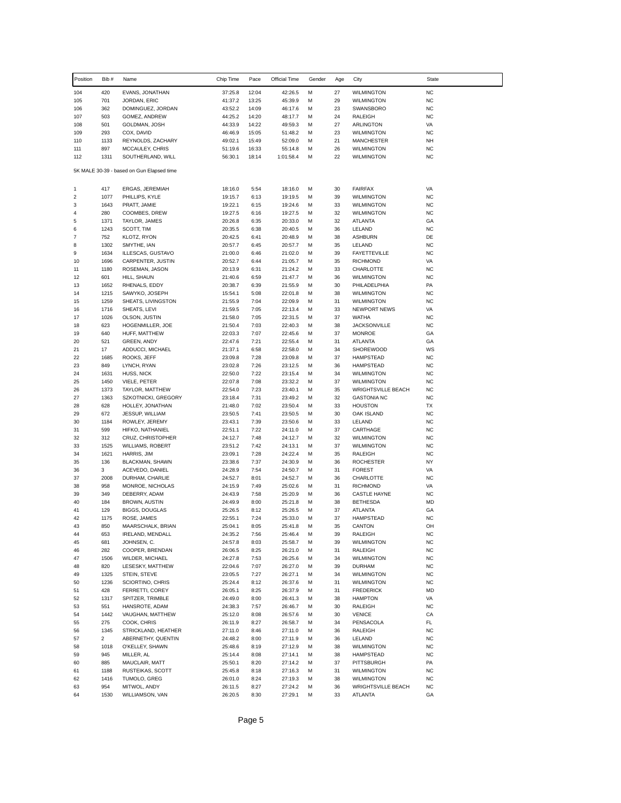| Position         | Bib#           | Name                                      | Chip Time          | Pace           | Official Time      | Gender | Age      | City                                 | State                  |
|------------------|----------------|-------------------------------------------|--------------------|----------------|--------------------|--------|----------|--------------------------------------|------------------------|
| 104              | 420            | EVANS, JONATHAN                           | 37:25.8            | 12:04          | 42:26.5            | м      | 27       | <b>WILMINGTON</b>                    | <b>NC</b>              |
| 105              | 701            | JORDAN, ERIC                              | 41:37.2            | 13:25          | 45:39.9            | м      | 29       | <b>WILMINGTON</b>                    | <b>NC</b>              |
| 106              | 362            | DOMINGUEZ, JORDAN                         | 43:52.2            | 14:09          | 46:17.6            | м      | 23       | SWANSBORO                            | <b>NC</b>              |
| 107              | 503            | GOMEZ, ANDREW                             | 44:25.2            | 14:20          | 48:17.7            | М      | 24       | RALEIGH                              | <b>NC</b>              |
| 108              | 501            | GOLDMAN, JOSH                             | 44:33.9            | 14:22          | 49:59.3            | М      | 27       | <b>ARLINGTON</b>                     | VA<br><b>NC</b>        |
| 109<br>110       | 293<br>1133    | COX, DAVID<br>REYNOLDS, ZACHARY           | 46:46.9<br>49:02.1 | 15:05<br>15:49 | 51:48.2<br>52:09.0 | м<br>М | 23<br>21 | <b>WILMINGTON</b><br>MANCHESTER      | <b>NH</b>              |
| 111              | 897            | MCCAULEY, CHRIS                           | 51:19.6            | 16:33          | 55:14.8            | М      | 26       | <b>WILMINGTON</b>                    | <b>NC</b>              |
| 112              | 1311           | SOUTHERLAND, WILL                         | 56:30.1            | 18:14          | 1:01:58.4          | М      | 22       | <b>WILMINGTON</b>                    | <b>NC</b>              |
|                  |                | 5K MALE 30-39 - based on Gun Elapsed time |                    |                |                    |        |          |                                      |                        |
| 1                | 417            | ERGAS, JEREMIAH                           | 18:16.0            | 5:54           | 18:16.0            | М      | 30       | <b>FAIRFAX</b>                       | VA                     |
| $\boldsymbol{2}$ | 1077           | PHILLIPS, KYLE                            | 19:15.7            | 6:13           | 19:19.5            | М      | 39       | <b>WILMINGTON</b>                    | <b>NC</b>              |
| 3                | 1643           | PRATT, JAMIE                              | 19:22.1            | 6:15           | 19:24.6            | М      | 33       | <b>WILMINGTON</b>                    | <b>NC</b>              |
| 4                | 280            | COOMBES, DREW                             | 19:27.5            | 6:16           | 19:27.5            | М      | 32       | <b>WILMINGTON</b>                    | <b>NC</b>              |
| 5                | 1371           | TAYLOR, JAMES                             | 20:26.8            | 6:35           | 20:33.0            | М      | 32       | ATLANTA                              | GA                     |
| 6                | 1243           | SCOTT, TIM                                | 20:35.5            | 6:38           | 20:40.5            | м      | 36       | LELAND                               | <b>NC</b>              |
| $\overline{7}$   | 752            | KLOTZ, RYON                               | 20:42.5            | 6:41           | 20:48.9            | M      | 38       | <b>ASHBURN</b>                       | DE                     |
| 8<br>9           | 1302<br>1634   | SMYTHE, IAN<br>ILLESCAS, GUSTAVO          | 20:57.7<br>21:00.0 | 6:45<br>6:46   | 20:57.7<br>21:02.0 | М<br>М | 35<br>39 | LELAND<br><b>FAYETTEVILLE</b>        | <b>NC</b><br><b>NC</b> |
| 10               | 1696           | CARPENTER, JUSTIN                         | 20:52.7            | 6:44           | 21:05.7            | М      | 35       | <b>RICHMOND</b>                      | VA                     |
| 11               | 1180           | ROSEMAN, JASON                            | 20:13.9            | 6:31           | 21:24.2            | М      | 33       | CHARLOTTE                            | <b>NC</b>              |
| 12               | 601            | HILL, SHAUN                               | 21:40.6            | 6:59           | 21:47.7            | М      | 36       | <b>WILMINGTON</b>                    | <b>NC</b>              |
| 13               | 1652           | RHENALS, EDDY                             | 20:38.7            | 6:39           | 21:55.9            | М      | 30       | PHILADELPHIA                         | PA                     |
| 14               | 1215           | SAWYKO, JOSEPH                            | 15:54.1            | 5:08           | 22:01.8            | М      | 38       | <b>WILMINGTON</b>                    | NC                     |
| 15               | 1259           | SHEATS, LIVINGSTON                        | 21:55.9            | 7:04           | 22:09.9            | М      | 31       | <b>WILMINGTON</b>                    | <b>NC</b>              |
| 16               | 1716           | SHEATS, LEVI                              | 21:59.5            | 7:05           | 22:13.4            | М      | 33       | <b>NEWPORT NEWS</b>                  | VA                     |
| 17               | 1026           | OLSON, JUSTIN                             | 21:58.0            | 7:05           | 22:31.5            | М      | 37       | <b>WATHA</b>                         | <b>NC</b>              |
| 18               | 623            | HOGENMILLER, JOE                          | 21:50.4            | 7:03           | 22:40.3            | М      | 38       | <b>JACKSONVILLE</b>                  | <b>NC</b>              |
| 19<br>20         | 640<br>521     | HUFF, MATTHEW<br>GREEN, ANDY              | 22:03.3<br>22:47.6 | 7:07<br>7:21   | 22:45.6<br>22:55.4 | М<br>М | 37<br>31 | <b>MONROE</b><br>ATLANTA             | GA<br>GA               |
| 21               | 17             | ADDUCCI, MICHAEL                          | 21:37.1            | 6:58           | 22:58.0            | М      | 34       | <b>SHOREWOOD</b>                     | WS                     |
| 22               | 1685           | ROOKS, JEFF                               | 23:09.8            | 7:28           | 23:09.8            | м      | 37       | <b>HAMPSTEAD</b>                     | <b>NC</b>              |
| 23               | 849            | LYNCH, RYAN                               | 23:02.8            | 7:26           | 23:12.5            | М      | 36       | <b>HAMPSTEAD</b>                     | <b>NC</b>              |
| 24               | 1631           | HUSS, NICK                                | 22:50.0            | 7:22           | 23:15.4            | М      | 34       | <b>WILMINGTON</b>                    | <b>NC</b>              |
| 25               | 1450           | VIELE, PETER                              | 22:07.8            | 7:08           | 23:32.2            | м      | 37       | <b>WILMINGTON</b>                    | <b>NC</b>              |
| 26               | 1373           | TAYLOR, MATTHEW                           | 22:54.0            | 7:23           | 23:40.1            | M      | 35       | <b>WRIGHTSVILLE BEACH</b>            | <b>NC</b>              |
| 27               | 1363           | SZKOTNICKI, GREGORY                       | 23:18.4            | 7:31           | 23:49.2            | М      | 32       | <b>GASTONIA NC</b>                   | <b>NC</b>              |
| 28               | 628            | HOLLEY, JONATHAN                          | 21:48.0            | 7:02           | 23:50.4            | М      | 33       | <b>HOUSTON</b>                       | ТX                     |
| 29<br>30         | 672<br>1184    | <b>JESSUP, WILLIAM</b><br>ROWLEY, JEREMY  | 23:50.5<br>23:43.1 | 7:41<br>7:39   | 23:50.5<br>23:50.6 | М<br>М | 30<br>33 | OAK ISLAND<br>LELAND                 | <b>NC</b><br><b>NC</b> |
| 31               | 599            | HIFKO, NATHANIEL                          | 22:51.1            | 7:22           | 24:11.0            | М      | 37       | CARTHAGE                             | <b>NC</b>              |
| 32               | 312            | CRUZ, CHRISTOPHER                         | 24:12.7            | 7:48           | 24:12.7            | М      | 32       | <b>WILMINGTON</b>                    | <b>NC</b>              |
| 33               | 1525           | WILLIAMS, ROBERT                          | 23:51.2            | 7:42           | 24:13.1            | М      | 37       | <b>WILMINGTON</b>                    | <b>NC</b>              |
| 34               | 1621           | HARRIS, JIM                               | 23:09.1            | 7:28           | 24:22.4            | М      | 35       | RALEIGH                              | <b>NC</b>              |
| 35               | 136            | BLACKMAN, SHAWN                           | 23:38.6            | 7:37           | 24:30.9            | М      | 36       | ROCHESTER                            | NY                     |
| 36               | 3              | ACEVEDO, DANIEL                           | 24:28.9            | 7:54           | 24:50.7            | м      | 31       | <b>FOREST</b>                        | VA                     |
| 37               | 2008           | DURHAM, CHARLIE                           | 24:52.7            | 8:01           | 24:52.7            | М      | 36       | CHARLOTTE                            | <b>NC</b>              |
| 38               | 958            | MONROE, NICHOLAS                          | 24:15.9            | 7:49           | 25:02.6            | м      | 31       | <b>RICHMOND</b>                      | VA                     |
| 39               | 349            | DEBERRY, ADAM                             | 24:43.9            | 7:58           | 25:20.9            | м      | 36       | <b>CASTLE HAYNE</b>                  | NC                     |
| 40<br>41         | 184<br>129     | BROWN, AUSTIN<br><b>BIGGS, DOUGLAS</b>    | 24:49.9<br>25:26.5 | 8:00<br>8:12   | 25:21.8<br>25:26.5 | м<br>М | 38<br>37 | <b>BETHESDA</b><br>ATLANTA           | MD<br>GA               |
| 42               | 1175           | ROSE, JAMES                               | 22:55.1            | 7:24           | 25:33.0            | М      | 37       | <b>HAMPSTEAD</b>                     | <b>NC</b>              |
| 43               | 850            | MAARSCHALK, BRIAN                         | 25:04.1            | 8:05           | 25:41.8            | м      | 35       | CANTON                               | OH                     |
| 44               | 653            | IRELAND, MENDALL                          | 24:35.2            | 7:56           | 25:46.4            | М      | 39       | RALEIGH                              | <b>NC</b>              |
| 45               | 681            | JOHNSEN, C.                               | 24:57.8            | 8:03           | 25:58.7            | М      | 39       | <b>WILMINGTON</b>                    | <b>NC</b>              |
| 46               | 282            | COOPER, BRENDAN                           | 26:06.5            | 8:25           | 26:21.0            | м      | 31       | RALEIGH                              | <b>NC</b>              |
| 47               | 1506           | WILDER, MICHAEL                           | 24:27.8            | 7:53           | 26:25.6            | М      | 34       | <b>WILMINGTON</b>                    | NC                     |
| 48               | 820            | LESESKY, MATTHEW                          | 22:04.6            | 7:07           | 26:27.0            | М      | 39       | <b>DURHAM</b>                        | <b>NC</b>              |
| 49               | 1325           | STEIN, STEVE                              | 23:05.5            | 7:27           | 26:27.1            | м      | 34       | <b>WILMINGTON</b>                    | NC                     |
| 50               | 1236           | SCIORTINO, CHRIS                          | 25:24.4            | 8:12           | 26:37.6            | м      | 31       | <b>WILMINGTON</b>                    | <b>NC</b>              |
| 51<br>52         | 428<br>1317    | FERRETTI, COREY<br>SPITZER, TRIMBLE       | 26:05.1<br>24:49.0 | 8:25<br>8:00   | 26:37.9<br>26:41.3 | М<br>м | 31<br>38 | <b>FREDERICK</b><br><b>HAMPTON</b>   | MD<br>VA               |
| 53               | 551            | HANSROTE, ADAM                            | 24:38.3            | 7:57           | 26:46.7            | м      | 30       | RALEIGH                              | NC                     |
| 54               | 1442           | VAUGHAN, MATTHEW                          | 25:12.0            | 8:08           | 26:57.6            | м      | 30       | <b>VENICE</b>                        | CA                     |
| 55               | 275            | COOK, CHRIS                               | 26:11.9            | 8:27           | 26:58.7            | м      | 34       | PENSACOLA                            | FL                     |
| 56               | 1345           | STRICKLAND, HEATHER                       | 27:11.0            | 8:46           | 27:11.0            | м      | 36       | RALEIGH                              | NC                     |
| 57               | $\overline{c}$ | ABERNETHY, QUENTIN                        | 24:48.2            | 8:00           | 27:11.9            | М      | 36       | LELAND                               | <b>NC</b>              |
| 58               | 1018           | O'KELLEY, SHAWN                           | 25:48.6            | 8:19           | 27:12.9            | м      | 38       | <b>WILMINGTON</b>                    | <b>NC</b>              |
| 59               | 945            | MILLER, AL                                | 25:14.4            | 8:08           | 27:14.1            | м      | 38       | <b>HAMPSTEAD</b>                     | <b>NC</b>              |
| 60               | 885            | MAUCLAIR, MATT                            | 25:50.1            | 8:20           | 27:14.2            | м      | 37       | PITTSBURGH                           | PA                     |
| 61               | 1188           | RUSTEIKAS, SCOTT                          | 25:45.8            | 8:18           | 27:16.3            | м      | 31       | WILMINGTON                           | <b>NC</b>              |
| 62<br>63         | 1416<br>954    | TUMOLO, GREG                              | 26:01.0            | 8:24           | 27:19.3            | м<br>М | 38       | WILMINGTON                           | <b>NC</b><br><b>NC</b> |
| 64               | 1530           | MITWOL, ANDY<br>WILLIAMSON, VAN           | 26:11.5<br>26:20.5 | 8:27<br>8:30   | 27:24.2<br>27:29.1 | М      | 36<br>33 | <b>WRIGHTSVILLE BEACH</b><br>ATLANTA | GA                     |
|                  |                |                                           |                    |                |                    |        |          |                                      |                        |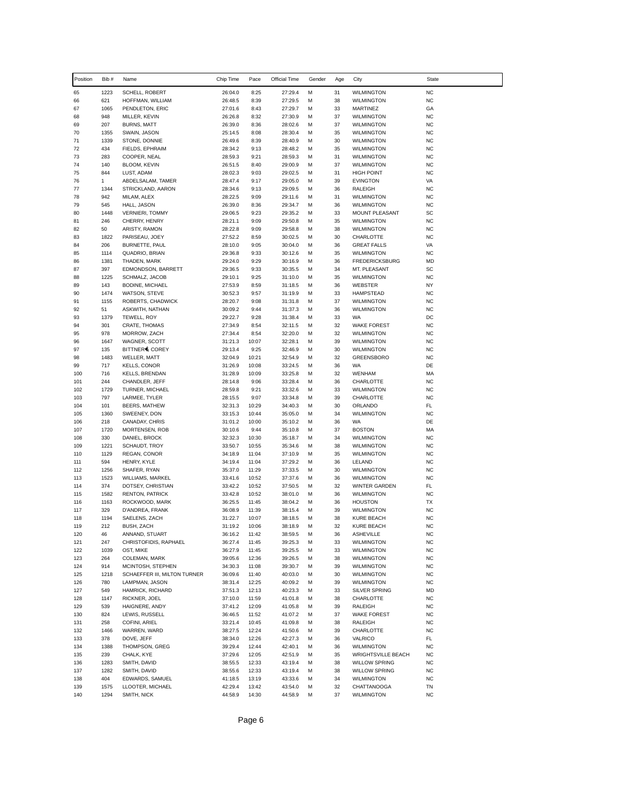| Position   | Bib #                | Name                                           | Chip Time          | Pace           | Official Time      | Gender | Age      | City                                   | <b>State</b>           |
|------------|----------------------|------------------------------------------------|--------------------|----------------|--------------------|--------|----------|----------------------------------------|------------------------|
| 65         | 1223                 | SCHELL, ROBERT                                 | 26:04.0            | 8:25           | 27:29.4            | М      | 31       | <b>WILMINGTON</b>                      | <b>NC</b>              |
| 66         | 621                  | HOFFMAN, WILLIAM                               | 26:48.5            | 8:39           | 27:29.5            | M      | 38       | <b>WILMINGTON</b>                      | <b>NC</b>              |
| 67         | 1065                 | PENDLETON, ERIC                                | 27:01.6            | 8:43           | 27:29.7            | М      | 33       | MARTINEZ                               | GA                     |
| 68<br>69   | 948<br>207           | MILLER, KEVIN<br><b>BURNS, MATT</b>            | 26:26.8<br>26:39.0 | 8:32<br>8:36   | 27:30.9            | М<br>М | 37<br>37 | <b>WILMINGTON</b><br><b>WILMINGTON</b> | <b>NC</b><br><b>NC</b> |
| 70         | 1355                 | SWAIN, JASON                                   | 25:14.5            | 8:08           | 28:02.6<br>28:30.4 | M      | 35       | <b>WILMINGTON</b>                      | <b>NC</b>              |
| 71         | 1339                 | STONE, DONNIE                                  | 26:49.6            | 8:39           | 28:40.9            | M      | 30       | <b>WILMINGTON</b>                      | <b>NC</b>              |
| 72         | 434                  | FIELDS, EPHRAIM                                | 28:34.2            | 9:13           | 28:48.2            | М      | 35       | <b>WILMINGTON</b>                      | <b>NC</b>              |
| 73         | 283                  | COOPER, NEAL                                   | 28:59.3            | 9:21           | 28:59.3            | M      | 31       | <b>WILMINGTON</b>                      | <b>NC</b>              |
| 74         | 140                  | BLOOM, KEVIN                                   | 26:51.5            | 8:40           | 29:00.9            | M      | 37       | <b>WILMINGTON</b>                      | <b>NC</b>              |
| 75         | 844                  | LUST, ADAM                                     | 28:02.3<br>28:47.4 | 9:03<br>9:17   | 29:02.5            | М<br>M | 31<br>39 | <b>HIGH POINT</b>                      | <b>NC</b><br>VA        |
| 76<br>77   | $\mathbf{1}$<br>1344 | ABDELSALAM, TAMER<br>STRICKLAND, AARON         | 28:34.6            | 9:13           | 29:05.0<br>29:09.5 | M      | 36       | <b>EVINGTON</b><br>RALEIGH             | <b>NC</b>              |
| 78         | 942                  | MILAM, ALEX                                    | 28:22.5            | 9:09           | 29:11.6            | M      | 31       | <b>WILMINGTON</b>                      | <b>NC</b>              |
| 79         | 545                  | HALL, JASON                                    | 26:39.0            | 8:36           | 29:34.7            | М      | 36       | <b>WILMINGTON</b>                      | <b>NC</b>              |
| 80         | 1448                 | <b>VERNIERI, TOMMY</b>                         | 29:06.5            | 9:23           | 29:35.2            | M      | 33       | MOUNT PLEASANT                         | SC                     |
| 81         | 246                  | CHERRY, HENRY                                  | 28:21.1            | 9:09           | 29:50.8            | M      | 35       | <b>WILMINGTON</b>                      | <b>NC</b>              |
| 82<br>83   | 50<br>1822           | ARISTY, RAMON<br>PARISEAU, JOEY                | 28:22.8<br>27:52.2 | 9:09<br>8:59   | 29:58.8<br>30:02.5 | М<br>M | 38<br>30 | <b>WILMINGTON</b><br>CHARLOTTE         | <b>NC</b><br><b>NC</b> |
| 84         | 206                  | BURNETTE, PAUL                                 | 28:10.0            | 9:05           | 30:04.0            | M      | 36       | <b>GREAT FALLS</b>                     | VA                     |
| 85         | 1114                 | QUADRIO, BRIAN                                 | 29:36.8            | 9:33           | 30:12.6            | М      | 35       | <b>WILMINGTON</b>                      | <b>NC</b>              |
| 86         | 1381                 | THADEN, MARK                                   | 29:24.0            | 9:29           | 30:16.9            | М      | 36       | <b>FREDERICKSBURG</b>                  | MD                     |
| 87         | 397                  | EDMONDSON, BARRETT                             | 29:36.5            | 9:33           | 30:35.5            | M      | 34       | MT. PLEASANT                           | SC                     |
| 88         | 1225                 | SCHMALZ, JACOB                                 | 29:10.1            | 9:25           | 31:10.0            | M      | 35       | <b>WILMINGTON</b>                      | <b>NC</b>              |
| 89<br>90   | 143<br>1474          | <b>BODINE, MICHAEL</b><br>WATSON, STEVE        | 27:53.9<br>30:52.3 | 8:59<br>9:57   | 31:18.5<br>31:19.9 | M<br>М | 36<br>33 | WEBSTER<br><b>HAMPSTEAD</b>            | <b>NY</b><br><b>NC</b> |
| 91         | 1155                 | ROBERTS, CHADWICK                              | 28:20.7            | 9:08           | 31:31.8            | M      | 37       | <b>WILMINGTON</b>                      | <b>NC</b>              |
| 92         | 51                   | ASKWITH, NATHAN                                | 30:09.2            | 9:44           | 31:37.3            | M      | 36       | <b>WILMINGTON</b>                      | <b>NC</b>              |
| 93         | 1379                 | TEWELL, ROY                                    | 29:22.7            | 9:28           | 31:38.4            | М      | 33       | WA                                     | DC                     |
| 94         | 301                  | <b>CRATE, THOMAS</b>                           | 27:34.9            | 8:54           | 32:11.5            | M      | 32       | <b>WAKE FOREST</b>                     | <b>NC</b>              |
| 95         | 978                  | MORROW, ZACH                                   | 27:34.4            | 8:54           | 32:20.0            | M      | 32       | <b>WILMINGTON</b>                      | <b>NC</b>              |
| 96         | 1647                 | WAGNER, SCOTT                                  | 31:21.3            | 10:07          | 32:28.1            | M      | 39       | <b>WILMINGTON</b>                      | <b>NC</b>              |
| 97<br>98   | 135<br>1483          | BITTNER, COREY<br><b>WELLER, MATT</b>          | 29:13.4<br>32:04.9 | 9:25<br>10:21  | 32:46.9<br>32:54.9 | М<br>M | 30<br>32 | <b>WILMINGTON</b><br><b>GREENSBORO</b> | <b>NC</b><br><b>NC</b> |
| 99         | 717                  | <b>KELLS, CONOR</b>                            | 31:26.9            | 10:08          | 33:24.5            | M      | 36       | WA                                     | DE                     |
| 100        | 716                  | KELLS, BRENDAN                                 | 31:28.9            | 10:09          | 33:25.8            | М      | 32       | <b>WENHAM</b>                          | МA                     |
| 101        | 244                  | CHANDLER, JEFF                                 | 28:14.8            | 9:06           | 33:28.4            | M      | 36       | CHARLOTTE                              | <b>NC</b>              |
| 102        | 1729                 | TURNER, MICHAEL                                | 28:59.8            | 9:21           | 33:32.6            | M      | 33       | <b>WILMINGTON</b>                      | <b>NC</b>              |
| 103        | 797                  | LARMEE, TYLER                                  | 28:15.5            | 9:07           | 33:34.8            | M      | 39       | CHARLOTTE                              | <b>NC</b>              |
| 104<br>105 | 101<br>1360          | <b>BEERS, MATHEW</b><br>SWEENEY, DON           | 32:31.3<br>33:15.3 | 10:29<br>10:44 | 34:40.3<br>35:05.0 | М<br>M | 30<br>34 | ORLANDO<br><b>WILMINGTON</b>           | FL<br><b>NC</b>        |
| 106        | 218                  | CANADAY, CHRIS                                 | 31:01.2            | 10:00          | 35:10.2            | M      | 36       | WA                                     | DE                     |
| 107        | 1720                 | MORTENSEN, ROB                                 | 30:10.6            | 9:44           | 35:10.8            | М      | 37       | <b>BOSTON</b>                          | MA                     |
| 108        | 330                  | DANIEL, BROCK                                  | 32:32.3            | 10:30          | 35:18.7            | M      | 34       | <b>WILMINGTON</b>                      | <b>NC</b>              |
| 109        | 1221                 | SCHAUDT, TROY                                  | 33:50.7            | 10:55          | 35:34.6            | M      | 38       | <b>WILMINGTON</b>                      | <b>NC</b>              |
| 110        | 1129                 | REGAN, CONOR                                   | 34:18.9            | 11:04          | 37:10.9            | M      | 35       | <b>WILMINGTON</b>                      | <b>NC</b>              |
| 111<br>112 | 594<br>1256          | HENRY, KYLE<br>SHAFER, RYAN                    | 34:19.4<br>35:37.0 | 11:04<br>11:29 | 37:29.2<br>37:33.5 | М<br>M | 36<br>30 | LELAND<br><b>WILMINGTON</b>            | <b>NC</b><br><b>NC</b> |
| 113        | 1523                 | WILLIAMS, MARKEL                               | 33:41.6            | 10:52          | 37:37.6            | M      | 36       | <b>WILMINGTON</b>                      | <b>NC</b>              |
| 114        | 374                  | DOTSEY, CHRISTIAN                              | 33:42.2            | 10:52          | 37:50.5            | M      | 32       | <b>WINTER GARDEN</b>                   | FL                     |
| 115        | 1582                 | <b>RENTON, PATRICK</b>                         | 33:42.8            | 10:52          | 38:01.0            | M      | 36       | <b>WILMINGTON</b>                      | <b>NC</b>              |
| 116        | 1163                 | ROCKWOOD, MARK                                 | 36:25.5            | 11:45          | 38:04.2            | М      | 36       | <b>HOUSTON</b>                         | TX                     |
| 117        | 329                  | D'ANDREA, FRANK                                | 36:08.9            | 11:39          | 38:15.4            | М      | 39       | <b>WILMINGTON</b>                      | <b>NC</b>              |
| 118<br>119 | 1194<br>212          | SAELENS, ZACH<br>BUSH, ZACH                    | 31:22.7<br>31:19.2 | 10:07<br>10:06 | 38:18.5<br>38:18.9 | М<br>М | 38<br>32 | <b>KURE BEACH</b><br>KURE BEACH        | <b>NC</b><br><b>NC</b> |
| 120        | 46                   | ANNAND, STUART                                 | 36:16.2            | 11:42          | 38:59.5            | М      | 36       | <b>ASHEVILLE</b>                       | <b>NC</b>              |
| 121        | 247                  | CHRISTOFIDIS, RAPHAEL                          | 36:27.4            | 11:45          | 39:25.3            | M      | 33       | <b>WILMINGTON</b>                      | <b>NC</b>              |
| 122        | 1039                 | OST, MIKE                                      | 36:27.9            | 11:45          | 39:25.5            | М      | 33       | <b>WILMINGTON</b>                      | <b>NC</b>              |
| 123        | 264                  | COLEMAN, MARK                                  | 39:05.6            | 12:36          | 39:26.5            | М      | 38       | <b>WILMINGTON</b>                      | <b>NC</b>              |
| 124        | 914                  | MCINTOSH, STEPHEN                              | 34:30.3            | 11:08          | 39:30.7            | M      | 39       | <b>WILMINGTON</b>                      | <b>NC</b>              |
| 125<br>126 | 1218<br>780          | SCHAEFFER III, MILTON TURNER<br>LAMPMAN, JASON | 36:09.6<br>38:31.4 | 11:40<br>12:25 | 40:03.0<br>40:09.2 | М<br>M | 30<br>39 | <b>WILMINGTON</b><br><b>WILMINGTON</b> | <b>NC</b><br><b>NC</b> |
| 127        | 549                  | HAMRICK, RICHARD                               | 37:51.3            | 12:13          | 40:23.3            | М      | 33       | SILVER SPRING                          | MD                     |
| 128        | 1147                 | RICKNER, JOEL                                  | 37:10.0            | 11:59          | 41:01.8            | М      | 38       | CHARLOTTE                              | <b>NC</b>              |
| 129        | 539                  | HAIGNERE, ANDY                                 | 37:41.2            | 12:09          | 41:05.8            | М      | 39       | <b>RALEIGH</b>                         | <b>NC</b>              |
| 130        | 824                  | LEWIS, RUSSELL                                 | 36:46.5            | 11:52          | 41:07.2            | М      | 37       | <b>WAKE FOREST</b>                     | <b>NC</b>              |
| 131        | 258                  | COFINI, ARIEL                                  | 33:21.4            | 10:45          | 41:09.8            | М      | 38       | RALEIGH                                | <b>NC</b>              |
| 132        | 1466                 | WARREN, WARD                                   | 38:27.5            | 12:24          | 41:50.6            | М      | 39       | CHARLOTTE<br>VALRICO                   | <b>NC</b>              |
| 133<br>134 | 378<br>1388          | DOVE, JEFF<br>THOMPSON, GREG                   | 38:34.0<br>39:29.4 | 12:26<br>12:44 | 42:27.3<br>42:40.1 | M<br>М | 36<br>36 | <b>WILMINGTON</b>                      | FL<br><b>NC</b>        |
| 135        | 239                  | CHALK, KYE                                     | 37:29.6            | 12:05          | 42:51.9            | М      | 35       | <b>WRIGHTSVILLE BEACH</b>              | <b>NC</b>              |
| 136        | 1283                 | SMITH, DAVID                                   | 38:55.5            | 12:33          | 43:19.4            | М      | 38       | <b>WILLOW SPRING</b>                   | <b>NC</b>              |
| 137        | 1282                 | SMITH, DAVID                                   | 38:55.6            | 12:33          | 43:19.4            | М      | 38       | <b>WILLOW SPRING</b>                   | <b>NC</b>              |
| 138        | 404                  | EDWARDS, SAMUEL                                | 41:18.5            | 13:19          | 43:33.6            | М      | 34       | <b>WILMINGTON</b>                      | <b>NC</b>              |
| 139        | 1575                 | LLOOTER, MICHAEL                               | 42:29.4            | 13:42          | 43:54.0            | M      | 32       | CHATTANOOGA                            | TN                     |
| 140        | 1294                 | SMITH, NICK                                    | 44:58.9            | 14:30          | 44:58.9            | М      | 37       | <b>WILMINGTON</b>                      | <b>NC</b>              |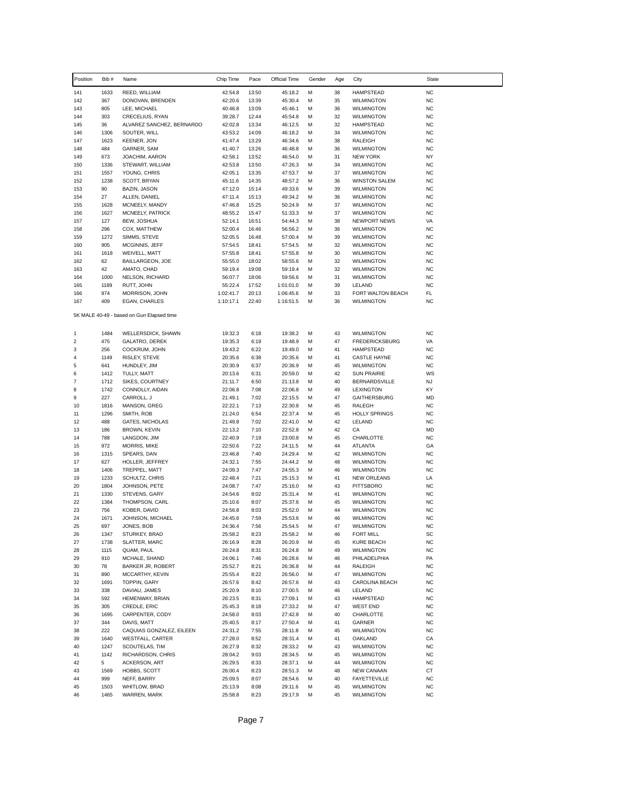| Position                       | Bib#         | Name                                                | Chip Time          | Pace           | Official Time      | Gender | Age      | City                                      | <b>State</b>           |
|--------------------------------|--------------|-----------------------------------------------------|--------------------|----------------|--------------------|--------|----------|-------------------------------------------|------------------------|
| 141                            | 1633         | REED, WILLIAM                                       | 42:54.8            | 13:50          | 45:18.2            | M      | 38       | <b>HAMPSTEAD</b>                          | <b>NC</b>              |
| 142                            | 367          | DONOVAN, BRENDEN                                    | 42:20.6            | 13:39          | 45:30.4            | М      | 35       | <b>WILMINGTON</b>                         | <b>NC</b>              |
| 143                            | 805          | LEE, MICHAEL                                        | 40:46.8            | 13:09          | 45:46.1            | M      | 36       | <b>WILMINGTON</b>                         | <b>NC</b>              |
| 144<br>145                     | 303<br>36    | CRECELIUS, RYAN<br>ALVAREZ SANCHEZ, BERNARDO        | 39:28.7<br>42:02.8 | 12:44<br>13:34 | 45:54.8<br>46:12.5 | м<br>M | 32<br>32 | <b>WILMINGTON</b><br><b>HAMPSTEAD</b>     | <b>NC</b><br><b>NC</b> |
| 146                            | 1306         | SOUTER, WILL                                        | 43:53.2            | 14:09          | 46:18.2            | M      | 34       | <b>WILMINGTON</b>                         | <b>NC</b>              |
| 147                            | 1623         | <b>KEENER, JON</b>                                  | 41:47.4            | 13:29          | 46:34.6            | М      | 38       | RALEIGH                                   | <b>NC</b>              |
| 148                            | 484          | GARNER, SAM                                         | 41:40.7            | 13:26          | 46:48.8            | M      | 36       | <b>WILMINGTON</b>                         | <b>NC</b>              |
| 149                            | 673          | JOACHIM, AARON                                      | 42:58.1            | 13:52          | 46:54.0            | М      | 31       | <b>NEW YORK</b>                           | NY                     |
| 150                            | 1336         | STEWART, WILLIAM                                    | 42:53.8            | 13:50          | 47:26.3            | M      | 34       | <b>WILMINGTON</b>                         | NC                     |
| 151                            | 1557         | YOUNG, CHRIS                                        | 42:05.1            | 13:35          | 47:53.7            | M      | 37       | <b>WILMINGTON</b>                         | <b>NC</b>              |
| 152<br>153                     | 1238<br>90   | SCOTT, BRYAN<br><b>BAZIN, JASON</b>                 | 45:11.6<br>47:12.0 | 14:35<br>15:14 | 48:57.2<br>49:33.6 | М<br>M | 36<br>39 | <b>WINSTON SALEM</b><br><b>WILMINGTON</b> | <b>NC</b><br>NC        |
| 154                            | 27           | ALLEN, DANIEL                                       | 47:11.4            | 15:13          | 49:34.2            | M      | 36       | <b>WILMINGTON</b>                         | <b>NC</b>              |
| 155                            | 1628         | MCNEELY, MANDY                                      | 47:46.8            | 15:25          | 50:24.9            | M      | 37       | <b>WILMINGTON</b>                         | <b>NC</b>              |
| 156                            | 1627         | MCNEELY, PATRICK                                    | 48:55.2            | 15:47          | 51:33.3            | М      | 37       | <b>WILMINGTON</b>                         | <b>NC</b>              |
| 157                            | 127          | BEW, JOSHUA                                         | 52:14.1            | 16:51          | 54:44.3            | M      | 38       | <b>NEWPORT NEWS</b>                       | VA                     |
| 158                            | 296          | COX, MATTHEW                                        | 52:00.4            | 16:46          | 56:56.2            | М      | 36       | <b>WILMINGTON</b>                         | <b>NC</b>              |
| 159                            | 1272         | SIMMS, STEVE                                        | 52:05.5            | 16:48          | 57:00.4            | M      | 39       | <b>WILMINGTON</b>                         | <b>NC</b>              |
| 160<br>161                     | 905<br>1618  | MCGINNIS, JEFF<br>WEIVELL, MATT                     | 57:54.5<br>57:55.8 | 18:41<br>18:41 | 57:54.5<br>57:55.8 | M<br>М | 32<br>30 | <b>WILMINGTON</b><br><b>WILMINGTON</b>    | <b>NC</b><br><b>NC</b> |
| 162                            | 62           | BAILLARGEON, JOE                                    | 55:55.0            | 18:02          | 58:55.6            | M      | 32       | <b>WILMINGTON</b>                         | <b>NC</b>              |
| 163                            | 42           | AMATO, CHAD                                         | 59:19.4            | 19:08          | 59:19.4            | М      | 32       | <b>WILMINGTON</b>                         | <b>NC</b>              |
| 164                            | 1000         | NELSON, RICHARD                                     | 56:07.7            | 18:06          | 59:56.6            | М      | 31       | <b>WILMINGTON</b>                         | <b>NC</b>              |
| 165                            | 1189         | RUTT, JOHN                                          | 55:22.4            | 17:52          | 1:01:01.0          | М      | 39       | LELAND                                    | <b>NC</b>              |
| 166                            | 974          | MORRISON, JOHN                                      | 1:02:41.7          | 20:13          | 1:06:45.6          | М      | 33       | FORT WALTON BEACH                         | FL                     |
| 167                            | 409          | EGAN, CHARLES                                       | 1:10:17.1          | 22:40          | 1:16:51.5          | M      | 36       | <b>WILMINGTON</b>                         | <b>NC</b>              |
|                                |              | 5K MALE 40-49 - based on Gun Elapsed time           |                    |                |                    |        |          |                                           |                        |
| 1                              | 1484         | <b>WELLERSDICK, SHAWN</b>                           | 19:32.3            | 6:18           | 19:38.2            | M      | 43       | <b>WILMINGTON</b>                         | <b>NC</b>              |
| $\overline{\mathbf{c}}$        | 475          | GALATRO, DEREK                                      | 19:35.3            | 6:19           | 19:48.9            | М      | 47       | <b>FREDERICKSBURG</b>                     | VA                     |
| 3                              | 256          | COCKRUM, JOHN                                       | 19:43.2            | 6:22           | 19:49.0            | M      | 41       | <b>HAMPSTEAD</b>                          | <b>NC</b>              |
| 4                              | 1149         | RISLEY, STEVE                                       | 20:35.6            | 6:38           | 20:35.6            | М      | 41       | <b>CASTLE HAYNE</b>                       | <b>NC</b>              |
| 5                              | 641          | HUNDLEY, JIM                                        | 20:30.9            | 6:37           | 20:36.9            | М      | 45       | <b>WILMINGTON</b>                         | <b>NC</b>              |
| 6                              | 1412         | TULLY, MATT                                         | 20:13.6            | 6:31           | 20:59.0            | M      | 42<br>40 | <b>SUN PRAIRIE</b>                        | WS                     |
| $\overline{\mathfrak{c}}$<br>8 | 1712<br>1742 | SIKES, COURTNEY<br>CONNOLLY, AIDAN                  | 21:11.7<br>22:06.8 | 6:50<br>7:08   | 21:13.8<br>22:06.8 | М<br>M | 49       | <b>BERNARDSVILLE</b><br><b>LEXINGTON</b>  | NJ<br>ΚY               |
| 9                              | 227          | CARROLL, J                                          | 21:49.1            | 7:02           | 22:15.5            | М      | 47       | <b>GAITHERSBURG</b>                       | MD                     |
| 10                             | 1816         | MANSON, GREG                                        | 22:22.1            | 7:13           | 22:30.8            | M      | 45       | RALEGH                                    | <b>NC</b>              |
| 11                             | 1296         | SMITH, ROB                                          | 21:24.0            | 6:54           | 22:37.4            | М      | 45       | <b>HOLLY SPRINGS</b>                      | <b>NC</b>              |
| 12                             | 488          | <b>GATES, NICHOLAS</b>                              | 21:49.8            | 7:02           | 22:41.0            | M      | 42       | LELAND                                    | <b>NC</b>              |
| 13                             | 186          | <b>BROWN, KEVIN</b>                                 | 22:13.2            | 7:10           | 22:52.8            | M      | 42       | CA                                        | MD                     |
| 14<br>15                       | 788<br>972   | LANGDON, JIM<br>MORRIS, MIKE                        | 22:40.9<br>22:50.6 | 7:19<br>7:22   | 23:00.8<br>24:11.5 | M<br>M | 45<br>44 | CHARLOTTE<br>ATLANTA                      | <b>NC</b><br>GA        |
| 16                             | 1315         | SPEARS, DAN                                         | 23:46.8            | 7:40           | 24:29.4            | М      | 42       | <b>WILMINGTON</b>                         | <b>NC</b>              |
| 17                             | 627          | HOLLER, JEFFREY                                     | 24:32.1            | 7:55           | 24:44.2            | M      | 48       | <b>WILMINGTON</b>                         | <b>NC</b>              |
| 18                             | 1406         | TREPPEL, MATT                                       | 24:09.3            | 7:47           | 24:55.3            | М      | 46       | <b>WILMINGTON</b>                         | <b>NC</b>              |
| 19                             | 1233         | SCHULTZ, CHRIS                                      | 22:48.4            | 7:21           | 25:15.3            | M      | 41       | <b>NEW ORLEANS</b>                        | LA                     |
| 20                             | 1804         | JOHNSON, PETE                                       | 24:08.7            | 7:47           | 25:16.0            | M      | 43       | <b>PITTSBORO</b>                          | <b>NC</b>              |
| 21                             | 1330         | STEVENS, GARY                                       | 24:54.6            | 8:02           | 25:31.4            | М      | 41       | <b>WILMINGTON</b>                         | <b>NC</b>              |
| 22<br>23                       | 1384<br>756  | THOMPSON, CARL<br>KOBER, DAVID                      | 25:10.6<br>24:56.8 | 8:07<br>8:03   | 25:37.6<br>25:52.0 | M<br>M | 45<br>44 | <b>WILMINGTON</b><br><b>WILMINGTON</b>    | NC<br><b>NC</b>        |
| 24                             | 1671         | JOHNSON, MICHAEL                                    | 24:45.6            | 7:59           | 25:53.6            | м      | 46       | <b>WILMINGTON</b>                         | <b>NC</b>              |
| 25                             | 697          | JONES, BOB                                          | 24:36.4            | 7:56           | 25:54.5            | м      | 47       | WILMINGTON                                | <b>NC</b>              |
| 26                             | 1347         | STURKEY, BRAD                                       | 25:58.2            | 8:23           | 25:58.2            | М      | 46       | <b>FORT MILL</b>                          | SC                     |
| 27                             | 1738         | SLATTER, MARC                                       | 26:16.9            | 8:28           | 26:20.9            | M      | 45       | <b>KURE BEACH</b>                         | NC                     |
| 28                             | 1115         | QUAM, PAUL                                          | 26:24.8            | 8:31           | 26:24.8            | М      | 49       | WILMINGTON                                | NC                     |
| 29                             | 910          | MCHALE, SHAND                                       | 24:06.1            | 7:46           | 26:28.6            | M      | 46       | PHILADELPHIA                              | PA                     |
| 30<br>31                       | 78<br>890    | <b>BARKER JR, ROBERT</b><br>MCCARTHY, KEVIN         | 25:52.7            | 8:21<br>8:22   | 26:36.8            | М<br>M | 44<br>47 | RALEIGH<br><b>WILMINGTON</b>              | <b>NC</b><br>NC        |
| 32                             | 1691         | TOPPIN, GARY                                        | 25:55.4<br>26:57.6 | 8:42           | 26:56.0<br>26:57.6 | М      | 43       | CAROLINA BEACH                            | NC                     |
| 33                             | 338          | DAVIAU, JAMES                                       | 25:20.9            | 8:10           | 27:00.5            | М      | 46       | LELAND                                    | NC                     |
| 34                             | 592          | HEMENWAY, BRIAN                                     | 26:23.5            | 8:31           | 27:09.1            | М      | 43       | <b>HAMPSTEAD</b>                          | NC                     |
| 35                             | 305          | CREDLE, ERIC                                        | 25:45.3            | 8:18           | 27:33.2            | M      | 47       | <b>WEST END</b>                           | NC                     |
| 36                             | 1695         | CARPENTER, CODY                                     | 24:58.0            | 8:03           | 27:42.8            | М      | 40       | CHARLOTTE                                 | <b>NC</b>              |
| 37                             | 344          | DAVIS, MATT                                         | 25:40.5            | 8:17           | 27:50.4            | М      | 41       | GARNER                                    | NC                     |
| 38                             | 222          | CAQUIAS GONZALEZ, EILEEN<br><b>WESTFALL, CARTER</b> | 24:31.2            | 7:55           | 28:11.8            | M      | 45       | <b>WILMINGTON</b>                         | NC.                    |
| 39<br>40                       | 1640<br>1247 | SCOUTELAS, TIM                                      | 27:28.0<br>26:27.9 | 8:52<br>8:32   | 28:31.4<br>28:33.2 | М<br>М | 41<br>43 | OAKLAND<br><b>WILMINGTON</b>              | CA<br>NC               |
| 41                             | 1142         | RICHARDSON, CHRIS                                   | 28:04.2            | 9:03           | 28:34.5            | М      | 45       | <b>WILMINGTON</b>                         | NC                     |
| 42                             | 5            | ACKERSON, ART                                       | 26:29.5            | 8:33           | 28:37.1            | M      | 44       | <b>WILMINGTON</b>                         | <b>NC</b>              |
| 43                             | 1569         | HOBBS, SCOTT                                        | 26:00.4            | 8:23           | 28:51.3            | М      | 48       | <b>NEW CANAAN</b>                         | СT                     |
| 44                             | 999          | NEFF, BARRY                                         | 25:09.5            | 8:07           | 28:54.6            | М      | 40       | <b>FAYETTEVILLE</b>                       | <b>NC</b>              |
| 45                             | 1503         | WHITLOW, BRAD                                       | 25:13.9            | 8:08           | 29:11.6            | M      | 45       | WILMINGTON                                | <b>NC</b>              |
| 46                             | 1465         | WARREN, MARK                                        | 25:58.8            | 8:23           | 29:17.9            | М      | 45       | <b>WILMINGTON</b>                         | NC                     |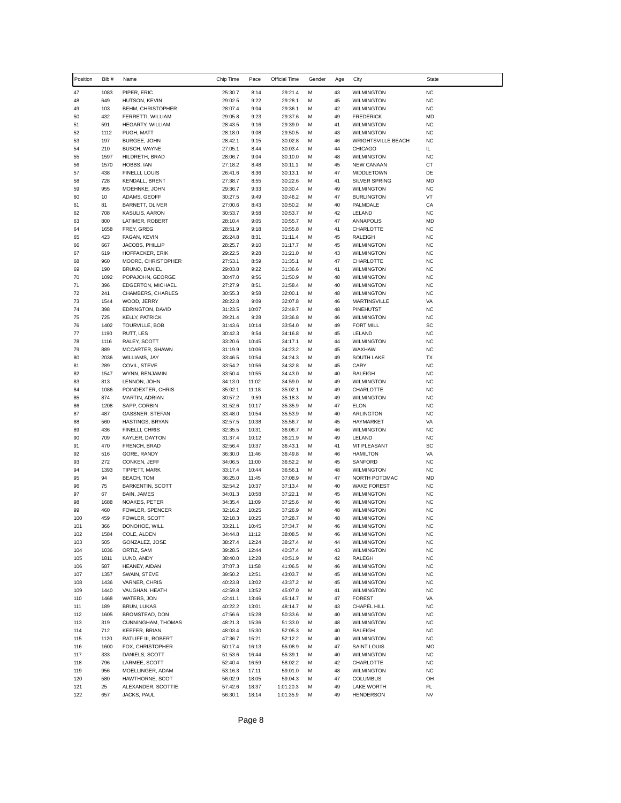| Position   | Bib #       | Name                                    | Chip Time          | Pace           | Official Time      | Gender | Age      | City                                   | <b>State</b>           |
|------------|-------------|-----------------------------------------|--------------------|----------------|--------------------|--------|----------|----------------------------------------|------------------------|
| 47         | 1083        | PIPER, ERIC                             | 25:30.7            | 8:14           | 29:21.4            | M      | 43       | <b>WILMINGTON</b>                      | <b>NC</b>              |
| 48         | 649         | HUTSON, KEVIN                           | 29:02.5            | 9:22           | 29:28.1            | M      | 45       | <b>WILMINGTON</b>                      | <b>NC</b>              |
| 49         | 103         | BEHM, CHRISTOPHER                       | 28:07.4            | 9:04           | 29:36.1            | M      | 42       | <b>WILMINGTON</b>                      | <b>NC</b>              |
| 50         | 432         | FERRETTI, WILLIAM                       | 29:05.8            | 9:23           | 29:37.6            | М      | 49       | <b>FREDERICK</b>                       | MD                     |
| 51<br>52   | 591<br>1112 | HEGARTY, WILLIAM<br>PUGH, MATT          | 28:43.5<br>28:18.0 | 9:16<br>9:08   | 29:39.0<br>29:50.5 | M<br>M | 41<br>43 | <b>WILMINGTON</b><br><b>WILMINGTON</b> | <b>NC</b><br><b>NC</b> |
| 53         | 197         | <b>BURGEE, JOHN</b>                     | 28:42.1            | 9:15           | 30:02.8            | M      | 46       | <b>WRIGHTSVILLE BEACH</b>              | <b>NC</b>              |
| 54         | 210         | <b>BUSCH, WAYNE</b>                     | 27:05.1            | 8:44           | 30:03.4            | М      | 44       | <b>CHICAGO</b>                         | IL                     |
| 55         | 1597        | HILDRETH, BRAD                          | 28:06.7            | 9:04           | 30:10.0            | M      | 48       | <b>WILMINGTON</b>                      | <b>NC</b>              |
| 56         | 1570        | HOBBS, IAN                              | 27:18.2            | 8:48           | 30:11.1            | M      | 45       | <b>NEW CANAAN</b>                      | CT                     |
| 57         | 438         | FINELLI, LOUIS                          | 26:41.6            | 8:36           | 30:13.1            | М      | 47       | <b>MIDDLETOWN</b>                      | DE                     |
| 58         | 728         | <b>KENDALL, BRENT</b>                   | 27:38.7            | 8:55           | 30:22.6            | M      | 41       | <b>SILVER SPRING</b>                   | <b>MD</b>              |
| 59<br>60   | 955<br>10   | MOEHNKE, JOHN<br>ADAMS, GEOFF           | 29:36.7<br>30:27.5 | 9:33<br>9:49   | 30:30.4<br>30:46.2 | M<br>M | 49<br>47 | <b>WILMINGTON</b><br><b>BURLINGTON</b> | <b>NC</b><br>VT        |
| 61         | 81          | BARNETT, OLIVER                         | 27:00.6            | 8:43           | 30:50.2            | M      | 40       | PALMDALE                               | CA                     |
| 62         | 708         | KASULIS, AARON                          | 30:53.7            | 9:58           | 30:53.7            | M      | 42       | LELAND                                 | <b>NC</b>              |
| 63         | 800         | LATIMER, ROBERT                         | 28:10.4            | 9:05           | 30:55.7            | M      | 47       | <b>ANNAPOLIS</b>                       | <b>MD</b>              |
| 64         | 1658        | FREY, GREG                              | 28:51.9            | 9:18           | 30:55.8            | М      | 41       | CHARLOTTE                              | <b>NC</b>              |
| 65         | 423         | FAGAN, KEVIN                            | 26:24.8            | 8:31           | 31:11.4            | M      | 45       | <b>RALEIGH</b>                         | <b>NC</b>              |
| 66         | 667         | JACOBS, PHILLIP                         | 28:25.7            | 9:10           | 31:17.7            | м      | 45       | <b>WILMINGTON</b>                      | <b>NC</b>              |
| 67<br>68   | 619<br>960  | HOFFACKER, ERIK<br>MOORE, CHRISTOPHER   | 29:22.5<br>27:53.1 | 9:28<br>8:59   | 31:21.0<br>31:35.1 | M<br>М | 43<br>47 | <b>WILMINGTON</b><br>CHARLOTTE         | <b>NC</b><br><b>NC</b> |
| 69         | 190         | BRUNO, DANIEL                           | 29:03.8            | 9:22           | 31:36.6            | M      | 41       | <b>WILMINGTON</b>                      | <b>NC</b>              |
| 70         | 1092        | POPAJOHN, GEORGE                        | 30:47.0            | 9:56           | 31:50.9            | M      | 48       | <b>WILMINGTON</b>                      | <b>NC</b>              |
| 71         | 396         | EDGERTON, MICHAEL                       | 27:27.9            | 8:51           | 31:58.4            | M      | 40       | <b>WILMINGTON</b>                      | <b>NC</b>              |
| 72         | 241         | CHAMBERS, CHARLES                       | 30:55.3            | 9:58           | 32:00.1            | М      | 48       | <b>WILMINGTON</b>                      | <b>NC</b>              |
| 73         | 1544        | WOOD, JERRY                             | 28:22.8            | 9:09           | 32:07.8            | M      | 46       | <b>MARTINSVILLE</b>                    | VA                     |
| 74         | 398         | EDRINGTON, DAVID                        | 31:23.5            | 10:07          | 32:49.7<br>33:36.8 | M      | 48       | PINEHUTST                              | <b>NC</b>              |
| 75<br>76   | 725<br>1402 | <b>KELLY, PATRICK</b><br>TOURVILLE, BOB | 29:21.4<br>31:43.6 | 9:28<br>10:14  | 33:54.0            | М<br>M | 46<br>49 | <b>WILMINGTON</b><br><b>FORT MILL</b>  | <b>NC</b><br>SC        |
| 77         | 1190        | RUTT, LES                               | 30:42.3            | 9:54           | 34:16.8            | M      | 45       | LELAND                                 | <b>NC</b>              |
| 78         | 1116        | RALEY, SCOTT                            | 33:20.6            | 10:45          | 34:17.1            | M      | 44       | <b>WILMINGTON</b>                      | <b>NC</b>              |
| 79         | 889         | MCCARTER, SHAWN                         | 31:19.9            | 10:06          | 34:23.2            | М      | 45       | WAXHAW                                 | <b>NC</b>              |
| 80         | 2036        | WILLIAMS, JAY                           | 33:46.5            | 10:54          | 34:24.3            | M      | 49       | <b>SOUTH LAKE</b>                      | <b>TX</b>              |
| 81         | 289         | COVIL, STEVE                            | 33:54.2            | 10:56          | 34:32.8            | M      | 45       | CARY                                   | <b>NC</b>              |
| 82<br>83   | 1547<br>813 | WYNN, BENJAMIN<br>LENNON, JOHN          | 33:50.4<br>34:13.0 | 10:55<br>11:02 | 34:43.0<br>34:59.0 | М<br>M | 40<br>49 | RALEIGH<br><b>WILMINGTON</b>           | <b>NC</b><br><b>NC</b> |
| 84         | 1086        | POINDEXTER, CHRIS                       | 35:02.1            | 11:18          | 35:02.1            | M      | 49       | CHARLOTTE                              | <b>NC</b>              |
| 85         | 874         | MARTIN, ADRIAN                          | 30:57.2            | 9:59           | 35:18.3            | M      | 49       | <b>WILMINGTON</b>                      | <b>NC</b>              |
| 86         | 1208        | SAPP, CORBIN                            | 31:52.6            | 10:17          | 35:35.9            | М      | 47       | <b>ELON</b>                            | <b>NC</b>              |
| 87         | 487         | GASSNER, STEFAN                         | 33:48.0            | 10:54          | 35:53.9            | M      | 40       | ARLINGTON                              | <b>NC</b>              |
| 88         | 560         | HASTINGS, BRYAN                         | 32:57.5            | 10:38          | 35:56.7            | M      | 45       | <b>HAYMARKET</b>                       | VA                     |
| 89<br>90   | 436<br>709  | FINELLI, CHRIS<br>KAYLER, DAYTON        | 32:35.5<br>31:37.4 | 10:31<br>10:12 | 36:06.7<br>36:21.9 | M<br>M | 46<br>49 | <b>WILMINGTON</b><br>LELAND            | <b>NC</b><br><b>NC</b> |
| 91         | 470         | FRENCH, BRAD                            | 32:56.4            | 10:37          | 36:43.1            | м      | 41       | MT PLEASANT                            | SC                     |
| 92         | 516         | GORE, RANDY                             | 36:30.0            | 11:46          | 36:49.8            | M      | 46       | <b>HAMILTON</b>                        | VA                     |
| 93         | 272         | CONKEN, JEFF                            | 34:06.5            | 11:00          | 36:52.2            | М      | 45       | SANFORD                                | <b>NC</b>              |
| 94         | 1393        | TIPPETT, MARK                           | 33:17.4            | 10:44          | 36:56.1            | M      | 48       | <b>WILMINGTON</b>                      | <b>NC</b>              |
| 95         | 94          | <b>BEACH, TOM</b>                       | 36:25.0            | 11:45          | 37:08.9            | M      | 47       | NORTH POTOMAC                          | MD                     |
| 96         | 75          | <b>BARKENTIN, SCOTT</b>                 | 32:54.2            | 10:37          | 37:13.4            | M      | 40       | <b>WAKE FOREST</b>                     | <b>NC</b>              |
| 97<br>98   | 67<br>1688  | BAIN, JAMES<br>NOAKES, PETER            | 34:01.3<br>34:35.4 | 10:58<br>11:09 | 37:22.1<br>37:25.6 | M<br>M | 45<br>46 | <b>WILMINGTON</b><br><b>WILMINGTON</b> | <b>NC</b><br><b>NC</b> |
| 99         | 460         | FOWLER, SPENCER                         | 32:16.2            | 10:25          | 37:26.9            | М      | 48       | <b>WILMINGTON</b>                      | <b>NC</b>              |
| 100        | 459         | FOWLER, SCOTT                           | 32:18.3            | 10:25          | 37:28.7            | М      | 48       | <b>WILMINGTON</b>                      | <b>NC</b>              |
| 101        | 366         | DONOHOE, WILL                           | 33:21.1            | 10:45          | 37:34.7            | М      | 46       | <b>WILMINGTON</b>                      | <b>NC</b>              |
| 102        | 1584        | COLE, ALDEN                             | 34:44.8            | 11:12          | 38:08.5            | М      | 46       | <b>WILMINGTON</b>                      | <b>NC</b>              |
| 103        | 505         | GONZALEZ, JOSE                          | 38:27.4            | 12:24          | 38:27.4            | M      | 44       | <b>WILMINGTON</b>                      | <b>NC</b>              |
| 104        | 1036        | ORTIZ, SAM                              | 39:28.5            | 12:44          | 40:37.4            | М      | 43       | <b>WILMINGTON</b>                      | <b>NC</b>              |
| 105<br>106 | 1811<br>587 | LUND, ANDY<br>HEANEY, AIDAN             | 38:40.0<br>37:07.3 | 12:28<br>11:58 | 40:51.9<br>41:06.5 | М<br>M | 42<br>46 | RALEGH<br><b>WILMINGTON</b>            | <b>NC</b><br><b>NC</b> |
| 107        | 1357        | SWAIN, STEVE                            | 39:50.2            | 12:51          | 43:03.7            | М      | 45       | <b>WILMINGTON</b>                      | <b>NC</b>              |
| 108        | 1436        | VARNER, CHRIS                           | 40:23.8            | 13:02          | 43:37.2            | М      | 45       | <b>WILMINGTON</b>                      | <b>NC</b>              |
| 109        | 1440        | VAUGHAN, HEATH                          | 42:59.8            | 13:52          | 45:07.0            | M      | 41       | <b>WILMINGTON</b>                      | <b>NC</b>              |
| 110        | 1468        | WATERS, JON                             | 42:41.1            | 13:46          | 45:14.7            | М      | 47       | <b>FOREST</b>                          | VA                     |
| 111        | 189         | <b>BRUN, LUKAS</b>                      | 40:22.2            | 13:01          | 48:14.7            | М      | 43       | CHAPEL HILL                            | <b>NC</b>              |
| 112        | 1605        | BROMSTEAD, DON                          | 47:56.6            | 15:28          | 50:33.6            | М      | 40       | <b>WILMINGTON</b>                      | <b>NC</b>              |
| 113<br>114 | 319<br>712  | CUNNINGHAM, THOMAS<br>KEEFER, BRIAN     | 48:21.3<br>48:03.4 | 15:36<br>15:30 | 51:33.0            | М<br>М | 48<br>40 | <b>WILMINGTON</b><br><b>RALEIGH</b>    | <b>NC</b><br><b>NC</b> |
| 115        | 1120        | RATLIFF III, ROBERT                     | 47:36.7            | 15:21          | 52:05.3<br>52:12.2 | М      | 40       | <b>WILMINGTON</b>                      | <b>NC</b>              |
| 116        | 1600        | FOX, CHRISTOPHER                        | 50:17.4            | 16:13          | 55:08.9            | М      | 47       | SAINT LOUIS                            | MO                     |
| 117        | 333         | DANIELS, SCOTT                          | 51:53.6            | 16:44          | 55:39.1            | М      | 40       | <b>WILMINGTON</b>                      | <b>NC</b>              |
| 118        | 796         | LARMEE, SCOTT                           | 52:40.4            | 16:59          | 58:02.2            | М      | 42       | CHARLOTTE                              | <b>NC</b>              |
| 119        | 956         | MOELLINGER, ADAM                        | 53:16.3            | 17:11          | 59:01.0            | М      | 48       | <b>WILMINGTON</b>                      | <b>NC</b>              |
| 120        | 580         | HAWTHORNE, SCOT                         | 56:02.9            | 18:05          | 59:04.3            | М      | 47       | <b>COLUMBUS</b>                        | OH                     |
| 121        | 25          | ALEXANDER, SCOTTIE                      | 57:42.6            | 18:37          | 1:01:20.3          | М      | 49       | LAKE WORTH                             | FL                     |
| 122        | 657         | JACKS, PAUL                             | 56:30.1            | 18:14          | 1:01:35.9          | М      | 49       | <b>HENDERSON</b>                       | <b>NV</b>              |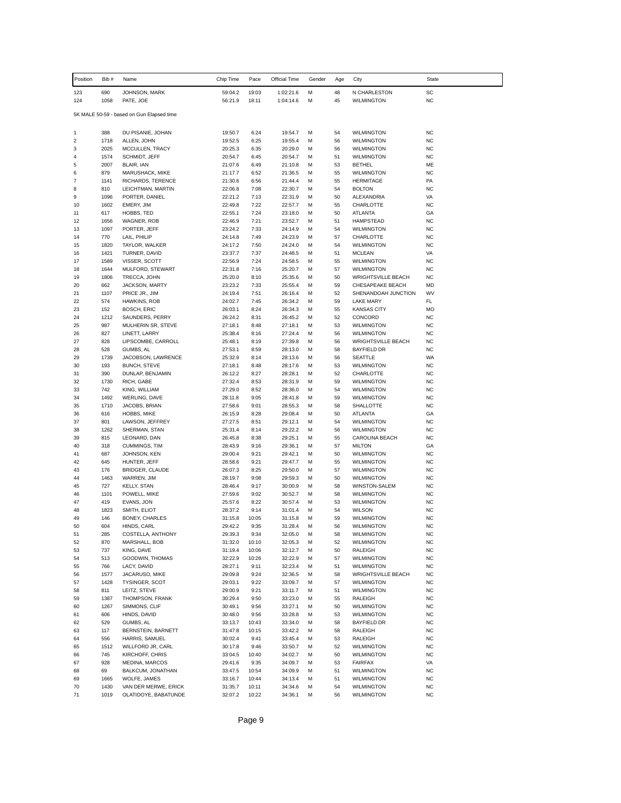| Position       | Bib#         | Name                                      | Chip Time          | Pace          | Official Time      | Gender | Age      | City                                    | State                  |
|----------------|--------------|-------------------------------------------|--------------------|---------------|--------------------|--------|----------|-----------------------------------------|------------------------|
| 123            | 690          | JOHNSON, MARK                             | 59:04.2            | 19:03         | 1:02:21.6          | M      | 48       | N CHARLESTON                            | SC                     |
| 124            | 1058         | PATE, JOE                                 | 56:21.9            | 18:11         | 1:04:14.6          | M      | 45       | <b>WILMINGTON</b>                       | <b>NC</b>              |
|                |              | 5K MALE 50-59 - based on Gun Elapsed time |                    |               |                    |        |          |                                         |                        |
| 1              | 388          | DU PISANIE, JOHAN                         | 19:50.7            | 6:24          | 19:54.7            | M      | 54       | <b>WILMINGTON</b>                       | <b>NC</b>              |
| 2              | 1718         | ALLEN, JOHN                               | 19:52.5            | 6:25          | 19:55.4            | M      | 56       | <b>WILMINGTON</b>                       | <b>NC</b>              |
| 3              | 2025         | MCCULLEN, TRACY                           | 20:25.3            | 6:35          | 20:29.0            | M      | 56       | <b>WILMINGTON</b>                       | <b>NC</b>              |
| 4              | 1574         | SCHMIDT, JEFF                             | 20:54.7            | 6:45          | 20:54.7            | М      | 51       | <b>WILMINGTON</b>                       | <b>NC</b>              |
| 5<br>6         | 2007<br>879  | BLAIR, IAN<br>MARUSHACK, MIKE             | 21:07.6<br>21:17.7 | 6:49<br>6:52  | 21:10.8<br>21:36.5 | M<br>M | 53<br>55 | <b>BETHEL</b><br><b>WILMINGTON</b>      | ME<br><b>NC</b>        |
| $\overline{7}$ | 1141         | RICHARDS, TERENCE                         | 21:30.6            | 6:56          | 21:44.4            | M      | 55       | <b>HERMITAGE</b>                        | PA                     |
| 8              | 810          | LEICHTMAN, MARTIN                         | 22:06.8            | 7:08          | 22:30.7            | M      | 54       | <b>BOLTON</b>                           | <b>NC</b>              |
| 9              | 1096         | PORTER, DANIEL                            | 22:21.2            | 7:13          | 22:31.9            | M      | 50       | ALEXANDRIA                              | VA                     |
| 10             | 1602         | EMERY, JIM                                | 22:49.8            | 7:22          | 22:57.7            | M      | 55       | CHARLOTTE                               | <b>NC</b>              |
| 11             | 617          | HOBBS, TED                                | 22:55.1            | 7:24          | 23:18.0            | M      | 50       | <b>ATLANTA</b>                          | GA                     |
| 12<br>13       | 1656<br>1097 | WAGNER, ROB<br>PORTER, JEFF               | 22:46.9<br>23:24.2 | 7:21<br>7:33  | 23:52.7<br>24:14.9 | M<br>M | 51<br>54 | <b>HAMPSTEAD</b><br><b>WILMINGTON</b>   | <b>NC</b><br><b>NC</b> |
| 14             | 770          | LAIL, PHILIP                              | 24:14.8            | 7:49          | 24:23.9            | M      | 57       | CHARLOTTE                               | <b>NC</b>              |
| 15             | 1820         | TAYLOR, WALKER                            | 24:17.2            | 7:50          | 24:24.0            | M      | 54       | <b>WILMINGTON</b>                       | <b>NC</b>              |
| 16             | 1421         | TURNER, DAVID                             | 23:37.7            | 7:37          | 24:48.5            | M      | 51       | <b>MCLEAN</b>                           | VA                     |
| 17             | 1589         | VISSER, SCOTT                             | 22:56.9            | 7:24          | 24:58.5            | M      | 55       | <b>WILMINGTON</b>                       | <b>NC</b>              |
| 18             | 1644         | MULFORD, STEWART                          | 22:31.8            | 7:16          | 25:20.7            | M      | 57       | <b>WILMINGTON</b>                       | <b>NC</b>              |
| 19             | 1806         | TRECCA, JOHN                              | 25:20.0            | 8:10          | 25:35.6            | M      | 50       | <b>WRIGHTSVILLE BEACH</b>               | <b>NC</b><br><b>MD</b> |
| 20<br>21       | 662<br>1107  | JACKSON, MARTY<br>PRICE JR., JIM          | 23:23.2<br>24:19.4 | 7:33<br>7:51  | 25:55.4<br>26:16.4 | M<br>M | 59<br>52 | CHESAPEAKE BEACH<br>SHENANDOAH JUNCTION | WV                     |
| 22             | 574          | HAWKINS, ROB                              | 24:02.7            | 7:45          | 26:34.2            | M      | 59       | <b>LAKE MARY</b>                        | FL                     |
| 23             | 152          | <b>BOSCH, ERIC</b>                        | 26:03.1            | 8:24          | 26:34.3            | M      | 55       | <b>KANSAS CITY</b>                      | MO                     |
| 24             | 1212         | SAUNDERS, PERRY                           | 26:24.2            | 8:31          | 26:45.2            | M      | 52       | CONCORD                                 | NC                     |
| 25             | 987          | MULHERIN SR, STEVE                        | 27:18.1            | 8:48          | 27:18.1            | M      | 53       | <b>WILMINGTON</b>                       | <b>NC</b>              |
| 26             | 827          | LINETT, LARRY                             | 25:38.4            | 8:16          | 27:24.4            | M      | 56       | <b>WILMINGTON</b>                       | <b>NC</b>              |
| 27             | 828          | LIPSCOMBE, CARROLL                        | 25:48.1            | 8:19          | 27:39.8            | M      | 56       | <b>WRIGHTSVILLE BEACH</b>               | <b>NC</b><br><b>NC</b> |
| 28<br>29       | 528<br>1739  | GUMBS, AL<br>JACOBSON, LAWRENCE           | 27:53.1<br>25:32.9 | 8:59<br>8:14  | 28:13.0<br>28:13.6 | M<br>M | 58<br>56 | <b>BAYFIELD DR</b><br><b>SEATTLE</b>    | WA                     |
| 30             | 193          | <b>BUNCH, STEVE</b>                       | 27:18.1            | 8:48          | 28:17.6            | M      | 53       | <b>WILMINGTON</b>                       | <b>NC</b>              |
| 31             | 390          | DUNLAP, BENJAMIN                          | 26:12.2            | 8:27          | 28:28.1            | M      | 52       | CHARLOTTE                               | <b>NC</b>              |
| 32             | 1730         | RICH, GABE                                | 27:32.4            | 8:53          | 28:31.9            | M      | 59       | <b>WILMINGTON</b>                       | <b>NC</b>              |
| 33             | 742          | KING, WILLIAM                             | 27:29.0            | 8:52          | 28:36.0            | M      | 54       | <b>WILMINGTON</b>                       | <b>NC</b>              |
| 34             | 1492         | <b>WERLING, DAVE</b>                      | 28:11.8            | 9:05          | 28:41.8            | M      | 59       | <b>WILMINGTON</b>                       | <b>NC</b>              |
| 35<br>36       | 1710<br>616  | JACOBS, BRIAN<br>HOBBS, MIKE              | 27:58.6<br>26:15.9 | 9:01<br>8:28  | 28:55.3<br>29:08.4 | M<br>M | 58<br>50 | SHALLOTTE<br>ATLANTA                    | <b>NC</b><br>GA        |
| 37             | 801          | LAWSON, JEFFREY                           | 27:27.5            | 8:51          | 29:12.1            | M      | 54       | <b>WILMINGTON</b>                       | <b>NC</b>              |
| 38             | 1262         | SHERMAN, STAN                             | 25:31.4            | 8:14          | 29:22.2            | M      | 56       | <b>WILMINGTON</b>                       | <b>NC</b>              |
| 39             | 815          | LEONARD, DAN                              | 26:45.8            | 8:38          | 29:25.1            | M      | 55       | CAROLINA BEACH                          | <b>NC</b>              |
| 40             | 318          | CUMMINGS, TIM                             | 28:43.9            | 9:16          | 29:36.1            | M      | 57       | <b>MILTON</b>                           | GA                     |
| 41             | 687          | JOHNSON, KEN                              | 29:00.4            | 9:21          | 29:42.1            | M      | 50       | <b>WILMINGTON</b>                       | <b>NC</b>              |
| 42             | 645          | HUNTER, JEFF<br><b>BRIDGER, CLAUDE</b>    | 28:58.6            | 9:21          | 29:47.7            | M      | 55       | <b>WILMINGTON</b>                       | <b>NC</b>              |
| 43<br>44       | 176<br>1463  | WARREN, JIM                               | 26:07.3<br>28:19.7 | 8:25<br>9:08  | 29:50.0<br>29:59.3 | M<br>M | 57<br>50 | <b>WILMINGTON</b><br><b>WILMINGTON</b>  | <b>NC</b><br><b>NC</b> |
| 45             | 727          | <b>KELLY, STAN</b>                        | 28:46.4            | 9:17          | 30:00.9            | M      | 58       | WINSTON-SALEM                           | <b>NC</b>              |
| 46             | 1101         | POWELL, MIKE                              | 27:59.6            | 9:02          | 30:52.7            | M      | 58       | <b>WILMINGTON</b>                       | <b>NC</b>              |
| 47             | 419          | EVANS, JON                                | 25:57.6            | 8:22          | 30:57.4            | M      | 53       | <b>WILMINGTON</b>                       | <b>NC</b>              |
| 48             | 1823         | SMITH, ELIOT                              | 28:37.2            | 9:14          | 31:01.4            | M      | 54       | <b>WILSON</b>                           | <b>NC</b>              |
| 49             | 146          | BONEY, CHARLES                            | 31:15.8            | 10:05         | 31:15.8            | M      | 59       | <b>WILMINGTON</b>                       | <b>NC</b>              |
| 50<br>51       | 604<br>285   | HINDS, CARL<br>COSTELLA, ANTHONY          | 29:42.2<br>29:39.3 | 9:35<br>9:34  | 31:28.4<br>32:05.0 | М<br>М | 56<br>58 | <b>WILMINGTON</b><br><b>WILMINGTON</b>  | <b>NC</b><br><b>NC</b> |
| 52             | 870          | MARSHALL, BOB                             | 31:32.0            | 10:10         | 32:05.3            | М      | 52       | WILMINGTON                              | <b>NC</b>              |
| 53             | 737          | KING, DAVE                                | 31:19.4            | 10:06         | 32:12.7            | М      | 50       | RALEIGH                                 | <b>NC</b>              |
| 54             | 513          | GOODWIN, THOMAS                           | 32:22.9            | 10:26         | 32:22.9            | М      | 57       | <b>WILMINGTON</b>                       | <b>NC</b>              |
| 55             | 766          | LACY, DAVID                               | 28:27.1            | 9:11          | 32:23.4            | М      | 51       | <b>WILMINGTON</b>                       | <b>NC</b>              |
| 56             | 1577         | JACARUSO, MIKE                            | 29:09.8            | 9:24          | 32:36.5            | М      | 58       | <b>WRIGHTSVILLE BEACH</b>               | <b>NC</b>              |
| 57             | 1428         | TYSINGER, SCOT                            | 29:03.1            | 9:22          | 33:09.7            | М      | 57       | <b>WILMINGTON</b>                       | <b>NC</b>              |
| 58<br>59       | 811<br>1387  | LEITZ, STEVE<br>THOMPSON, FRANK           | 29:00.9<br>30:29.4 | 9:21<br>9:50  | 33:11.7<br>33:23.0 | М<br>М | 51<br>55 | <b>WILMINGTON</b><br><b>RALEIGH</b>     | <b>NC</b><br><b>NC</b> |
| 60             | 1267         | SIMMONS, CLIF                             | 30:49.1            | 9:56          | 33:27.1            | М      | 50       | <b>WILMINGTON</b>                       | NC                     |
| 61             | 606          | HINDS, DAVID                              | 30:48.0            | 9:56          | 33:28.8            | М      | 53       | <b>WILMINGTON</b>                       | <b>NC</b>              |
| 62             | 529          | GUMBS, AL                                 | 33:13.7            | 10:43         | 33:34.0            | М      | 58       | <b>BAYFIELD DR</b>                      | <b>NC</b>              |
| 63             | 117          | BERNSTEIN, BARNETT                        | 31:47.8            | 10:15         | 33:42.2            | М      | 58       | RALEIGH                                 | <b>NC</b>              |
| 64             | 556          | HARRIS, SAMUEL                            | 30:02.4            | 9:41          | 33:45.4            | М      | 53       | RALEIGH                                 | <b>NC</b>              |
| 65             | 1512         | WILLFORD JR, CARL                         | 30:17.8            | 9:46          | 33:50.7            | М      | 52       | <b>WILMINGTON</b>                       | <b>NC</b>              |
| 66<br>67       | 745<br>928   | KIRCHOFF, CHRIS<br>MEDINA, MARCOS         | 33:04.5<br>29:41.6 | 10:40<br>9:35 | 34:02.7<br>34:09.7 | М<br>М | 50<br>53 | <b>WILMINGTON</b><br><b>FAIRFAX</b>     | <b>NC</b><br>VA        |
| 68             | 69           | BALKCUM, JONATHAN                         | 33:47.5            | 10:54         | 34:09.9            | М      | 51       | WILMINGTON                              | <b>NC</b>              |
| 69             | 1665         | WOLFE, JAMES                              | 33:16.7            | 10:44         | 34:13.4            | М      | 51       | <b>WILMINGTON</b>                       | <b>NC</b>              |
| 70             | 1430         | VAN DER MERWE, ERICK                      | 31:35.7            | 10:11         | 34:34.6            | М      | 54       | <b>WILMINGTON</b>                       | <b>NC</b>              |
| 71             | 1019         | OLATIDOYE, BABATUNDE                      | 32:07.2            | 10:22         | 34:36.1            | М      | 56       | <b>WILMINGTON</b>                       | <b>NC</b>              |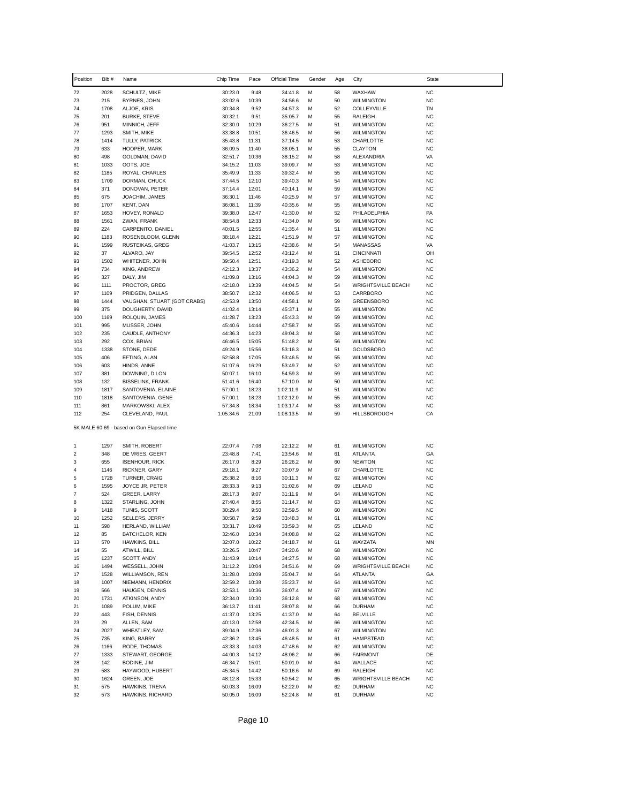| Position   | Bib#         | Name                                      | Chip Time            | Pace           | Official Time          | Gender | Age      | City                                   | State                  |
|------------|--------------|-------------------------------------------|----------------------|----------------|------------------------|--------|----------|----------------------------------------|------------------------|
| 72         | 2028         | SCHULTZ, MIKE                             | 30:23.0              | 9:48           | 34:41.8                | М      | 58       | WAXHAW                                 | <b>NC</b>              |
| 73         | 215          | BYRNES, JOHN                              | 33:02.6              | 10:39          | 34:56.6                | M      | 50       | <b>WILMINGTON</b>                      | <b>NC</b>              |
| 74         | 1708         | ALJOE, KRIS                               | 30:34.8              | 9:52           | 34:57.3                | М      | 52       | COLLEYVILLE                            | TN                     |
| 75         | 201          | <b>BURKE, STEVE</b>                       | 30:32.1              | 9:51           | 35:05.7                | М      | 55       | RALEIGH                                | <b>NC</b>              |
| 76         | 951          | MINNICH, JEFF                             | 32:30.0              | 10:29          | 36:27.5                | М      | 51       | <b>WILMINGTON</b>                      | <b>NC</b>              |
| 77<br>78   | 1293<br>1414 | SMITH, MIKE<br><b>TULLY, PATRICK</b>      | 33:38.8<br>35:43.8   | 10:51<br>11:31 | 36:46.5<br>37:14.5     | м<br>М | 56<br>53 | <b>WILMINGTON</b><br>CHARLOTTE         | <b>NC</b><br><b>NC</b> |
| 79         | 633          | HOOPER, MARK                              | 36:09.5              | 11:40          | 38:05.1                | М      | 55       | <b>CLAYTON</b>                         | <b>NC</b>              |
| 80         | 498          | GOLDMAN, DAVID                            | 32:51.7              | 10:36          | 38:15.2                | м      | 58       | ALEXANDRIA                             | VA                     |
| 81         | 1033         | OOTS, JOE                                 | 34:15.2              | 11:03          | 39:09.7                | M      | 53       | <b>WILMINGTON</b>                      | <b>NC</b>              |
| 82         | 1185         | ROYAL, CHARLES                            | 35:49.9              | 11:33          | 39:32.4                | М      | 55       | <b>WILMINGTON</b>                      | <b>NC</b>              |
| 83         | 1709         | DORMAN, CHUCK                             | 37:44.5              | 12:10          | 39:40.3                | м      | 54       | <b>WILMINGTON</b>                      | <b>NC</b>              |
| 84         | 371<br>675   | DONOVAN, PETER                            | 37:14.4              | 12:01          | 40:14.1                | M<br>М | 59       | <b>WILMINGTON</b>                      | <b>NC</b><br><b>NC</b> |
| 85<br>86   | 1707         | JOACHIM, JAMES<br>KENT, DAN               | 36:30.1<br>36:08.1   | 11:46<br>11:39 | 40:25.9<br>40:35.6     | М      | 57<br>55 | <b>WILMINGTON</b><br><b>WILMINGTON</b> | <b>NC</b>              |
| 87         | 1653         | HOVEY, RONALD                             | 39:38.0              | 12:47          | 41:30.0                | м      | 52       | PHILADELPHIA                           | PA                     |
| 88         | 1561         | ZWAN, FRANK                               | 38:54.8              | 12:33          | 41:34.0                | м      | 56       | <b>WILMINGTON</b>                      | <b>NC</b>              |
| 89         | 224          | CARPENITO, DANIEL                         | 40:01.5              | 12:55          | 41:35.4                | М      | 51       | <b>WILMINGTON</b>                      | <b>NC</b>              |
| 90         | 1183         | ROSENBLOOM, GLENN                         | 38:18.4              | 12:21          | 41:51.9                | M      | 57       | <b>WILMINGTON</b>                      | <b>NC</b>              |
| 91         | 1599         | RUSTEIKAS, GREG                           | 41:03.7              | 13:15          | 42:38.6                | м      | 54       | <b>MANASSAS</b>                        | VA                     |
| 92         | 37           | ALVARO, JAY                               | 39:54.5              | 12:52          | 43:12.4                | М      | 51       | <b>CINCINNATI</b>                      | OH                     |
| 93<br>94   | 1502<br>734  | WHITENER, JOHN<br>KING, ANDREW            | 39:50.4<br>42:12.3   | 12:51<br>13:37 | 43:19.3<br>43:36.2     | М<br>м | 52<br>54 | ASHEBORO<br><b>WILMINGTON</b>          | <b>NC</b><br><b>NC</b> |
| 95         | 327          | DALY, JIM                                 | 41:09.8              | 13:16          | 44:04.3                | М      | 59       | <b>WILMINGTON</b>                      | <b>NC</b>              |
| 96         | 1111         | PROCTOR, GREG                             | 42:18.0              | 13:39          | 44:04.5                | М      | 54       | <b>WRIGHTSVILLE BEACH</b>              | <b>NC</b>              |
| 97         | 1109         | PRIDGEN, DALLAS                           | 38:50.7              | 12:32          | 44:06.5                | М      | 53       | CARRBORO                               | <b>NC</b>              |
| 98         | 1444         | VAUGHAN, STUART (GOT CRABS)               | 42:53.9              | 13:50          | 44:58.1                | М      | 59       | GREENSBORO                             | <b>NC</b>              |
| 99         | 375          | DOUGHERTY, DAVID                          | 41:02.4              | 13:14          | 45:37.1                | М      | 55       | <b>WILMINGTON</b>                      | <b>NC</b>              |
| 100        | 1169         | ROLQUIN, JAMES                            | 41:28.7              | 13:23          | 45:43.3                | М      | 59       | <b>WILMINGTON</b>                      | <b>NC</b>              |
| 101        | 995          | MUSSER, JOHN                              | 45:40.6              | 14:44          | 47:58.7                | М      | 55       | <b>WILMINGTON</b>                      | <b>NC</b>              |
| 102<br>103 | 235<br>292   | CAUDLE, ANTHONY<br>COX, BRIAN             | 44:36.3<br>46:46.5   | 14:23<br>15:05 | 49:04.3<br>51:48.2     | м<br>М | 58<br>56 | <b>WILMINGTON</b><br><b>WILMINGTON</b> | <b>NC</b><br><b>NC</b> |
| 104        | 1338         | STONE, DEDE                               | 49:24.9              | 15:56          | 53:16.3                | М      | 51       | GOLDSBORO                              | <b>NC</b>              |
| 105        | 406          | EFTING, ALAN                              | 52:58.8              | 17:05          | 53:46.5                | м      | 55       | <b>WILMINGTON</b>                      | <b>NC</b>              |
| 106        | 603          | HINDS, ANNE                               | 51:07.6              | 16:29          | 53:49.7                | М      | 52       | <b>WILMINGTON</b>                      | <b>NC</b>              |
| 107        | 381          | DOWNING, D.LON                            | 50:07.1              | 16:10          | 54:59.3                | М      | 59       | <b>WILMINGTON</b>                      | <b>NC</b>              |
| 108        | 132          | <b>BISSELINK, FRANK</b>                   | 51:41.6              | 16:40          | 57:10.0                | м      | 50       | <b>WILMINGTON</b>                      | <b>NC</b>              |
| 109        | 1817         | SANTOVENIA, ELAINE                        | 57:00.1              | 18:23          | 1:02:11.9              | М      | 51       | <b>WILMINGTON</b>                      | <b>NC</b>              |
| 110        | 1818         | SANTOVENIA, GENE                          | 57:00.1              | 18:23          | 1:02:12.0              | м      | 55       | <b>WILMINGTON</b>                      | <b>NC</b>              |
| 111<br>112 | 861<br>254   | MARKOWSKI, ALEX<br>CLEVELAND, PAUL        | 57:34.8<br>1:05:34.6 | 18:34<br>21:09 | 1:03:17.4<br>1:08:13.5 | М<br>М | 53<br>59 | <b>WILMINGTON</b><br>HILLSBOROUGH      | <b>NC</b><br>CA        |
|            |              | 5K MALE 60-69 - based on Gun Elapsed time |                      |                |                        |        |          |                                        |                        |
|            |              |                                           |                      |                |                        |        |          |                                        |                        |
| 1          | 1297         | SMITH, ROBERT                             | 22:07.4              | 7:08           | 22:12.2                | м      | 61       | <b>WILMINGTON</b>                      | <b>NC</b>              |
| 2          | 348          | DE VRIES, GEERT                           | 23:48.8              | 7:41           | 23:54.6                | М      | 61       | <b>ATLANTA</b>                         | GA                     |
| 3          | 655          | <b>ISENHOUR, RICK</b>                     | 26:17.0              | 8:29           | 26:26.2                | М      | 60       | <b>NEWTON</b><br>CHARLOTTE             | <b>NC</b>              |
| 4<br>5     | 1146<br>1728 | RICKNER, GARY<br>TURNER, CRAIG            | 29:18.1<br>25:38.2   | 9:27<br>8:16   | 30:07.9<br>30:11.3     | м<br>М | 67<br>62 | <b>WILMINGTON</b>                      | <b>NC</b><br><b>NC</b> |
| 6          | 1595         | JOYCE JR, PETER                           | 28:33.3              | 9:13           | 31:02.6                | М      | 69       | LELAND                                 | <b>NC</b>              |
| 7          | 524          | GREER, LARRY                              | 28:17.3              | 9:07           | 31:11.9                | м      | 64       | <b>WILMINGTON</b>                      | <b>NC</b>              |
| 8          | 1322         | STARLING, JOHN                            | 27:40.4              | 8:55           | 31:14.7                | М      | 63       | <b>WILMINGTON</b>                      | <b>NC</b>              |
| 9          | 1418         | TUNIS, SCOTT                              | 30:29.4              | 9:50           | 32:59.5                | М      | 60       | <b>WILMINGTON</b>                      | <b>NC</b>              |
| 10         | 1252         | SELLERS, JERRY                            | 30:58.7              | 9:59           | 33:48.3                | М      | 61       | <b>WILMINGTON</b>                      | <b>NC</b>              |
| 11         | 598          | HERLAND, WILLIAM                          | 33:31.7              | 10:49          | 33:59.3                | М      | 65       | LELAND                                 | <b>NC</b>              |
| 12         | 85           | BATCHELOR, KEN                            | 32:46.0              | 10:34          | 34:08.8                | м      | 62       | <b>WILMINGTON</b>                      | <b>NC</b>              |
| 13<br>14   | 570<br>55    | HAWKINS, BILL<br>ATWILL, BILL             | 32:07.0<br>33:26.5   | 10:22<br>10:47 | 34:18.7<br>34:20.6     | M<br>М | 61<br>68 | WAYZATA<br><b>WILMINGTON</b>           | MN<br>NC               |
| 15         | 1237         | SCOTT, ANDY                               | 31:43.9              | 10:14          | 34:27.5                | M      | 68       | <b>WILMINGTON</b>                      | <b>NC</b>              |
| 16         | 1494         | WESSELL, JOHN                             | 31:12.2              | 10:04          | 34:51.6                | M      | 69       | <b>WRIGHTSVILLE BEACH</b>              | <b>NC</b>              |
| 17         | 1528         | WILLIAMSON, REN                           | 31:28.0              | 10:09          | 35:04.7                | М      | 64       | ATLANTA                                | GA                     |
| 18         | 1007         | NIEMANN, HENDRIX                          | 32:59.2              | 10:38          | 35:23.7                | м      | 64       | <b>WILMINGTON</b>                      | <b>NC</b>              |
| 19         | 566          | HAUGEN, DENNIS                            | 32:53.1              | 10:36          | 36:07.4                | M      | 67       | <b>WILMINGTON</b>                      | <b>NC</b>              |
| 20         | 1731         | ATKINSON, ANDY                            | 32:34.0              | 10:30          | 36:12.8                | М      | 68       | <b>WILMINGTON</b>                      | <b>NC</b>              |
| 21         | 1089         | POLUM, MIKE                               | 36:13.7              | 11:41          | 38:07.8                | M<br>M | 66       | <b>DURHAM</b>                          | <b>NC</b>              |
| 22<br>23   | 443<br>29    | FISH, DENNIS<br>ALLEN, SAM                | 41:37.0<br>40:13.0   | 13:25<br>12:58 | 41:37.0<br>42:34.5     | М      | 64<br>66 | <b>BELVILLE</b><br><b>WILMINGTON</b>   | <b>NC</b><br><b>NC</b> |
| 24         | 2027         | WHEATLEY, SAM                             | 39:04.9              | 12:36          | 46:01.3                | M      | 67       | <b>WILMINGTON</b>                      | <b>NC</b>              |
| 25         | 735          | KING, BARRY                               | 42:36.2              | 13:45          | 46:48.5                | M      | 61       | <b>HAMPSTEAD</b>                       | <b>NC</b>              |
| 26         | 1166         | RODE, THOMAS                              | 43:33.3              | 14:03          | 47:48.6                | M      | 62       | <b>WILMINGTON</b>                      | <b>NC</b>              |
| 27         | 1333         | STEWART, GEORGE                           | 44:00.3              | 14:12          | 48:06.2                | M      | 66       | <b>FAIRMONT</b>                        | DE                     |
| 28         | 142          | BODINE, JIM                               | 46:34.7              | 15:01          | 50:01.0                | м      | 64       | WALLACE                                | <b>NC</b>              |
| 29         | 583          | HAYWOOD, HUBERT                           | 45:34.5              | 14:42          | 50:16.6                | м      | 69       | RALEIGH                                | <b>NC</b>              |
| 30<br>31   | 1624<br>575  | GREEN, JOE<br>HAWKINS, TRENA              | 48:12.8              | 15:33          | 50:54.2                | М<br>M | 65       | WRIGHTSVILLE BEACH<br><b>DURHAM</b>    | <b>NC</b><br><b>NC</b> |
| 32         | 573          | HAWKINS, RICHARD                          | 50:03.3<br>50:05.0   | 16:09<br>16:09 | 52:22.0<br>52:24.8     | М      | 62<br>61 | <b>DURHAM</b>                          | NC                     |
|            |              |                                           |                      |                |                        |        |          |                                        |                        |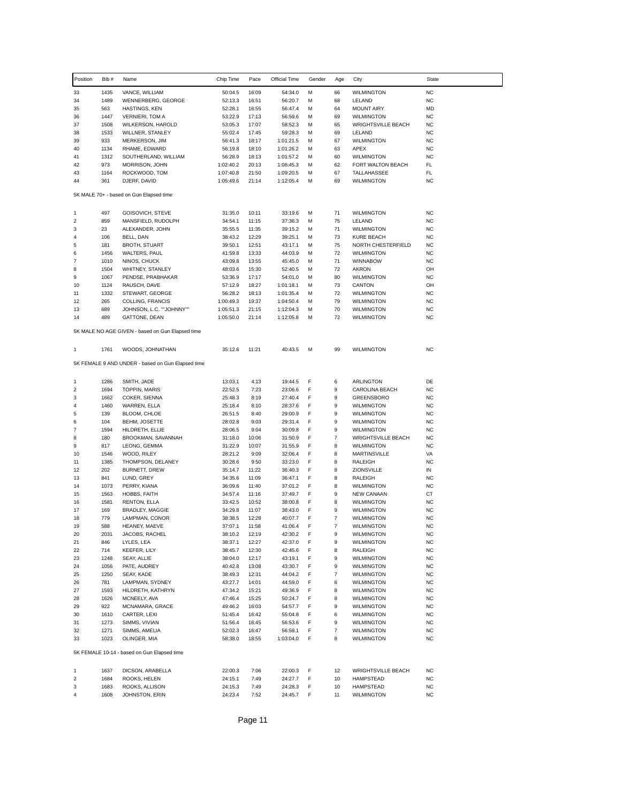| Position                  | Bib#        | Name                                              | Chip Time              | Pace           | Official Time          | Gender | Age              | City                                  | <b>State</b>    |
|---------------------------|-------------|---------------------------------------------------|------------------------|----------------|------------------------|--------|------------------|---------------------------------------|-----------------|
| 33                        | 1435        | VANCE, WILLIAM                                    | 50:04.5                | 16:09          | 54:34.0                | М      | 66               | <b>WILMINGTON</b>                     | <b>NC</b>       |
| 34                        | 1489        | WENNERBERG, GEORGE                                | 52:13.3                | 16:51          | 56:20.7                | M      | 68               | LELAND                                | <b>NC</b>       |
| 35                        | 563         | HASTINGS, KEN                                     | 52:28.1                | 16:55          | 56:47.4                | М      | 64               | <b>MOUNT AIRY</b>                     | MD              |
| 36                        | 1447        | <b>VERNIERI, TOM A</b>                            | 53:22.9                | 17:13          | 56:59.6                | М      | 69               | <b>WILMINGTON</b>                     | <b>NC</b>       |
| 37                        | 1508        | <b>WILKERSON, HAROLD</b>                          | 53:05.3                | 17:07          | 58:52.3                | М      | 65               | <b>WRIGHTSVILLE BEACH</b>             | <b>NC</b>       |
| 38                        | 1533        | WILLNER, STANLEY                                  | 55:02.4                | 17:45          | 59:28.3                | M      | 69               | LELAND                                | <b>NC</b>       |
| 39                        | 933         | MERKERSON, JIM                                    | 56:41.3                | 18:17          | 1:01:21.5              | М      | 67               | <b>WILMINGTON</b>                     | <b>NC</b>       |
| 40                        | 1134        | RHAME, EDWARD                                     | 56:19.8                | 18:10          | 1:01:26.2              | М      | 63               | APEX                                  | <b>NC</b>       |
| 41                        | 1312        | SOUTHERLAND, WILLIAM                              | 56:28.9                | 18:13          | 1:01:57.2              | М      | 60               | <b>WILMINGTON</b>                     | <b>NC</b>       |
| 42                        | 973         | MORRISON, JOHN                                    | 1:02:40.2              | 20:13          | 1:06:45.3              | M      | 62               | FORT WALTON BEACH                     | FL<br>FL.       |
| 43<br>44                  | 1164<br>361 | ROCKWOOD, TOM<br>DJERF, DAVID                     | 1:07:40.8<br>1:05:49.6 | 21:50<br>21:14 | 1:09:20.5<br>1:12:05.4 | М<br>М | 67<br>69         | TALLAHASSEE<br><b>WILMINGTON</b>      | <b>NC</b>       |
|                           |             |                                                   |                        |                |                        |        |                  |                                       |                 |
|                           |             | 5K MALE 70+ - based on Gun Elapsed time           |                        |                |                        |        |                  |                                       |                 |
| 1                         | 497         | GOISOVICH, STEVE                                  | 31:35.0                | 10:11          | 33:19.6                | М      | 71               | <b>WILMINGTON</b>                     | <b>NC</b>       |
| $\sqrt{2}$                | 859         | MANSFIELD, RUDOLPH                                | 34:54.1                | 11:15          | 37:36.3                | М      | 75               | LELAND                                | <b>NC</b>       |
| 3                         | 23          | ALEXANDER, JOHN                                   | 35:55.5                | 11:35          | 39:15.2                | М      | 71               | <b>WILMINGTON</b>                     | <b>NC</b>       |
| $\sqrt{4}$                | 106         | BELL, DAN                                         | 38:43.2                | 12:29          | 39:25.1                | M      | 73               | <b>KURE BEACH</b>                     | <b>NC</b>       |
| 5                         | 181         | <b>BROTH, STUART</b>                              | 39:50.1                | 12:51          | 43:17.1                | м      | 75               | NORTH CHESTERFIELD                    | <b>NC</b>       |
| 6                         | 1456        | WALTERS, PAUL                                     | 41:59.8                | 13:33          | 44:03.9                | М      | 72               | <b>WILMINGTON</b>                     | <b>NC</b>       |
| $\overline{7}$            | 1010        | NINOS, CHUCK                                      | 43:09.8                | 13:55          | 45:45.0                | М      | 71               | <b>WINNABOW</b>                       | <b>NC</b>       |
| 8                         | 1504        | WHITNEY, STANLEY                                  | 48:03.6                | 15:30          | 52:40.5                | М      | 72               | AKRON                                 | OH              |
| 9                         | 1067        | PENDSE, PRABHAKAR                                 | 53:36.9                | 17:17          | 54:01.0                | М      | 80               | <b>WILMINGTON</b>                     | <b>NC</b>       |
| 10                        | 1124        | RAUSCH, DAVE                                      | 57:12.9                | 18:27          | 1:01:18.1              | М      | 73               | CANTON                                | OH              |
| 11                        | 1332        | STEWART, GEORGE                                   | 56:28.2                | 18:13          | 1:01:35.4              | М      | 72               | <b>WILMINGTON</b>                     | <b>NC</b>       |
| 12                        | 265         | COLLING, FRANCIS                                  | 1:00:49.3              | 19:37          | 1:04:50.4              | М      | 79               | <b>WILMINGTON</b>                     | <b>NC</b>       |
| 13                        | 689         | JOHNSON, L.C. ""JOHNNY""                          | 1:05:51.3              | 21:15          | 1:12:04.3              | М      | 70               | <b>WILMINGTON</b>                     | <b>NC</b>       |
| 14                        | 489         | GATTONE, DEAN                                     | 1:05:50.0              | 21:14          | 1:12:05.8              | М      | 72               | <b>WILMINGTON</b>                     | <b>NC</b>       |
|                           |             | 5K MALE NO AGE GIVEN - based on Gun Elapsed time  |                        |                |                        |        |                  |                                       |                 |
| 1                         | 1761        | WOODS, JOHNATHAN                                  | 35:12.6                | 11:21          | 40:43.5                | M      | 99               | <b>WILMINGTON</b>                     | <b>NC</b>       |
|                           |             | 5K FEMALE 9 AND UNDER - based on Gun Elapsed time |                        |                |                        |        |                  |                                       |                 |
| 1                         | 1286        | SMITH, JADE                                       | 13:03.1                | 4:13           | 19:44.5                | F      | 6                | ARLINGTON                             | DE              |
| $\sqrt{2}$                | 1694        | <b>TOPPIN, MARIS</b>                              | 22:52.5                | 7:23           | 23:06.6                | F      | 9                | CAROLINA BEACH                        | <b>NC</b>       |
| 3                         | 1662        | COKER, SIENNA                                     | 25:48.3                | 8:19           | 27:40.4                | F      | 9                | <b>GREENSBORO</b>                     | <b>NC</b>       |
| 4                         | 1460        | WARREN, ELLA                                      | 25:18.4                | 8:10           | 28:37.6                | F      | 9                | <b>WILMINGTON</b>                     | <b>NC</b>       |
| 5                         | 139         | BLOOM, CHLOE                                      | 26:51.5                | 8:40           | 29:00.9                | F      | 9                | <b>WILMINGTON</b>                     | <b>NC</b>       |
| 6                         | 104         | BEHM, JOSETTE                                     | 28:02.8                | 9:03           | 29:31.4                | F      | 9                | <b>WILMINGTON</b>                     | <b>NC</b>       |
| $\overline{\mathfrak{c}}$ | 1594        | HILDRETH, ELLIE                                   | 28:06.5                | 9:04           | 30:09.8                | F      | 9                | <b>WILMINGTON</b>                     | <b>NC</b>       |
| 8                         | 180         | BROOKMAN, SAVANNAH                                | 31:18.0                | 10:06          | 31:50.9                | F      | $\overline{7}$   | <b>WRIGHTSVILLE BEACH</b>             | <b>NC</b>       |
| 9                         | 817         | LEONG, GEMMA                                      | 31:22.9                | 10:07          | 31:55.9                | F      | 8                | <b>WILMINGTON</b>                     | <b>NC</b>       |
| 10                        | 1546        | WOOD, RILEY                                       | 28:21.2                | 9:09           | 32:06.4                | F<br>F | 8<br>8           | <b>MARTINSVILLE</b><br><b>RALEIGH</b> | VA              |
| 11<br>12                  | 1385<br>202 | THOMPSON, DELANEY<br>BURNETT, DREW                | 30:28.6<br>35:14.7     | 9:50<br>11:22  | 33:23.0<br>36:40.3     | F      | 8                | ZIONSVILLE                            | <b>NC</b><br>IN |
| 13                        | 841         | LUND, GREY                                        | 34:35.6                | 11:09          | 36:47.1                | F      | 8                | RALEIGH                               | <b>NC</b>       |
| 14                        | 1073        | PERRY, KIANA                                      | 36:09.6                | 11:40          | 37:01.2                | F      | 8                | <b>WILMINGTON</b>                     | <b>NC</b>       |
| 15                        | 1563        | HOBBS, FAITH                                      | 34:57.4                | 11:16          | 37:49.7                | F      | 9                | <b>NEW CANAAN</b>                     | CT              |
| 16                        | 1581        | RENTON, ELLA                                      | 33:42.5                | 10:52          | 38:00.8                | F      | 8                | <b>WILMINGTON</b>                     | <b>NC</b>       |
| 17                        | 169         | BRADLEY, MAGGIE                                   | 34:29.8                | 11:07          | 38:43.0                | F      | 9                | <b>WILMINGTON</b>                     | <b>NC</b>       |
| 18                        | 779         | LAMPMAN, CONOR                                    | 38:38.5                | 12:28          | 40:07.7                | F      | $\overline{7}$   | <b>WILMINGTON</b>                     | <b>NC</b>       |
| 19                        | 588         | HEANEY, MAEVE                                     | 37:07.1                | 11:58          | 41:06.4                | F      | 7                | <b>WILMINGTON</b>                     | NC              |
| 20                        | 2031        | JACOBS, RACHEL                                    | 38:10.2                | 12:19          | 42:30.2                | F      | 9                | <b>WILMINGTON</b>                     | <b>NC</b>       |
| 21                        | 846         | LYLES, LEA                                        | 38:37.1                | 12:27          | 42:37.0                | F      | 9                | <b>WILMINGTON</b>                     | <b>NC</b>       |
| 22                        | 714         | KEEFER, LILY                                      | 38:45.7                | 12:30          | 42:45.6                | F      | 8                | RALEIGH                               | <b>NC</b>       |
| 23                        | 1248        | SEAY, ALLIE                                       | 38:04.0                | 12:17          | 43:19.1                | F      | 9                | <b>WILMINGTON</b>                     | <b>NC</b>       |
| 24                        | 1056        | PATE, AUDREY                                      | 40:42.8                | 13:08          | 43:30.7                | F      | 9                | <b>WILMINGTON</b>                     | <b>NC</b>       |
| 25                        | 1250        | SEAY, KADE                                        | 38:49.3                | 12:31          | 44:04.2                | F      | $\boldsymbol{7}$ | <b>WILMINGTON</b>                     | <b>NC</b>       |
| 26                        | 781         | LAMPMAN, SYDNEY                                   | 43:27.7                | 14:01          | 44:59.0                | F      | 6                | <b>WILMINGTON</b>                     | <b>NC</b>       |
| 27                        | 1593        | HILDRETH, KATHRYN                                 | 47:34.2                | 15:21          | 49:36.9                | F      | 8                | <b>WILMINGTON</b>                     | <b>NC</b>       |
| 28                        | 1626        | MCNEELY, AVA                                      | 47:46.4                | 15:25          | 50:24.7                | F      | 8                | <b>WILMINGTON</b>                     | <b>NC</b>       |
| 29                        | 922         | MCNAMARA, GRACE                                   | 49:46.2                | 16:03          | 54:57.7                | F      | 9                | <b>WILMINGTON</b>                     | <b>NC</b>       |
| 30                        | 1610        | CARTER, LEXI                                      | 51:45.4                | 16:42          | 55:04.8                | F      | 6                | <b>WILMINGTON</b>                     | <b>NC</b>       |
| 31                        | 1273        | SIMMS, VIVIAN                                     | 51:56.4                | 16:45          | 56:53.6                | F      | 9                | <b>WILMINGTON</b>                     | <b>NC</b>       |
| 32                        | 1271        | SIMMS, AMELIA                                     | 52:02.3                | 16:47          | 56:59.1                | F      | $\boldsymbol{7}$ | <b>WILMINGTON</b>                     | <b>NC</b>       |
| 33                        | 1023        | OLINGER, MIA                                      | 58:38.0                | 18:55          | 1:03:04.0              | F      | 8                | <b>WILMINGTON</b>                     | <b>NC</b>       |
|                           |             | 5K FEMALE 10-14 - based on Gun Elapsed time       |                        |                |                        |        |                  |                                       |                 |
| 1                         | 1637        | DICSON, ARABELLA                                  | 22:00.3                | 7:06           | 22:00.3                | F      | 12               | <b>WRIGHTSVILLE BEACH</b>             | <b>NC</b>       |
| $\boldsymbol{2}$          | 1684        | ROOKS, HELEN                                      | 24:15.1                | 7:49           | 24:27.7                | F      | 10               | HAMPSTEAD                             | <b>NC</b>       |
| 3                         | 1683        | ROOKS, ALLISON                                    | 24:15.3                | 7:49           | 24:28.3                | F      | 10               | HAMPSTEAD                             | <b>NC</b>       |
| 4                         | 1608        | JOHNSTON, ERIN                                    | 24:23.4                | 7:52           | 24:45.7                | F      | 11               | <b>WILMINGTON</b>                     | <b>NC</b>       |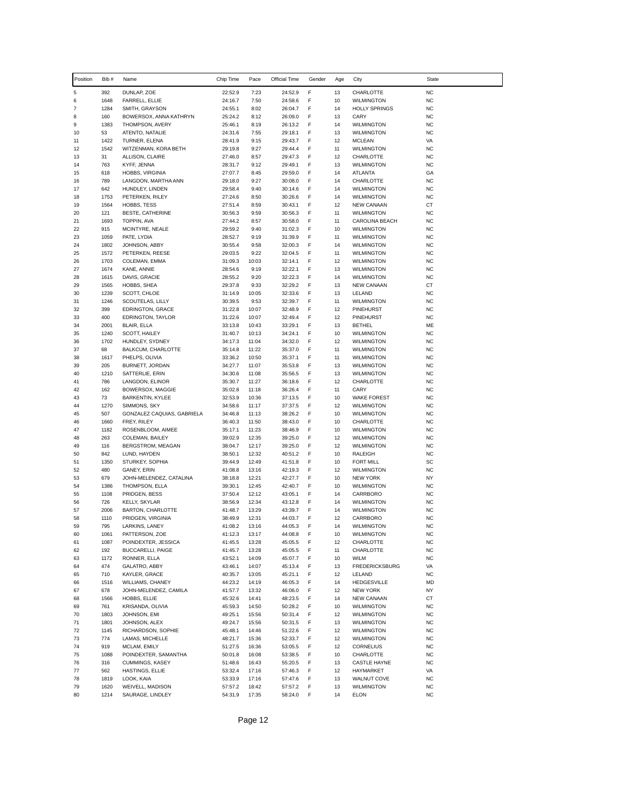| Position       | Bib#         | Name                                        | Chip Time          | Pace           | Official Time      | Gender | Age      | City                                   | <b>State</b>           |
|----------------|--------------|---------------------------------------------|--------------------|----------------|--------------------|--------|----------|----------------------------------------|------------------------|
| 5              | 392          | DUNLAP, ZOE                                 | 22:52.9            | 7:23           | 24:52.9            | F      | 13       | CHARLOTTE                              | <b>NC</b>              |
| 6              | 1648         | FARRELL, ELLIE                              | 24:16.7            | 7:50           | 24:58.6            | F      | 10       | <b>WILMINGTON</b>                      | <b>NC</b>              |
| $\overline{7}$ | 1284         | SMITH, GRAYSON                              | 24:55.1            | 8:02           | 26:04.7            | F      | 14       | <b>HOLLY SPRINGS</b>                   | <b>NC</b>              |
| 8<br>9         | 160<br>1383  | BOWERSOX, ANNA KATHRYN<br>THOMPSON, AVERY   | 25:24.2<br>25:46.1 | 8:12<br>8:19   | 26:09.0<br>26:13.2 | F<br>F | 13<br>14 | CARY<br><b>WILMINGTON</b>              | <b>NC</b><br><b>NC</b> |
| 10             | 53           | ATENTO, NATALIE                             | 24:31.6            | 7:55           | 29:18.1            | F      | 13       | <b>WILMINGTON</b>                      | <b>NC</b>              |
| 11             | 1422         | TURNER, ELENA                               | 28:41.9            | 9:15           | 29:43.7            | F      | 12       | <b>MCLEAN</b>                          | VA                     |
| 12             | 1542         | WITZENMAN, KORA BETH                        | 29:19.8            | 9:27           | 29:44.4            | F      | 11       | <b>WILMINGTON</b>                      | <b>NC</b>              |
| 13             | 31           | ALLISON, CLAIRE                             | 27:46.0            | 8:57           | 29:47.3            | F      | 12       | CHARLOTTE                              | <b>NC</b>              |
| 14             | 763          | KYFF, JENNA                                 | 28:31.7            | 9:12           | 29:49.1            | F      | 13       | <b>WILMINGTON</b>                      | <b>NC</b>              |
| 15<br>16       | 618<br>789   | HOBBS, VIRGINIA<br>LANGDON, MARTHA ANN      | 27:07.7<br>29:18.0 | 8:45<br>9:27   | 29:59.0<br>30:08.0 | F<br>F | 14<br>14 | <b>ATLANTA</b><br>CHARLOTTE            | GA<br><b>NC</b>        |
| 17             | 642          | HUNDLEY, LINDEN                             | 29:58.4            | 9:40           | 30:14.6            | F      | 14       | <b>WILMINGTON</b>                      | <b>NC</b>              |
| 18             | 1753         | PETERKEN, RILEY                             | 27:24.6            | 8:50           | 30:26.6            | F      | 14       | <b>WILMINGTON</b>                      | <b>NC</b>              |
| 19             | 1564         | HOBBS, TESS                                 | 27:51.4            | 8:59           | 30:43.1            | F      | 12       | <b>NEW CANAAN</b>                      | СT                     |
| 20             | 121          | <b>BESTE, CATHERINE</b>                     | 30:56.3            | 9:59           | 30:56.3            | F      | 11       | <b>WILMINGTON</b>                      | <b>NC</b>              |
| 21             | 1693         | TOPPIN, AVA                                 | 27:44.2            | 8:57           | 30:58.0            | F      | 11       | CAROLINA BEACH                         | <b>NC</b>              |
| 22             | 915          | MCINTYRE, NEALE                             | 29:59.2            | 9:40           | 31:02.3            | F      | 10       | <b>WILMINGTON</b>                      | <b>NC</b>              |
| 23<br>24       | 1059<br>1802 | PATE, LYDIA<br>JOHNSON, ABBY                | 28:52.7<br>30:55.4 | 9:19<br>9:58   | 31:39.9<br>32:00.3 | F<br>F | 11<br>14 | <b>WILMINGTON</b><br><b>WILMINGTON</b> | <b>NC</b><br><b>NC</b> |
| 25             | 1572         | PETERKEN, REESE                             | 29:03.5            | 9:22           | 32:04.5            | F      | 11       | <b>WILMINGTON</b>                      | <b>NC</b>              |
| 26             | 1703         | COLEMAN, EMMA                               | 31:09.3            | 10:03          | 32:14.1            | F      | 12       | <b>WILMINGTON</b>                      | <b>NC</b>              |
| 27             | 1674         | KANE, ANNIE                                 | 28:54.6            | 9:19           | 32:22.1            | F      | 13       | <b>WILMINGTON</b>                      | <b>NC</b>              |
| 28             | 1615         | DAVIS, GRACIE                               | 28:55.2            | 9:20           | 32:22.3            | F      | 14       | <b>WILMINGTON</b>                      | <b>NC</b>              |
| 29             | 1565         | HOBBS, SHEA                                 | 29:37.8            | 9:33           | 32:29.2            | F      | 13       | <b>NEW CANAAN</b>                      | СT                     |
| 30             | 1239         | SCOTT, CHLOE                                | 31:14.9            | 10:05          | 32:33.6            | F<br>F | 13       | LELAND                                 | <b>NC</b>              |
| 31<br>32       | 1246<br>399  | SCOUTELAS, LILLY<br><b>EDRINGTON, GRACE</b> | 30:39.5<br>31:22.8 | 9:53<br>10:07  | 32:39.7<br>32:48.9 | F      | 11<br>12 | <b>WILMINGTON</b><br>PINEHURST         | <b>NC</b><br><b>NC</b> |
| 33             | 400          | <b>EDRINGTON, TAYLOR</b>                    | 31:22.6            | 10:07          | 32:49.4            | F      | 12       | <b>PINEHURST</b>                       | <b>NC</b>              |
| 34             | 2001         | BLAIR, ELLA                                 | 33:13.8            | 10:43          | 33:29.1            | F      | 13       | <b>BETHEL</b>                          | ME                     |
| 35             | 1240         | SCOTT, HAILEY                               | 31:40.7            | 10:13          | 34:24.1            | F      | 10       | <b>WILMINGTON</b>                      | <b>NC</b>              |
| 36             | 1702         | HUNDLEY, SYDNEY                             | 34:17.3            | 11:04          | 34:32.0            | F      | 12       | <b>WILMINGTON</b>                      | <b>NC</b>              |
| 37             | 68           | BALKCUM, CHARLOTTE                          | 35:14.8            | 11:22          | 35:37.0            | F      | 11       | <b>WILMINGTON</b>                      | <b>NC</b>              |
| 38<br>39       | 1617<br>205  | PHELPS, OLIVIA<br>BURNETT, JORDAN           | 33:36.2<br>34:27.7 | 10:50<br>11:07 | 35:37.1<br>35:53.8 | F<br>F | 11<br>13 | <b>WILMINGTON</b><br><b>WILMINGTON</b> | <b>NC</b><br><b>NC</b> |
| 40             | 1210         | SATTERLIE, ERIN                             | 34:30.6            | 11:08          | 35:56.5            | F      | 13       | <b>WILMINGTON</b>                      | <b>NC</b>              |
| 41             | 786          | LANGDON, ELINOR                             | 35:30.7            | 11:27          | 36:18.6            | F      | 12       | CHARLOTTE                              | <b>NC</b>              |
| 42             | 162          | BOWERSOX, MAGGIE                            | 35:02.8            | 11:18          | 36:26.4            | F      | 11       | CARY                                   | <b>NC</b>              |
| 43             | 73           | BARKENTIN, KYLEE                            | 32:53.9            | 10:36          | 37:13.5            | F      | 10       | <b>WAKE FOREST</b>                     | <b>NC</b>              |
| 44             | 1270         | SIMMONS, SKY                                | 34:58.6            | 11:17          | 37:37.5            | F      | 12       | <b>WILMINGTON</b>                      | <b>NC</b>              |
| 45<br>46       | 507<br>1660  | GONZALEZ CAQUIAS, GABRIELA<br>FREY, RILEY   | 34:46.8<br>36:40.3 | 11:13<br>11:50 | 38:26.2<br>38:43.0 | F<br>F | 10<br>10 | <b>WILMINGTON</b><br>CHARLOTTE         | <b>NC</b><br><b>NC</b> |
| 47             | 1182         | ROSENBLOOM, AIMEE                           | 35:17.1            | 11:23          | 38:46.9            | F      | 10       | <b>WILMINGTON</b>                      | <b>NC</b>              |
| 48             | 263          | COLEMAN, BAILEY                             | 39:02.9            | 12:35          | 39:25.0            | F      | 12       | <b>WILMINGTON</b>                      | <b>NC</b>              |
| 49             | 116          | BERGSTROM, MEAGAN                           | 38:04.7            | 12:17          | 39:25.0            | F      | 12       | <b>WILMINGTON</b>                      | <b>NC</b>              |
| 50             | 842          | LUND, HAYDEN                                | 38:50.1            | 12:32          | 40:51.2            | F      | 10       | RALEIGH                                | <b>NC</b>              |
| 51             | 1350         | STURKEY, SOPHIA                             | 39:44.9            | 12:49          | 41:51.8            | F      | 10       | <b>FORT MILL</b>                       | SC                     |
| 52             | 480          | GANEY, ERIN                                 | 41:08.8            | 13:16          | 42:19.3            | F      | 12       | <b>WILMINGTON</b>                      | <b>NC</b>              |
| 53<br>54       | 679<br>1386  | JOHN-MELENDEZ, CATALINA<br>THOMPSON, ELLA   | 38:18.8<br>39:30.1 | 12:21<br>12:45 | 42:27.7<br>42:40.7 | F<br>F | 10<br>10 | <b>NEW YORK</b><br><b>WILMINGTON</b>   | NY<br><b>NC</b>        |
| 55             | 1108         | PRIDGEN, BESS                               | 37:50.4            | 12:12          | 43:05.1            | F      | 14       | CARRBORO                               | <b>NC</b>              |
| 56             | 726          | KELLY, SKYLAR                               | 38:56.9            | 12:34          | 43:12.8            | F      | 14       | <b>WILMINGTON</b>                      | NC                     |
| 57             | 2006         | <b>BARTON, CHARLOTTE</b>                    | 41:48.7            | 13:29          | 43:39.7            | F      | 14       | <b>WILMINGTON</b>                      | <b>NC</b>              |
| 58             | 1110         | PRIDGEN, VIRGINIA                           | 38:49.9            | 12:31          | 44:03.7            | F      | 12       | CARRBORO                               | <b>NC</b>              |
| 59             | 795          | LARKINS, LANEY                              | 41:08.2            | 13:16          | 44:05.3            | F      | 14       | <b>WILMINGTON</b>                      | <b>NC</b>              |
| 60<br>61       | 1061<br>1087 | PATTERSON, ZOE<br>POINDEXTER, JESSICA       | 41:12.3<br>41:45.5 | 13:17<br>13:28 | 44:08.8<br>45:05.5 | F<br>F | 10<br>12 | <b>WILMINGTON</b><br>CHARLOTTE         | <b>NC</b><br>NC        |
| 62             | 192          | BUCCARELLI, PAIGE                           | 41:45.7            | 13:28          | 45:05.5            | F      | 11       | CHARLOTTE                              | NC                     |
| 63             | 1172         | RONNER, ELLA                                | 43:52.1            | 14:09          | 45:07.7            | F      | 10       | <b>WILM</b>                            | NC                     |
| 64             | 474          | GALATRO, ABBY                               | 43:46.1            | 14:07          | 45:13.4            | F      | 13       | <b>FREDERICKSBURG</b>                  | VA                     |
| 65             | 710          | KAYLER, GRACE                               | 40:35.7            | 13:05          | 45:21.1            | F      | 12       | LELAND                                 | NC                     |
| 66             | 1516         | WILLIAMS, CHANEY                            | 44:23.2            | 14:19          | 46:05.3            | F      | 14       | <b>HEDGESVILLE</b>                     | MD                     |
| 67             | 678<br>1566  | JOHN-MELENDEZ, CAMILA                       | 41:57.7            | 13:32          | 46:06.0            | F<br>F | 12       | <b>NEW YORK</b>                        | NY                     |
| 68<br>69       | 761          | HOBBS, ELLIE<br>KRISANDA, OLIVIA            | 45:32.6<br>45:59.3 | 14:41<br>14:50 | 48:23.5<br>50:28.2 | F      | 14<br>10 | <b>NEW CANAAN</b><br><b>WILMINGTON</b> | СT<br>NC               |
| 70             | 1803         | JOHNSON, EMI                                | 49:25.1            | 15:56          | 50:31.4            | F      | 12       | <b>WILMINGTON</b>                      | <b>NC</b>              |
| 71             | 1801         | JOHNSON, ALEX                               | 49:24.7            | 15:56          | 50:31.5            | F      | 13       | <b>WILMINGTON</b>                      | NC                     |
| 72             | 1145         | RICHARDSON, SOPHIE                          | 45:48.1            | 14:46          | 51:22.6            | F      | 12       | <b>WILMINGTON</b>                      | NC                     |
| 73             | 774          | LAMAS, MICHELLE                             | 48:21.7            | 15:36          | 52:33.7            | F      | 12       | <b>WILMINGTON</b>                      | <b>NC</b>              |
| 74             | 919          | MCLAM, EMILY                                | 51:27.5            | 16:36          | 53:05.5            | F      | 12       | <b>CORNELIUS</b>                       | NC                     |
| 75             | 1088         | POINDEXTER, SAMANTHA                        | 50:01.8            | 16:08          | 53:38.5            | F      | 10       | CHARLOTTE                              | NC                     |
| 76<br>$77 \,$  | 316<br>562   | CUMMINGS, KASEY<br>HASTINGS, ELLIE          | 51:48.6<br>53:32.4 | 16:43<br>17:16 | 55:20.5<br>57:46.3 | F<br>F | 13<br>12 | <b>CASTLE HAYNE</b><br>HAYMARKET       | <b>NC</b><br>VA        |
| 78             | 1819         | LOOK, KAIA                                  | 53:33.9            | 17:16          | 57:47.6            | F      | 13       | <b>WALNUT COVE</b>                     | NC                     |
| 79             | 1620         | WEIVELL, MADISON                            | 57:57.2            | 18:42          | 57:57.2            | F      | 13       | <b>WILMINGTON</b>                      | <b>NC</b>              |
| 80             | 1214         | SAURAGE, LINDLEY                            | 54:31.9            | 17:35          | 58:24.0            | F      | 14       | <b>ELON</b>                            | NC                     |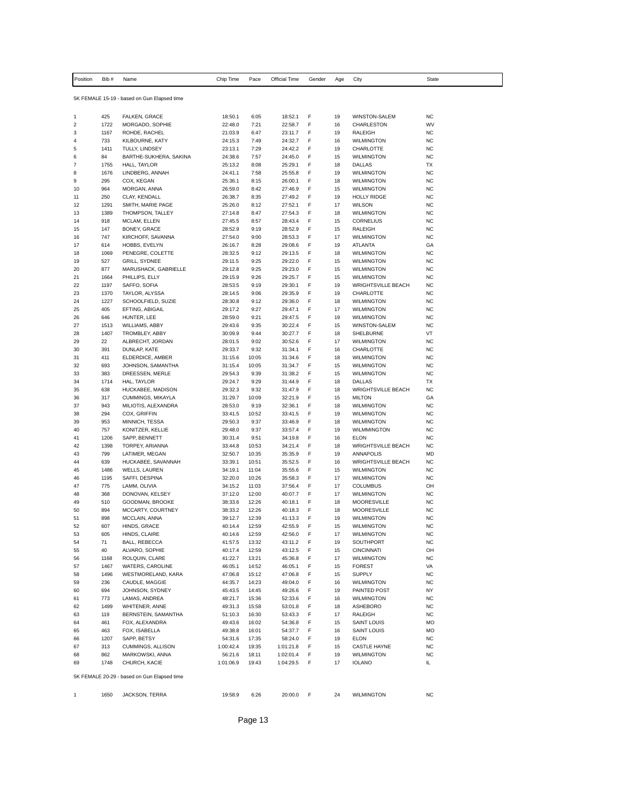| Position                   | Bib#         | Name                                        | Chip Time            | Pace           | Official Time          | Gender | Age      | City                                           | State                  |
|----------------------------|--------------|---------------------------------------------|----------------------|----------------|------------------------|--------|----------|------------------------------------------------|------------------------|
|                            |              |                                             |                      |                |                        |        |          |                                                |                        |
|                            |              | 5K FEMALE 15-19 - based on Gun Elapsed time |                      |                |                        |        |          |                                                |                        |
|                            |              |                                             |                      |                |                        |        |          |                                                |                        |
| $\mathbf{1}$<br>$\sqrt{2}$ | 425<br>1722  | FALKEN, GRACE<br>MORGADO, SOPHIE            | 18:50.1<br>22:48.0   | 6:05<br>7:21   | 18:52.1<br>22:58.7     | F<br>F | 19<br>16 | <b>WINSTON-SALEM</b><br>CHARLESTON             | <b>NC</b><br>WV        |
| 3                          | 1167         | ROHDE, RACHEL                               | 21:03.9              | 6:47           | 23:11.7                | F      | 19       | RALEIGH                                        | <b>NC</b>              |
| 4                          | 733          | KILBOURNE, KATY                             | 24:15.3              | 7:49           | 24:32.7                | F      | 16       | <b>WILMINGTON</b>                              | NC                     |
| 5                          | 1411         | TULLY, LINDSEY                              | 23:13.1              | 7:29           | 24:42.2                | F      | 19       | CHARLOTTE                                      | <b>NC</b>              |
| 6                          | 84           | BARTHE-SUKHERA, SAKINA                      | 24:38.6              | 7:57           | 24:45.0                | F      | 15       | <b>WILMINGTON</b>                              | <b>NC</b>              |
| $\boldsymbol{7}$           | 1755         | HALL, TAYLOR                                | 25:13.2              | 8:08           | 25:29.1                | F      | 18       | DALLAS                                         | ТX                     |
| 8<br>9                     | 1676<br>295  | LINDBERG, ANNAH<br>COX, KEGAN               | 24:41.1<br>25:36.1   | 7:58<br>8:15   | 25:55.8<br>26:00.1     | F<br>F | 19<br>18 | <b>WILMINGTON</b><br><b>WILMINGTON</b>         | <b>NC</b><br><b>NC</b> |
| 10                         | 964          | MORGAN, ANNA                                | 26:59.0              | 8:42           | 27:46.9                | F      | 15       | <b>WILMINGTON</b>                              | <b>NC</b>              |
| 11                         | 250          | CLAY, KENDALL                               | 26:38.7              | 8:35           | 27:49.2                | F      | 19       | <b>HOLLY RIDGE</b>                             | <b>NC</b>              |
| 12                         | 1291         | SMITH, MARIE PAGE                           | 25:26.0              | 8:12           | 27:52.1                | F      | 17       | <b>WILSON</b>                                  | <b>NC</b>              |
| 13                         | 1389         | THOMPSON, TALLEY                            | 27:14.8              | 8:47           | 27:54.3                | F      | 18       | <b>WILMINGTON</b>                              | <b>NC</b>              |
| 14<br>15                   | 918<br>147   | MCLAM, ELLEN<br>BONEY, GRACE                | 27:45.5<br>28:52.9   | 8:57<br>9:19   | 28:43.4<br>28:52.9     | F<br>F | 15<br>15 | CORNELIUS<br>RALEIGH                           | <b>NC</b><br>NC        |
| 16                         | 747          | KIRCHOFF, SAVANNA                           | 27:54.0              | 9:00           | 28:53.3                | F      | 17       | <b>WILMINGTON</b>                              | <b>NC</b>              |
| 17                         | 614          | HOBBS, EVELYN                               | 26:16.7              | 8:28           | 29:08.6                | F      | 19       | ATLANTA                                        | GA                     |
| 18                         | 1069         | PENEGRE, COLETTE                            | 28:32.5              | 9:12           | 29:13.5                | F      | 18       | <b>WILMINGTON</b>                              | <b>NC</b>              |
| 19                         | 527          | <b>GRILL, SYDNEE</b>                        | 29:11.5              | 9:25           | 29:22.0                | F      | 15       | <b>WILMINGTON</b>                              | <b>NC</b>              |
| 20                         | 877          | MARUSHACK, GABRIELLE                        | 29:12.8              | 9:25           | 29:23.0                | F<br>F | 15       | <b>WILMINGTON</b>                              | <b>NC</b><br><b>NC</b> |
| 21<br>22                   | 1664<br>1197 | PHILLIPS, ELLY<br>SAFFO, SOFIA              | 29:15.9<br>28:53.5   | 9:26<br>9:19   | 29:25.7<br>29:30.1     | F      | 15<br>19 | <b>WILMINGTON</b><br><b>WRIGHTSVILLE BEACH</b> | <b>NC</b>              |
| 23                         | 1370         | TAYLOR, ALYSSA                              | 28:14.5              | 9:06           | 29:35.9                | F      | 19       | CHARLOTTE                                      | <b>NC</b>              |
| 24                         | 1227         | SCHOOLFIELD, SUZIE                          | 28:30.8              | 9:12           | 29:36.0                | F      | 18       | <b>WILMINGTON</b>                              | <b>NC</b>              |
| 25                         | 405          | EFTING, ABIGAIL                             | 29:17.2              | 9:27           | 29:47.1                | F      | 17       | <b>WILMINGTON</b>                              | <b>NC</b>              |
| 26                         | 646          | HUNTER, LEE                                 | 28:59.0              | 9:21           | 29:47.5                | F      | 19       | <b>WILMINGTON</b>                              | <b>NC</b>              |
| 27<br>28                   | 1513<br>1407 | <b>WILLIAMS, ABBY</b><br>TROMBLEY, ABBY     | 29:43.6<br>30:09.9   | 9:35<br>9:44   | 30:22.4<br>30:27.7     | F<br>F | 15<br>18 | WINSTON-SALEM<br>SHELBURNE                     | <b>NC</b><br>VT        |
| 29                         | 22           | ALBRECHT, JORDAN                            | 28:01.5              | 9:02           | 30:52.6                | F      | 17       | <b>WILMINGTON</b>                              | NC                     |
| 30                         | 391          | DUNLAP, KATE                                | 29:33.7              | 9:32           | 31:34.1                | F      | 16       | CHARLOTTE                                      | <b>NC</b>              |
| 31                         | 411          | ELDERDICE, AMBER                            | 31:15.6              | 10:05          | 31:34.6                | F      | 18       | <b>WILMINGTON</b>                              | <b>NC</b>              |
| 32                         | 693          | JOHNSON, SAMANTHA                           | 31:15.4              | 10:05          | 31:34.7                | F      | 15       | <b>WILMINGTON</b>                              | NC                     |
| 33                         | 383          | DREESSEN, MERLE                             | 29:54.3              | 9:39           | 31:38.2                | F      | 15       | <b>WILMINGTON</b>                              | <b>NC</b>              |
| 34<br>35                   | 1714<br>638  | HAL, TAYLOR<br>HUCKABEE, MADISON            | 29:24.7<br>29:32.3   | 9:29<br>9:32   | 31:44.9<br>31:47.9     | F<br>F | 18<br>18 | DALLAS<br><b>WRIGHTSVILLE BEACH</b>            | TX<br><b>NC</b>        |
| 36                         | 317          | CUMMINGS, MIKAYLA                           | 31:29.7              | 10:09          | 32:21.9                | F      | 15       | <b>MILTON</b>                                  | GA                     |
| 37                         | 943          | MILIOTIS, ALEXANDRA                         | 28:53.0              | 9:19           | 32:36.1                | F      | 18       | <b>WILMINGTON</b>                              | <b>NC</b>              |
| 38                         | 294          | COX, GRIFFIN                                | 33:41.5              | 10:52          | 33:41.5                | F      | 19       | <b>WILMINGTON</b>                              | <b>NC</b>              |
| 39                         | 953          | MINNICH, TESSA                              | 29:50.3              | 9:37           | 33:46.9                | F      | 18       | <b>WILMINGTON</b>                              | <b>NC</b>              |
| 40<br>41                   | 757<br>1206  | KONITZER, KELLIE<br>SAPP, BENNETT           | 29:48.0<br>30:31.4   | 9:37<br>9:51   | 33:57.4<br>34:19.8     | F<br>F | 19<br>16 | <b>WILMMINGTON</b><br><b>ELON</b>              | <b>NC</b><br><b>NC</b> |
| 42                         | 1398         | TORPEY, ARIANNA                             | 33:44.8              | 10:53          | 34:21.4                | F      | 18       | <b>WRIGHTSVILLE BEACH</b>                      | <b>NC</b>              |
| 43                         | 799          | LATIMER, MEGAN                              | 32:50.7              | 10:35          | 35:35.9                | F      | 19       | ANNAPOLIS                                      | MD                     |
| 44                         | 639          | HUCKABEE, SAVANNAH                          | 33:39.1              | 10:51          | 35:52.5                | F      | 16       | WRIGHTSVILLE BEACH                             | <b>NC</b>              |
| 45                         | 1486         | <b>WELLS, LAUREN</b>                        | 34:19.1              | 11:04          | 35:55.6                | F      | 15       | <b>WILMINGTON</b>                              | <b>NC</b>              |
| 46<br>47                   | 1195<br>775  | SAFFI, DESPINA<br>LAMM, OLIVIA              | 32:20.0<br>34:15.2   | 10:26<br>11:03 | 35:58.3<br>37:56.4     | F<br>F | 17<br>17 | <b>WILMINGTON</b><br><b>COLUMBUS</b>           | <b>NC</b><br>OH        |
| 48                         | 368          | DONOVAN, KELSEY                             | 37:12.0              | 12:00          | 40:07.7                | F      | 17       | <b>WILMINGTON</b>                              | <b>NC</b>              |
| 49                         | 510          | GOODMAN, BROOKE                             | 38:33.6              | 12:26          | 40:18.1                | F      | 18       | <b>MOORESVILLE</b>                             | <b>NC</b>              |
| 50                         | 894          | MCCARTY, COURTNEY                           | 38:33.2              | 12:26          | 40:18.3                | F      | 18       | <b>MOORESVILLE</b>                             | NC                     |
| 51                         | 898          | MCCLAIN, ANNA                               | 39:12.7              | 12:39          | 41:13.3                | F      | 19       | <b>WILMINGTON</b>                              | <b>NC</b>              |
| 52                         | 607          | HINDS, GRACE                                | 40:14.4              | 12:59          | 42:55.9                | F<br>F | 15       | <b>WILMINGTON</b>                              | <b>NC</b><br><b>NC</b> |
| 53<br>54                   | 605<br>71    | HINDS, CLAIRE<br>BALL, REBECCA              | 40:14.6<br>41:57.5   | 12:59<br>13:32 | 42:56.0<br>43:11.2     | F      | 17<br>19 | <b>WILMINGTON</b><br>SOUTHPORT                 | NC                     |
| 55                         | 40           | ALVARO, SOPHIE                              | 40:17.4              | 12:59          | 43:12.5                | F      | 15       | <b>CINCINNATI</b>                              | OH                     |
| 56                         | 1168         | ROLQUIN, CLARE                              | 41:22.7              | 13:21          | 45:36.8                | F      | 17       | <b>WILMINGTON</b>                              | NC                     |
| 57                         | 1467         | WATERS, CAROLINE                            | 46:05.1              | 14:52          | 46:05.1                | F      | 15       | <b>FOREST</b>                                  | VA                     |
| 58                         | 1496         | WESTMORELAND, KARA                          | 47:06.8              | 15:12          | 47:06.8                | F      | 15       | <b>SUPPLY</b>                                  | NC                     |
| 59                         | 236<br>694   | CAUDLE, MAGGIE<br>JOHNSON, SYDNEY           | 44:35.7              | 14:23          | 49:04.0                | F<br>F | 16       | <b>WILMINGTON</b>                              | <b>NC</b><br>NY        |
| 60<br>61                   | 773          | LAMAS, ANDREA                               | 45:43.5<br>48:21.7   | 14:45<br>15:36 | 49:26.6<br>52:33.6     | F      | 19<br>16 | PAINTED POST<br><b>WILMINGTON</b>              | NC                     |
| 62                         | 1499         | WHITENER, ANNE                              | 49:31.3              | 15:58          | 53:01.8                | F      | 18       | ASHEBORO                                       | <b>NC</b>              |
| 63                         | 119          | BERNSTEIN, SAMANTHA                         | 51:10.3              | 16:30          | 53:43.3                | F      | 17       | RALEIGH                                        | NC                     |
| 64                         | 461          | FOX, ALEXANDRA                              | 49:43.6              | 16:02          | 54:36.8                | F      | 15       | SAINT LOUIS                                    | MO                     |
| 65                         | 463          | FOX, ISABELLA                               | 49:38.8              | 16:01          | 54:37.7                | F      | 16       | <b>SAINT LOUIS</b>                             | MO                     |
| 66                         | 1207<br>313  | SAPP, BETSY<br>CUMMINGS, ALLISON            | 54:31.6<br>1:00:42.4 | 17:35          | 58:24.0                | F<br>F | 19       | <b>ELON</b>                                    | <b>NC</b><br>NC        |
| 67<br>68                   | 862          | MARKOWSKI, ANNA                             | 56:21.6              | 19:35<br>18:11 | 1:01:21.8<br>1:02:01.4 | F      | 15<br>19 | <b>CASTLE HAYNE</b><br><b>WILMINGTON</b>       | NC                     |
| 69                         | 1748         | CHURCH, KACIE                               | 1:01:06.9            | 19:43          | 1:04:29.5              | F      | 17       | <b>IOLANO</b>                                  | IL.                    |
|                            |              |                                             |                      |                |                        |        |          |                                                |                        |
|                            |              | 5K FEMALE 20-29 - based on Gun Elapsed time |                      |                |                        |        |          |                                                |                        |
|                            |              |                                             |                      |                |                        |        |          |                                                |                        |
| $\mathbf{1}$               | 1650         | JACKSON, TERRA                              | 19:58.9              | 6:26           | 20:00.0                | F      | 24       | <b>WILMINGTON</b>                              | <b>NC</b>              |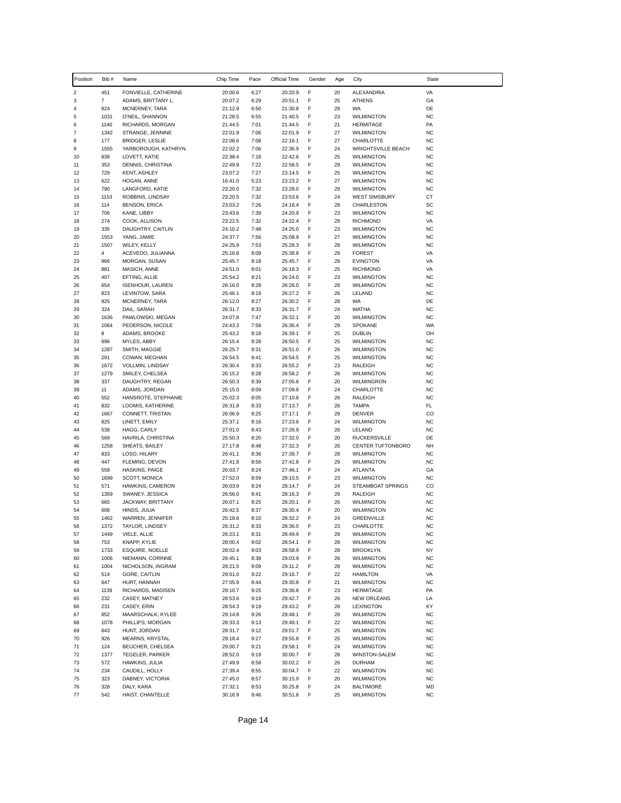| Position            | Bib #          | Name                                 | Chip Time          | Pace         | Official Time      | Gender | Age      | City                                      | <b>State</b>           |
|---------------------|----------------|--------------------------------------|--------------------|--------------|--------------------|--------|----------|-------------------------------------------|------------------------|
| $\boldsymbol{2}$    | 451            | FONVIELLE, CATHERINE                 | 20:00.6            | 6:27         | 20:20.9            | F      | 20       | ALEXANDRIA                                | VA                     |
| 3                   | $\overline{7}$ | ADAMS, BRITTANY L.                   | 20:07.2            | 6:29         | 20:51.1            | F      | 25       | <b>ATHENS</b>                             | GA                     |
| 4                   | 924            | MCNERNEY, TARA                       | 21:12.9            | 6:50         | 21:30.8            | F      | 28       | WA                                        | DE                     |
| 5                   | 1031           | O'NEIL, SHANNON                      | 21:28.5            | 6:55         | 21:40.5            | F      | 23       | <b>WILMINGTON</b>                         | <b>NC</b>              |
| 6<br>$\overline{7}$ | 1140<br>1342   | RICHARDS, MORGAN                     | 21:44.5<br>22:01.9 | 7:01<br>7:06 | 21:44.5<br>22:01.9 | F<br>F | 21<br>27 | <b>HERMITAGE</b>                          | PA<br><b>NC</b>        |
| 8                   | 177            | STRANGE, JENNINE<br>BRIDGER, LESLIE  | 22:08.6            | 7:08         | 22:16.1            | F      | 27       | <b>WILMINGTON</b><br>CHARLOTTE            | <b>NC</b>              |
| 9                   | 1555           | YARBOROUGH, KATHRYN                  | 22:02.2            | 7:06         | 22:36.9            | F      | 24       | <b>WRIGHTSVILLE BEACH</b>                 | <b>NC</b>              |
| 10                  | 839            | LOVETT, KATIE                        | 22:38.4            | 7:18         | 22:42.6            | F      | 25       | <b>WILMINGTON</b>                         | <b>NC</b>              |
| 11                  | 353            | DENNIS, CHRISTINA                    | 22:49.9            | 7:22         | 22:58.5            | F      | 29       | <b>WILMINGTON</b>                         | <b>NC</b>              |
| 12                  | 729            | <b>KENT, ASHLEY</b>                  | 23:07.2            | 7:27         | 23:14.5            | F      | 25       | <b>WILMINGTON</b>                         | <b>NC</b>              |
| 13                  | 622            | HOGAN, ANNE                          | 16:41.0            | 5:23         | 23:23.2            | F      | 27       | <b>WILMINGTON</b>                         | <b>NC</b>              |
| 14<br>15            | 790<br>1153    | LANGFORD, KATIE<br>ROBBINS, LINDSAY  | 23:20.0<br>23:20.5 | 7:32<br>7:32 | 23:28.0<br>23:53.6 | F<br>F | 29<br>24 | <b>WILMINGTON</b><br><b>WEST SIMSBURY</b> | <b>NC</b><br>СT        |
| 16                  | 114            | <b>BENSON, ERICA</b>                 | 23:03.2            | 7:26         | 24:18.4            | F      | 28       | CHARLESTON                                | SC                     |
| 17                  | 706            | KANE, LIBBY                          | 23:43.6            | 7:39         | 24:20.9            | F      | 23       | <b>WILMINGTON</b>                         | <b>NC</b>              |
| 18                  | 274            | COOK, ALLISON                        | 23:22.5            | 7:32         | 24:22.4            | F      | 28       | <b>RICHMOND</b>                           | VA                     |
| 19                  | 335            | DAUGHTRY, CAITLIN                    | 24:10.2            | 7:48         | 24:25.0            | F      | 23       | <b>WILMINGTON</b>                         | <b>NC</b>              |
| 20                  | 1553           | YANG, JAMIE                          | 24:37.7            | 7:56         | 25:08.9            | F      | 27       | <b>WILMINGTON</b>                         | <b>NC</b>              |
| 21                  | 1507           | WILEY, KELLY                         | 24:25.9            | 7:53         | 25:28.3            | F      | 28       | <b>WILMINGTON</b>                         | <b>NC</b>              |
| 22<br>23            | 4<br>966       | ACEVEDO, JULIANNA<br>MORGAN, SUSAN   | 25:16.8<br>25:45.7 | 8:09<br>8:18 | 25:38.8<br>25:45.7 | F<br>F | 29<br>29 | <b>FOREST</b><br><b>EVINGTON</b>          | VA<br>VA               |
| 24                  | 881            | MASICH, ANNE                         | 24:51.0            | 8:01         | 26:18.3            | F      | 25       | <b>RICHMOND</b>                           | VA                     |
| 25                  | 407            | EFTING, ALLIE                        | 25:54.2            | 8:21         | 26:24.0            | F      | 23       | <b>WILMINGTON</b>                         | <b>NC</b>              |
| 26                  | 654            | <b>ISENHOUR, LAUREN</b>              | 26:16.0            | 8:28         | 26:26.0            | F      | 28       | <b>WILMINGTON</b>                         | <b>NC</b>              |
| 27                  | 823            | LEVINTOW, SARA                       | 25:46.1            | 8:19         | 26:27.2            | F      | 26       | LELAND                                    | <b>NC</b>              |
| 28                  | 925            | MCNERNEY, TARA                       | 26:12.0            | 8:27         | 26:30.2            | F      | 28       | <b>WA</b>                                 | DE                     |
| 29                  | 324            | DAIL, SARAH                          | 26:31.7            | 8:33         | 26:31.7            | F      | 24       | <b>WATHA</b>                              | <b>NC</b>              |
| 30<br>31            | 1636<br>1064   | PAWLOWSKI, MEGAN<br>PEDERSON, NICOLE | 24:07.8<br>24:43.3 | 7:47<br>7:58 | 26:32.1<br>26:36.4 | F<br>F | 20<br>29 | <b>WILMINGTON</b><br>SPOKANE              | <b>NC</b><br>WA        |
| 32                  | 8              | ADAMS, BROOKE                        | 25:43.2            | 8:18         | 26:39.1            | F      | 25       | <b>DUBLIN</b>                             | OH                     |
| 33                  | 996            | MYLES, ABBY                          | 26:15.4            | 8:28         | 26:50.5            | F      | 25       | <b>WILMINGTON</b>                         | <b>NC</b>              |
| 34                  | 1287           | SMITH, MAGGIE                        | 26:25.7            | 8:31         | 26:51.0            | F      | 26       | <b>WILMINGTON</b>                         | <b>NC</b>              |
| 35                  | 291            | COWAN, MEGHAN                        | 26:54.5            | 8:41         | 26:54.5            | F      | 25       | <b>WILMINGTON</b>                         | <b>NC</b>              |
| 36                  | 1672           | VOLLMIN, LINDSAY                     | 26:30.4            | 8:33         | 26:55.2            | F      | 23       | RALEIGH                                   | <b>NC</b>              |
| 37                  | 1279           | SMILEY, CHELSEA                      | 26:15.2            | 8:28         | 26:58.2            | F      | 26       | <b>WILMINGTON</b>                         | <b>NC</b>              |
| 38<br>39            | 337<br>11      | DAUGHTRY, REGAN<br>ADAMS, JORDAN     | 26:50.3<br>25:15.0 | 8:39<br>8:09 | 27:05.6<br>27:09.8 | F<br>F | 20<br>24 | WILMINGRON<br>CHARLOTTE                   | <b>NC</b><br><b>NC</b> |
| 40                  | 552            | HANSROTE, STEPHANIE                  | 25:02.3            | 8:05         | 27:10.8            | F      | 26       | RALEIGH                                   | <b>NC</b>              |
| 41                  | 832            | LOOMIS, KATHERINE                    | 26:31.8            | 8:33         | 27:13.7            | F      | 26       | TAMPA                                     | FL                     |
| 42                  | 1667           | CONNETT, TRISTAN                     | 26:06.9            | 8:25         | 27:17.1            | F      | 29       | <b>DENVER</b>                             | CO                     |
| 43                  | 825            | LINETT, EMILY                        | 25:37.1            | 8:16         | 27:23.6            | F      | 24       | <b>WILMINGTON</b>                         | <b>NC</b>              |
| 44                  | 538            | HAGG, CARLY                          | 27:01.0            | 8:43         | 27:26.9            | F      | 26       | LELAND                                    | <b>NC</b>              |
| 45                  | 569            | HAVRILA, CHRISTINA                   | 25:50.3            | 8:20         | 27:32.0            | F      | 20       | <b>RUCKERSVILLE</b>                       | DE                     |
| 46<br>47            | 1258<br>833    | SHEATS, BAILEY<br>LOSO, HILARY       | 27:17.8<br>26:41.1 | 8:48<br>8:36 | 27:32.3<br>27:39.7 | F<br>F | 26<br>28 | CENTER TUFTONBORO<br><b>WILMINGTON</b>    | NH<br><b>NC</b>        |
| 48                  | 447            | FLEMING, DEVON                       | 27:41.8            | 8:56         | 27:41.8            | F      | 29       | <b>WILMINGTON</b>                         | <b>NC</b>              |
| 49                  | 558            | HASKINS, PAIGE                       | 26:03.7            | 8:24         | 27:46.1            | F      | 24       | ATLANTA                                   | GA                     |
| 50                  | 1699           | SCOTT, MONICA                        | 27:52.0            | 8:59         | 28:10.5            | F      | 23       | <b>WILMINGTON</b>                         | <b>NC</b>              |
| 51                  | 571            | HAWKINS, CAMERON                     | 26:03.9            | 8:24         | 28:14.7            | F      | 24       | STEAMBOAT SPRINGS                         | CO                     |
| 52                  | 1359           | SWANEY, JESSICA                      | 26:56.0            | 8:41         | 28:16.3            | F      | 29       | <b>RALEIGH</b>                            | <b>NC</b>              |
| 53<br>54            | 665<br>608     | JACKWAY, BRITTANY<br>HINDS, JULIA    | 26:07.1<br>26:42.5 | 8:25<br>8:37 | 28:20.1<br>28:30.4 | F<br>F | 26<br>20 | <b>WILMINGTON</b><br><b>WILMINGTON</b>    | <b>NC</b><br><b>NC</b> |
| 55                  | 1462           | WARREN, JENNIFER                     | 25:18.6            | 8:10         | 28:32.2            | F      | 24       | <b>GREENVILLE</b>                         | <b>NC</b>              |
| 56                  | 1372           | TAYLOR, LINDSEY                      | 26:31.2            | 8:33         | 28:36.0            | F      | 23       | CHARI OTTF                                | NC.                    |
| 57                  | 1449           | VIELE, ALLIE                         | 26:23.1            | 8:31         | 28:49.9            | F      | 29       | <b>WILMINGTON</b>                         | NC                     |
| 58                  | 753            | KNAPP, KYLIE                         | 28:00.4            | 9:02         | 28:54.1            | F      | 28       | <b>WILMINGTON</b>                         | NC                     |
| 59                  | 1733           | ESQUIRE, NOELLE                      | 28:02.4            | 9:03         | 28:58.9            | F      | 28       | BROOKLYN                                  | NY                     |
| 60                  | 1006           | NIEMANN, CORINNE                     | 26:45.1            | 8:38         | 29:03.9            | F      | 26       | <b>WILMINGTON</b>                         | NC                     |
| 61<br>62            | 1004<br>514    | NICHOLSON, INGRAM<br>GORE, CAITLIN   | 28:21.5<br>29:01.0 | 9:09<br>9:22 | 29:11.2            | F<br>F | 28<br>22 | <b>WILMINGTON</b><br><b>HAMILTON</b>      | NC<br>VA               |
| 63                  | 647            | HURT, HANNAH                         | 27:05.9            | 8:44         | 29:16.7<br>29:30.8 | F      | 21       | <b>WILMINGTON</b>                         | NC                     |
| 64                  | 1139           | RICHARDS, MADISEN                    | 29:10.7            | 9:25         | 29:36.8            | F      | 23       | <b>HERMITAGE</b>                          | PA                     |
| 65                  | 232            | CASEY, MATNEY                        | 28:53.6            | 9:19         | 29:42.7            | F      | 26       | NEW ORLEANS                               | LA                     |
| 66                  | 231            | CASEY, ERIN                          | 28:54.3            | 9:19         | 29:43.2            | F      | 28       | <b>LEXINGTON</b>                          | KY                     |
| 67                  | 852            | MAARSCHALK, KYLEE                    | 29:14.8            | 9:26         | 29:48.1            | F      | 28       | <b>WILMINGTON</b>                         | NC                     |
| 68                  | 1078           | PHILLIPS, MORGAN                     | 28:33.3            | 9:13         | 29:49.1            | F      | 22       | <b>WILMINGTON</b>                         | NC                     |
| 69                  | 643            | HUNT, JORDAN                         | 28:31.7            | 9:12         | 29:51.7            | F      | 25       | <b>WILMINGTON</b>                         | NC                     |
| 70<br>71            | 926<br>124     | MEARNS, KRYSTAL<br>BEUCHER, CHELSEA  | 29:18.4<br>29:00.7 | 9:27<br>9:21 | 29:55.8<br>29:58.1 | F<br>F | 25<br>24 | <b>WILMINGTON</b><br><b>WILMINGTON</b>    | NC<br>NC               |
| 72                  | 1377           | TEGELER, PARKER                      | 28:52.0            | 9:19         | 30:00.7            | F      | 28       | WINSTON-SALEM                             | NC                     |
| 73                  | 572            | HAWKINS, JULIA                       | 27:49.9            | 8:58         | 30:02.2            | F      | 26       | <b>DURHAM</b>                             | NC                     |
| 74                  | 234            | CAUDILL, HOLLY                       | 27:39.4            | 8:55         | 30:04.7            | F      | 22       | <b>WILMINGTON</b>                         | NC                     |
| 75                  | 323            | DABNEY, VICTORIA                     | 27:45.0            | 8:57         | 30:15.9            | F      | 20       | <b>WILMINGTON</b>                         | <b>NC</b>              |
| 76                  | 328            | DALY, KARA                           | 27:32.1            | 8:53         | 30:25.8            | F      | 24       | <b>BALTIMORE</b>                          | MD                     |
| 77                  | 542            | HAIST, CHANTELLE                     | 30:16.9            | 9:46         | 30:51.8            | F      | 25       | <b>WILMINGTON</b>                         | NC                     |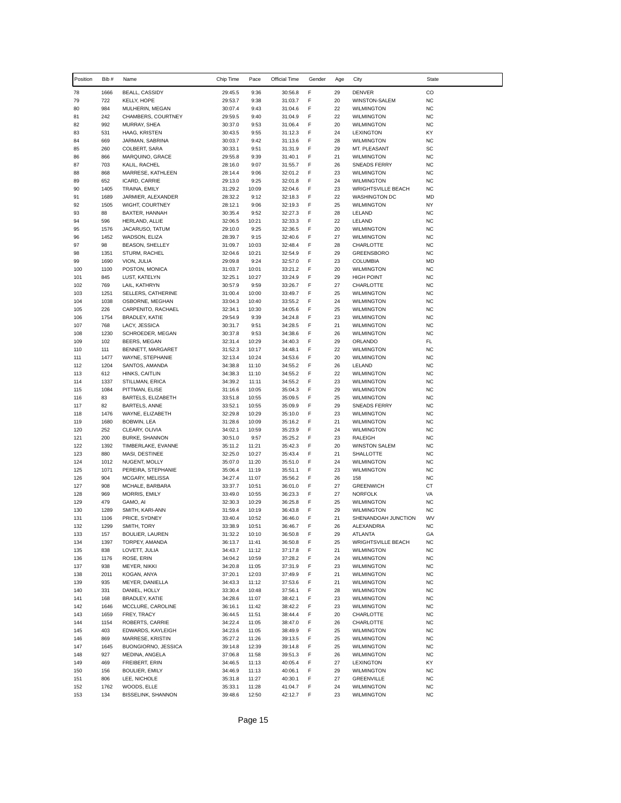| Position   | Bib#        | Name                                        | Chip Time          | Pace           | Official Time      | Gender | Age      | City                                   | State                  |
|------------|-------------|---------------------------------------------|--------------------|----------------|--------------------|--------|----------|----------------------------------------|------------------------|
| 78         | 1666        | BEALL, CASSIDY                              | 29:45.5            | 9:36           | 30:56.8            | F      | 29       | DENVER                                 | CO                     |
| 79         | 722         | <b>KELLY, HOPE</b>                          | 29:53.7            | 9:38           | 31:03.7            | F      | 20       | <b>WINSTON-SALEM</b>                   | <b>NC</b>              |
| 80         | 984         | MULHERIN, MEGAN                             | 30:07.4            | 9:43           | 31:04.6            | F      | 22       | <b>WILMINGTON</b>                      | <b>NC</b>              |
| 81         | 242         | CHAMBERS, COURTNEY                          | 29:59.5            | 9:40           | 31:04.9            | F      | 22       | <b>WILMINGTON</b>                      | <b>NC</b>              |
| 82         | 992         | MURRAY, SHEA                                | 30:37.0            | 9:53           | 31:06.4            | F      | 20       | <b>WILMINGTON</b>                      | <b>NC</b>              |
| 83<br>84   | 531<br>669  | HAAG, KRISTEN<br>JARMAN, SABRINA            | 30:43.5<br>30:03.7 | 9:55<br>9:42   | 31:12.3<br>31:13.6 | F<br>F | 24<br>28 | LEXINGTON<br><b>WILMINGTON</b>         | KY<br><b>NC</b>        |
| 85         | 260         | COLBERT, SARA                               | 30:33.1            | 9:51           | 31:31.9            | F      | 29       | MT. PLEASANT                           | SC                     |
| 86         | 866         | MARQUINO, GRACE                             | 29:55.8            | 9:39           | 31:40.1            | F      | 21       | <b>WILMINGTON</b>                      | <b>NC</b>              |
| 87         | 703         | KALIL, RACHEL                               | 28:16.0            | 9:07           | 31:55.7            | F      | 26       | SNEADS FERRY                           | <b>NC</b>              |
| 88         | 868         | MARRESE, KATHLEEN                           | 28:14.4            | 9:06           | 32:01.2            | F      | 23       | <b>WILMINGTON</b>                      | <b>NC</b>              |
| 89         | 652         | ICARD, CARRIE                               | 29:13.0            | 9:25           | 32:01.8            | F      | 24       | <b>WILMINGTON</b>                      | <b>NC</b>              |
| 90         | 1405        | TRAINA, EMILY                               | 31:29.2            | 10:09          | 32:04.6            | F      | 23       | <b>WRIGHTSVILLE BEACH</b>              | <b>NC</b>              |
| 91         | 1689        | JARMIER, ALEXANDER                          | 28:32.2            | 9:12           | 32:18.3            | F      | 22       | <b>WASHINGTON DC</b>                   | MD                     |
| 92         | 1505        | WIGHT, COURTNEY                             | 28:12.1            | 9:06           | 32:19.3            | F      | 25       | <b>WILMINGTON</b>                      | NY                     |
| 93<br>94   | 88<br>596   | BAXTER, HANNAH<br>HERLAND, ALLIE            | 30:35.4<br>32:06.5 | 9:52<br>10:21  | 32:27.3<br>32:33.3 | F<br>F | 28<br>22 | LELAND<br>LELAND                       | <b>NC</b><br><b>NC</b> |
| 95         | 1576        | JACARUSO, TATUM                             | 29:10.0            | 9:25           | 32:36.5            | F      | 20       | <b>WILMINGTON</b>                      | <b>NC</b>              |
| 96         | 1452        | WADSON, ELIZA                               | 28:39.7            | 9:15           | 32:40.6            | F      | 27       | <b>WILMINGTON</b>                      | <b>NC</b>              |
| 97         | 98          | BEASON, SHELLEY                             | 31:09.7            | 10:03          | 32:48.4            | F      | 28       | CHARLOTTE                              | <b>NC</b>              |
| 98         | 1351        | STURM, RACHEL                               | 32:04.6            | 10:21          | 32:54.9            | F      | 29       | GREENSBORO                             | <b>NC</b>              |
| 99         | 1690        | VION, JULIA                                 | 29:09.8            | 9:24           | 32:57.0            | F      | 23       | COLUMBIA                               | MD                     |
| 100        | 1100        | POSTON, MONICA                              | 31:03.7            | 10:01          | 33:21.2            | F      | 20       | <b>WILMINGTON</b>                      | <b>NC</b>              |
| 101        | 845         | LUST, KATELYN                               | 32:25.1            | 10:27          | 33:24.9            | F      | 29       | <b>HIGH POINT</b>                      | <b>NC</b>              |
| 102        | 769         | LAIL, KATHRYN                               | 30:57.9            | 9:59           | 33:26.7            | F      | 27       | CHARLOTTE                              | <b>NC</b>              |
| 103        | 1251        | SELLERS, CATHERINE                          | 31:00.4            | 10:00          | 33:49.7            | F      | 25       | <b>WILMINGTON</b>                      | <b>NC</b>              |
| 104        | 1038        | OSBORNE, MEGHAN                             | 33:04.3            | 10:40          | 33:55.2            | F<br>F | 24       | <b>WILMINGTON</b>                      | <b>NC</b>              |
| 105<br>106 | 226<br>1754 | CARPENITO, RACHAEL<br><b>BRADLEY, KATIE</b> | 32:34.1<br>29:54.9 | 10:30<br>9:39  | 34:05.6<br>34:24.8 | F      | 25<br>23 | <b>WILMINGTON</b><br><b>WILMINGTON</b> | <b>NC</b><br><b>NC</b> |
| 107        | 768         | LACY, JESSICA                               | 30:31.7            | 9:51           | 34:28.5            | F      | 21       | <b>WILMINGTON</b>                      | <b>NC</b>              |
| 108        | 1230        | SCHROEDER, MEGAN                            | 30:37.8            | 9:53           | 34:38.6            | F      | 26       | <b>WILMINGTON</b>                      | <b>NC</b>              |
| 109        | 102         | BEERS, MEGAN                                | 32:31.4            | 10:29          | 34:40.3            | F      | 29       | ORLANDO                                | FL                     |
| 110        | 111         | BENNETT, MARGARET                           | 31:52.3            | 10:17          | 34:48.1            | F      | 22       | <b>WILMINGTON</b>                      | <b>NC</b>              |
| 111        | 1477        | WAYNE, STEPHANIE                            | 32:13.4            | 10:24          | 34:53.6            | F      | 20       | <b>WILMINGTON</b>                      | <b>NC</b>              |
| 112        | 1204        | SANTOS, AMANDA                              | 34:38.8            | 11:10          | 34:55.2            | F      | 26       | LELAND                                 | <b>NC</b>              |
| 113        | 612         | HINKS, CAITLIN                              | 34:38.3            | 11:10          | 34:55.2            | F      | 22       | <b>WILMINGTON</b>                      | <b>NC</b>              |
| 114        | 1337        | STILLMAN, ERICA                             | 34:39.2            | 11:11          | 34:55.2            | F      | 23       | <b>WILMINGTON</b>                      | <b>NC</b>              |
| 115        | 1084        | PITTMAN, ELISE                              | 31:16.6            | 10:05          | 35:04.3            | F<br>F | 29<br>25 | <b>WILMINGTON</b>                      | <b>NC</b>              |
| 116<br>117 | 83<br>82    | BARTELS, ELIZABETH<br>BARTELS, ANNE         | 33:51.8<br>33:52.1 | 10:55<br>10:55 | 35:09.5<br>35:09.9 | F      | 29       | <b>WILMINGTON</b><br>SNEADS FERRY      | <b>NC</b><br><b>NC</b> |
| 118        | 1476        | WAYNE, ELIZABETH                            | 32:29.8            | 10:29          | 35:10.0            | F      | 23       | <b>WILMINGTON</b>                      | <b>NC</b>              |
| 119        | 1680        | <b>BOBWIN, LEA</b>                          | 31:28.6            | 10:09          | 35:16.2            | F      | 21       | <b>WILMINGTON</b>                      | <b>NC</b>              |
| 120        | 252         | CLEARY, OLIVIA                              | 34:02.1            | 10:59          | 35:23.9            | F      | 24       | <b>WILMINGTON</b>                      | <b>NC</b>              |
| 121        | 200         | <b>BURKE, SHANNON</b>                       | 30:51.0            | 9:57           | 35:25.2            | F      | 23       | <b>RALEIGH</b>                         | <b>NC</b>              |
| 122        | 1392        | TIMBERLAKE, EVANNE                          | 35:11.2            | 11:21          | 35:42.3            | F      | 20       | <b>WINSTON SALEM</b>                   | <b>NC</b>              |
| 123        | 880         | MASI, DESTINEE                              | 32:25.0            | 10:27          | 35:43.4            | F      | 21       | SHALLOTTE                              | <b>NC</b>              |
| 124        | 1012        | NUGENT, MOLLY                               | 35:07.0            | 11:20          | 35:51.0            | F      | 24       | <b>WILMINGTON</b>                      | <b>NC</b>              |
| 125        | 1071        | PEREIRA, STEPHANIE                          | 35:06.4            | 11:19          | 35:51.1            | F      | 23       | <b>WILMINGTON</b>                      | <b>NC</b>              |
| 126<br>127 | 904<br>908  | MCGARY, MELISSA<br>MCHALE, BARBARA          | 34:27.4<br>33:37.7 | 11:07<br>10:51 | 35:56.2<br>36:01.0 | F<br>F | 26<br>27 | 158<br><b>GREENWICH</b>                | <b>NC</b><br>СT        |
| 128        | 969         | MORRIS, EMILY                               | 33:49.0            | 10:55          | 36:23.3            | F      | 27       | <b>NORFOLK</b>                         | VA                     |
| 129        | 479         | GAMO, AI                                    | 32:30.3            | 10:29          | 36:25.8            | F      | 25       | <b>WILMINGTON</b>                      | <b>NC</b>              |
| 130        | 1289        | SMITH, KARI-ANN                             | 31:59.4            | 10:19          | 36:43.8            | F      | 29       | <b>WILMINGTON</b>                      | <b>NC</b>              |
| 131        | 1106        | PRICE, SYDNEY                               | 33:40.4            | 10:52          | 36:46.0            | F      | 21       | SHENANDOAH JUNCTION                    | WV                     |
| 132        | 1299        | SMITH, TORY                                 | 33:38.9            | 10:51          | 36:46.7            | F      | 26       | ALEXANDRIA                             | <b>NC</b>              |
| 133        | 157         | BOULIER, LAUREN                             | 31:32.2            | 10:10          | 36:50.8            | F      | 29       | ATLANTA                                | GA                     |
| 134        | 1397        | TORPEY, AMANDA                              | 36:13.7            | 11:41          | 36:50.8            | F      | 25       | <b>WRIGHTSVILLE BEACH</b>              | <b>NC</b>              |
| 135        | 838         | LOVETT, JULIA                               | 34:43.7            | 11:12          | 37:17.8            | F      | 21       | <b>WILMINGTON</b>                      | <b>NC</b>              |
| 136        | 1176        | ROSE, ERIN                                  | 34:04.2            | 10:59          | 37:28.2            | F      | 24       | <b>WILMINGTON</b>                      | <b>NC</b>              |
| 137<br>138 | 938<br>2011 | MEYER, NIKKI<br>KOGAN, ANYA                 | 34:20.8<br>37:20.1 | 11:05<br>12:03 | 37:31.9<br>37:49.9 | F<br>F | 23<br>21 | WILMINGTON<br><b>WILMINGTON</b>        | <b>NC</b><br>NC        |
| 139        | 935         | MEYER, DANIELLA                             | 34:43.3            | 11:12          | 37:53.6            | F      | 21       | WILMINGTON                             | <b>NC</b>              |
| 140        | 331         | DANIEL, HOLLY                               | 33:30.4            | 10:48          | 37:56.1            | F      | 28       | <b>WILMINGTON</b>                      | <b>NC</b>              |
| 141        | 168         | BRADLEY, KATIE                              | 34:28.6            | 11:07          | 38:42.1            | F      | 23       | <b>WILMINGTON</b>                      | <b>NC</b>              |
| 142        | 1646        | MCCLURE, CAROLINE                           | 36:16.1            | 11:42          | 38:42.2            | F      | 23       | <b>WILMINGTON</b>                      | NC                     |
| 143        | 1659        | FREY, TRACY                                 | 36:44.5            | 11:51          | 38:44.4            | F      | 20       | CHARLOTTE                              | <b>NC</b>              |
| 144        | 1154        | ROBERTS, CARRIE                             | 34:22.4            | 11:05          | 38:47.0            | F      | 26       | CHARLOTTE                              | <b>NC</b>              |
| 145        | 403         | EDWARDS, KAYLEIGH                           | 34:23.6            | 11:05          | 38:49.9            | F      | 25       | <b>WILMINGTON</b>                      | NC                     |
| 146        | 869         | MARRESE, KRISTIN                            | 35:27.2            | 11:26          | 39:13.5            | F      | 25       | <b>WILMINGTON</b>                      | <b>NC</b>              |
| 147        | 1645        | BUONGIORNO, JESSICA                         | 39:14.8            | 12:39          | 39:14.8            | F      | 25       | <b>WILMINGTON</b>                      | <b>NC</b>              |
| 148        | 927         | MEDINA, ANGELA                              | 37:06.8            | 11:58          | 39:51.3            | F<br>F | 26       | WILMINGTON                             | <b>NC</b>              |
| 149<br>150 | 469<br>156  | FREIBERT, ERIN<br><b>BOULIER, EMILY</b>     | 34:46.5<br>34:46.9 | 11:13<br>11:13 | 40:05.4<br>40:06.1 | F      | 27<br>29 | LEXINGTON<br>WILMINGTON                | KY<br><b>NC</b>        |
| 151        | 806         | LEE, NICHOLE                                | 35:31.8            | 11:27          | 40:30.1            | F      | 27       | GREENVILLE                             | <b>NC</b>              |
| 152        | 1762        | WOODS, ELLE                                 | 35:33.1            | 11:28          | 41:04.7            | F      | 24       | WILMINGTON                             | <b>NC</b>              |
| 153        | 134         | BISSELINK, SHANNON                          | 39:48.6            | 12:50          | 42:12.7            | F      | 23       | <b>WILMINGTON</b>                      | <b>NC</b>              |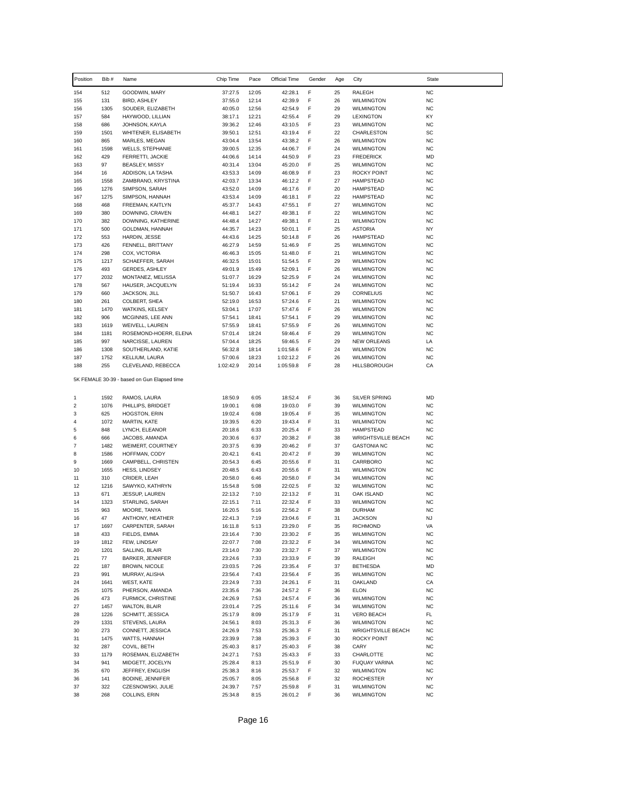| Position       | Bib #       | Name                                        | Chip Time          | Pace           | Official Time        | Gender | Age      | City                                           | <b>State</b>           |
|----------------|-------------|---------------------------------------------|--------------------|----------------|----------------------|--------|----------|------------------------------------------------|------------------------|
| 154            | 512         | GOODWIN, MARY                               | 37:27.5            | 12:05          | 42:28.1              | F      | 25       | RALEGH                                         | <b>NC</b>              |
| 155            | 131         | <b>BIRD, ASHLEY</b>                         | 37:55.0            | 12:14          | 42:39.9              | F      | 26       | <b>WILMINGTON</b>                              | <b>NC</b>              |
| 156            | 1305        | SOUDER, ELIZABETH                           | 40:05.0            | 12:56          | 42:54.9              | F      | 29       | <b>WILMINGTON</b>                              | <b>NC</b>              |
| 157            | 584         | HAYWOOD, LILLIAN                            | 38:17.1            | 12:21          | 42:55.4              | F      | 29       | <b>LEXINGTON</b>                               | KY                     |
| 158            | 686         | JOHNSON, KAYLA                              | 39:36.2            | 12:46          | 43:10.5              | F      | 23       | <b>WILMINGTON</b>                              | <b>NC</b>              |
| 159            | 1501        | WHITENER, ELISABETH                         | 39:50.1            | 12:51          | 43:19.4              | F      | 22       | CHARLESTON                                     | SC                     |
| 160<br>161     | 865         | MARLES, MEGAN                               | 43:04.4            | 13:54<br>12:35 | 43:38.2              | F<br>F | 26<br>24 | <b>WILMINGTON</b>                              | <b>NC</b><br><b>NC</b> |
| 162            | 1598<br>429 | <b>WELLS, STEPHANIE</b><br>FERRETTI, JACKIE | 39:00.5<br>44:06.6 | 14:14          | 44:06.7<br>44:50.9   | F      | 23       | <b>WILMINGTON</b><br><b>FREDERICK</b>          | <b>MD</b>              |
| 163            | 97          | BEASLEY, MISSY                              | 40:31.4            | 13:04          | 45:20.0              | F      | 25       | <b>WILMINGTON</b>                              | <b>NC</b>              |
| 164            | 16          | ADDISON, LA TASHA                           | 43:53.3            | 14:09          | 46:08.9              | F      | 23       | <b>ROCKY POINT</b>                             | <b>NC</b>              |
| 165            | 1558        | ZAMBRANO, KRYSTINA                          | 42:03.7            | 13:34          | 46:12.2              | F      | 27       | <b>HAMPSTEAD</b>                               | <b>NC</b>              |
| 166            | 1276        | SIMPSON, SARAH                              | 43:52.0            | 14:09          | 46:17.6              | F      | 20       | <b>HAMPSTEAD</b>                               | <b>NC</b>              |
| 167            | 1275        | SIMPSON, HANNAH                             | 43:53.4            | 14:09          | 46:18.1              | F      | 22       | <b>HAMPSTEAD</b>                               | <b>NC</b>              |
| 168            | 468         | FREEMAN, KAITLYN                            | 45:37.7            | 14:43          | 47:55.1              | F      | 27       | <b>WILMINGTON</b>                              | <b>NC</b>              |
| 169            | 380         | DOWNING, CRAVEN                             | 44:48.1            | 14:27          | 49:38.1              | F      | 22       | <b>WILMINGTON</b>                              | <b>NC</b>              |
| 170            | 382         | DOWNING, KATHERINE                          | 44:48.4            | 14:27          | 49:38.1              | F      | 21       | <b>WILMINGTON</b>                              | <b>NC</b>              |
| 171            | 500         | GOLDMAN, HANNAH                             | 44:35.7            | 14:23          | 50:01.1              | F      | 25       | <b>ASTORIA</b>                                 | <b>NY</b>              |
| 172<br>173     | 553         | HARDIN, JESSE                               | 44:43.6            | 14:25          | 50:14.8              | F<br>F | 26<br>25 | <b>HAMPSTEAD</b>                               | <b>NC</b><br><b>NC</b> |
| 174            | 426<br>298  | FENNELL, BRITTANY<br>COX, VICTORIA          | 46:27.9<br>46:46.3 | 14:59<br>15:05 | 51:46.9<br>51:48.0   | F      | 21       | <b>WILMINGTON</b><br><b>WILMINGTON</b>         | <b>NC</b>              |
| 175            | 1217        | SCHAEFFER, SARAH                            | 46:32.5            | 15:01          | 51:54.5              | F      | 29       | <b>WILMINGTON</b>                              | <b>NC</b>              |
| 176            | 493         | <b>GERDES, ASHLEY</b>                       | 49:01.9            | 15:49          | 52:09.1              | F      | 26       | <b>WILMINGTON</b>                              | <b>NC</b>              |
| 177            | 2032        | MONTANEZ, MELISSA                           | 51:07.7            | 16:29          | 52:25.9              | F      | 24       | <b>WILMINGTON</b>                              | <b>NC</b>              |
| 178            | 567         | HAUSER, JACQUELYN                           | 51:19.4            | 16:33          | 55:14.2              | F      | 24       | <b>WILMINGTON</b>                              | <b>NC</b>              |
| 179            | 660         | JACKSON, JILL                               | 51:50.7            | 16:43          | 57:06.1              | F      | 29       | <b>CORNELIUS</b>                               | <b>NC</b>              |
| 180            | 261         | COLBERT, SHEA                               | 52:19.0            | 16:53          | 57:24.6              | F      | 21       | <b>WILMINGTON</b>                              | <b>NC</b>              |
| 181            | 1470        | WATKINS, KELSEY                             | 53:04.1            | 17:07          | 57:47.6              | F      | 26       | <b>WILMINGTON</b>                              | <b>NC</b>              |
| 182            | 906         | MCGINNIS, LEE ANN                           | 57:54.1            | 18:41          | 57:54.1              | F      | 29       | <b>WILMINGTON</b>                              | <b>NC</b>              |
| 183            | 1619        | WEIVELL, LAUREN                             | 57:55.9            | 18:41          | 57:55.9              | F      | 26       | <b>WILMINGTON</b>                              | <b>NC</b>              |
| 184            | 1181        | ROSEMOND-HOERR, ELENA                       | 57:01.4            | 18:24          | 59:46.4              | F      | 29       | <b>WILMINGTON</b>                              | <b>NC</b>              |
| 185<br>186     | 997<br>1308 | NARCISSE, LAUREN<br>SOUTHERLAND, KATIE      | 57:04.4<br>56:32.8 | 18:25<br>18:14 | 59:46.5<br>1:01:58.6 | F<br>F | 29<br>24 | <b>NEW ORLEANS</b><br><b>WILMINGTON</b>        | LA<br><b>NC</b>        |
| 187            | 1752        | KELLIUM, LAURA                              | 57:00.6            | 18:23          | 1:02:12.2            | F      | 26       | <b>WILMINGTON</b>                              | <b>NC</b>              |
| 188            | 255         | CLEVELAND, REBECCA                          | 1:02:42.9          | 20:14          | 1:05:59.8            | F      | 28       | HILLSBOROUGH                                   | CA                     |
|                |             | 5K FEMALE 30-39 - based on Gun Elapsed time |                    |                |                      |        |          |                                                |                        |
| 1              | 1592        | RAMOS, LAURA                                | 18:50.9            | 6:05           | 18:52.4              | F      | 36       | <b>SILVER SPRING</b>                           | MD                     |
| 2              | 1076        | PHILLIPS, BRIDGET                           | 19:00.1            | 6:08           | 19:03.0              | F      | 39       | <b>WILMINGTON</b>                              | <b>NC</b>              |
| 3              | 625         | HOGSTON, ERIN                               | 19:02.4            | 6:08           | 19:05.4              | F      | 35       | <b>WILMINGTON</b>                              | <b>NC</b>              |
| 4<br>5         | 1072<br>848 | MARTIN, KATE                                | 19:39.5            | 6:20           | 19:43.4              | F<br>F | 31       | <b>WILMINGTON</b><br><b>HAMPSTEAD</b>          | <b>NC</b>              |
| 6              | 666         | LYNCH, ELEANOR<br>JACOBS, AMANDA            | 20:18.6<br>20:30.6 | 6:33<br>6:37   | 20:25.4<br>20:38.2   | F      | 33<br>38 | <b>WRIGHTSVILLE BEACH</b>                      | <b>NC</b><br><b>NC</b> |
| $\overline{7}$ | 1482        | WEIMERT, COURTNEY                           | 20:37.5            | 6:39           | 20:46.2              | F      | 37       | <b>GASTONIA NC</b>                             | <b>NC</b>              |
| 8              | 1586        | HOFFMAN, CODY                               | 20:42.1            | 6:41           | 20:47.2              | F      | 39       | <b>WILMINGTON</b>                              | <b>NC</b>              |
| 9              | 1669        | CAMPBELL, CHRISTEN                          | 20:54.3            | 6:45           | 20:55.6              | F      | 31       | CARRBORO                                       | <b>NC</b>              |
| 10             | 1655        | HESS, LINDSEY                               | 20:48.5            | 6:43           | 20:55.6              | F      | 31       | <b>WILMINGTON</b>                              | <b>NC</b>              |
| 11             | 310         | CRIDER, LEAH                                | 20:58.0            | 6:46           | 20:58.0              | F      | 34       | <b>WILMINGTON</b>                              | <b>NC</b>              |
| 12             | 1216        | SAWYKO, KATHRYN                             | 15:54.8            | 5:08           | 22:02.5              | F      | 32       | <b>WILMINGTON</b>                              | <b>NC</b>              |
| 13             | 671         | <b>JESSUP, LAUREN</b>                       | 22:13.2            | 7:10           | 22:13.2              | F      | 31       | OAK ISLAND                                     | <b>NC</b>              |
| 14             | 1323        | STARLING, SARAH                             | 22:15.1            | 7:11           | 22:32.4              | F      | 33       | <b>WILMINGTON</b>                              | <b>NC</b>              |
| 15             | 963<br>47   | MOORE, TANYA                                | 16:20.5<br>22:41.3 | 5:16           | 22:56.2              | F<br>F | 38       | <b>DURHAM</b>                                  | <b>NC</b>              |
| 16<br>17       | 1697        | ANTHONY, HEATHER<br>CARPENTER, SARAH        | 16:11.8            | 7:19<br>5:13   | 23:04.6<br>23:29.0   | F      | 31<br>35 | <b>JACKSON</b><br><b>RICHMOND</b>              | <b>NJ</b><br>VA        |
| 18             | 433         | FIELDS, EMMA                                | 23:16.4            | 7:30           | 23:30.2              | F      | 35       | <b>WILMINGTON</b>                              | <b>NC</b>              |
| 19             | 1812        | FEW, LINDSAY                                | 22:07.7            | 7:08           | 23:32.2              | F      | 34       | <b>WILMINGTON</b>                              | <b>NC</b>              |
| 20             | 1201        | SALLING, BLAIR                              | 23:14.0            | 7:30           | 23:32.7              | F      | 37       | WILMINGTON                                     | NC                     |
| 21             | 77          | <b>BARKER, JENNIFER</b>                     | 23:24.6            | 7:33           | 23:33.9              | F      | 39       | RALEIGH                                        | <b>NC</b>              |
| 22             | 187         | <b>BROWN, NICOLE</b>                        | 23:03.5            | 7:26           | 23:35.4              | F      | 37       | <b>BETHESDA</b>                                | MD                     |
| 23             | 991         | MURRAY, ALISHA                              | 23:56.4            | 7:43           | 23:56.4              | F      | 35       | <b>WILMINGTON</b>                              | <b>NC</b>              |
| 24             | 1641        | WEST, KATE                                  | 23:24.9            | 7:33           | 24:26.1              | F      | 31       | OAKLAND                                        | CA                     |
| 25             | 1075        | PHERSON, AMANDA                             | 23:35.6            | 7:36           | 24:57.2              | F      | 36       | <b>ELON</b>                                    | <b>NC</b>              |
| 26             | 473         | FURMICK, CHRISTINE                          | 24:26.9            | 7:53           | 24:57.4              | F      | 36       | <b>WILMINGTON</b>                              | <b>NC</b>              |
| 27             | 1457        | <b>WALTON, BLAIR</b>                        | 23:01.4            | 7:25           | 25:11.6              | F      | 34       | <b>WILMINGTON</b>                              | <b>NC</b>              |
| 28             | 1226        | SCHMITT, JESSICA                            | 25:17.9            | 8:09           | 25:17.9              | F      | 31       | <b>VERO BEACH</b>                              | FL                     |
| 29<br>30       | 1331<br>273 | STEVENS, LAURA<br>CONNETT, JESSICA          | 24:56.1<br>24:26.9 | 8:03<br>7:53   | 25:31.3              | F<br>F | 36<br>31 | <b>WILMINGTON</b><br><b>WRIGHTSVILLE BEACH</b> | <b>NC</b><br><b>NC</b> |
| 31             | 1475        | WATTS, HANNAH                               | 23:39.9            | 7:38           | 25:36.3<br>25:39.3   | F      | 30       | <b>ROCKY POINT</b>                             | <b>NC</b>              |
| 32             | 287         | COVIL, BETH                                 | 25:40.3            | 8:17           | 25:40.3              | F      | 38       | CARY                                           | <b>NC</b>              |
| 33             | 1179        | ROSEMAN, ELIZABETH                          | 24:27.1            | 7:53           | 25:43.3              | F      | 33       | CHARLOTTE                                      | <b>NC</b>              |
| 34             | 941         | MIDGETT, JOCELYN                            | 25:28.4            | 8:13           | 25:51.9              | F      | 30       | FUQUAY VARINA                                  | <b>NC</b>              |
| 35             | 670         | JEFFREY, ENGLISH                            | 25:38.3            | 8:16           | 25:53.7              | F      | 32       | <b>WILMINGTON</b>                              | <b>NC</b>              |
| 36             | 141         | BODINE, JENNIFER                            | 25:05.7            | 8:05           | 25:56.8              | F      | 32       | <b>ROCHESTER</b>                               | NY                     |
| 37             | 322         | CZESNOWSKI, JULIE                           | 24:39.7            | 7:57           | 25:59.8              | F      | 31       | WILMINGTON                                     | <b>NC</b>              |
| 38             | 268         | COLLINS, ERIN                               | 25:34.8            | 8:15           | 26:01.2              | F      | 36       | <b>WILMINGTON</b>                              | <b>NC</b>              |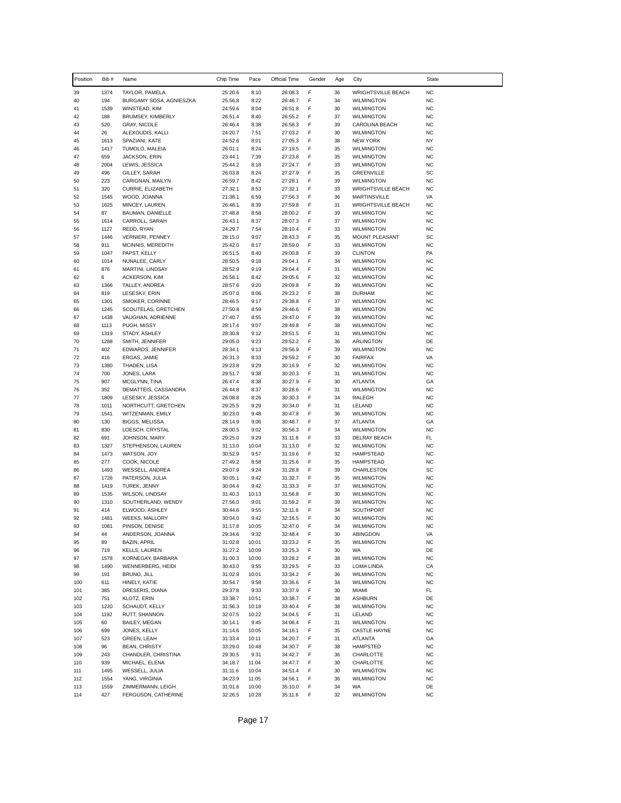| Position   | Bib#         | Name                                    | Chip Time          | Pace          | Official Time      | Gender | Age      | City                                             | <b>State</b>           |
|------------|--------------|-----------------------------------------|--------------------|---------------|--------------------|--------|----------|--------------------------------------------------|------------------------|
| 39         | 1374         | TAYLOR, PAMELA                          | 25:20.6            | 8:10          | 26:08.3            | F      | 36       | <b>WRIGHTSVILLE BEACH</b>                        | <b>NC</b>              |
| 40         | 194          | BURGAMY SOSA, AGNIESZKA                 | 25:56.8            | 8:22          | 26:46.7            | F      | 34       | <b>WILMINGTON</b>                                | <b>NC</b>              |
| 41         | 1539         | WINSTEAD, KIM                           | 24:59.6            | 8:04          | 26:51.8            | F      | 30       | <b>WILMINGTON</b>                                | <b>NC</b>              |
| 42         | 188          | BRUMSEY, KIMBERLY                       | 26:51.4            | 8:40          | 26:55.2            | F      | 37       | <b>WILMINGTON</b>                                | <b>NC</b>              |
| 43<br>44   | 520<br>26    | <b>GRAY, NICOLE</b><br>ALEXOUDIS, KALLI | 26:46.4<br>24:20.7 | 8:38<br>7:51  | 26:58.3<br>27:03.2 | F<br>F | 39<br>30 | CAROLINA BEACH<br><b>WILMINGTON</b>              | <b>NC</b><br><b>NC</b> |
| 45         | 1613         | SPAZIANI, KATE                          | 24:52.6            | 8:01          | 27:05.3            | F      | 38       | <b>NEW YORK</b>                                  | <b>NY</b>              |
| 46         | 1417         | TUMOLO, MALEIA                          | 26:01.1            | 8:24          | 27:19.5            | F      | 35       | <b>WILMINGTON</b>                                | <b>NC</b>              |
| 47         | 659          | JACKSON, ERIN                           | 23:44.1            | 7:39          | 27:23.8            | F      | 35       | <b>WILMINGTON</b>                                | <b>NC</b>              |
| 48         | 2004         | LEWIS, JESSICA                          | 25:44.2            | 8:18          | 27:24.7            | F      | 33       | <b>WILMINGTON</b>                                | <b>NC</b>              |
| 49         | 496          | GILLEY, SARAH                           | 26:03.8            | 8:24          | 27:27.9            | F      | 35       | <b>GREENVILLE</b>                                | SC                     |
| 50         | 223          | CARIGNAN, MAILYN                        | 26:59.7            | 8:42          | 27:28.1            | F      | 39       | <b>WILMINGTON</b>                                | <b>NC</b>              |
| 51<br>52   | 320<br>1545  | CURRIE, ELIZABETH<br>WOOD, JOANNA       | 27:32.1<br>21:38.1 | 8:53<br>6:59  | 27:32.1<br>27:56.3 | F<br>F | 33<br>36 | <b>WRIGHTSVILLE BEACH</b><br><b>MARTINSVILLE</b> | <b>NC</b><br>VA        |
| 53         | 1625         | MINCEY, LAUREN                          | 26:48.1            | 8:39          | 27:59.8            | F      | 31       | <b>WRIGHTSVILLE BEACH</b>                        | <b>NC</b>              |
| 54         | 87           | BAUMAN, DANIELLE                        | 27:48.8            | 8:58          | 28:00.2            | F      | 39       | <b>WILMINGTON</b>                                | <b>NC</b>              |
| 55         | 1614         | CARROLL, SARAH                          | 26:43.1            | 8:37          | 28:07.3            | F      | 37       | <b>WILMINGTON</b>                                | <b>NC</b>              |
| 56         | 1127         | REDD, RYAN                              | 24:29.7            | 7:54          | 28:10.4            | F      | 33       | <b>WILMINGTON</b>                                | <b>NC</b>              |
| 57         | 1446         | <b>VERNIERI, PENNEY</b>                 | 28:15.0            | 9:07          | 28:43.3            | F      | 35       | MOUNT PLEASANT                                   | SC                     |
| 58         | 911          | MCINNIS, MEREDITH                       | 25:42.0            | 8:17          | 28:59.0            | F<br>F | 33       | <b>WILMINGTON</b>                                | <b>NC</b>              |
| 59<br>60   | 1047<br>1014 | PAPST, KELLY<br>NUNALEE, CARLY          | 26:51.5<br>28:50.5 | 8:40<br>9:18  | 29:00.8<br>29:04.1 | F      | 39<br>34 | <b>CLINTON</b><br><b>WILMINGTON</b>              | PA<br><b>NC</b>        |
| 61         | 876          | MARTINI, LINDSAY                        | 28:52.9            | 9:19          | 29:04.4            | F      | 31       | <b>WILMINGTON</b>                                | <b>NC</b>              |
| 62         | 6            | <b>ACKERSON, KIM</b>                    | 26:58.1            | 8:42          | 29:05.6            | F      | 32       | <b>WILMINGTON</b>                                | <b>NC</b>              |
| 63         | 1366         | TALLEY, ANDREA                          | 28:57.6            | 9:20          | 29:09.8            | F      | 39       | <b>WILMINGTON</b>                                | <b>NC</b>              |
| 64         | 819          | LESESKY, ERIN                           | 25:07.0            | 8:06          | 29:23.2            | F      | 38       | <b>DURHAM</b>                                    | <b>NC</b>              |
| 65         | 1301         | SMOKER, CORINNE                         | 28:46.5            | 9:17          | 29:38.8            | F      | 37       | <b>WILMINGTON</b>                                | <b>NC</b>              |
| 66         | 1245         | SCOUTELAS, GRETCHEN                     | 27:50.8            | 8:59          | 29:46.6            | F<br>F | 38       | <b>WILMINGTON</b>                                | <b>NC</b>              |
| 67<br>68   | 1438<br>1113 | VAUGHAN, ADRIENNE<br>PUGH, MISSY        | 27:40.7<br>28:17.4 | 8:55<br>9:07  | 29:47.0<br>29:49.8 | F      | 39<br>38 | <b>WILMINGTON</b><br><b>WILMINGTON</b>           | <b>NC</b><br><b>NC</b> |
| 69         | 1319         | STADY, ASHLEY                           | 28:30.8            | 9:12          | 29:51.5            | F      | 31       | <b>WILMINGTON</b>                                | <b>NC</b>              |
| 70         | 1288         | SMITH, JENNIFER                         | 29:05.0            | 9:23          | 29:52.2            | F      | 36       | ARLINGTON                                        | DE                     |
| 71         | 402          | EDWARDS, JENNIFER                       | 28:34.1            | 9:13          | 29:56.9            | F      | 39       | <b>WILMINGTON</b>                                | <b>NC</b>              |
| 72         | 416          | ERGAS, JAMIE                            | 26:31.3            | 8:33          | 29:59.2            | F      | 30       | <b>FAIRFAX</b>                                   | VA                     |
| 73         | 1380         | THADEN, LISA                            | 29:23.8            | 9:29          | 30:16.9            | F      | 32       | <b>WILMINGTON</b>                                | <b>NC</b>              |
| 74<br>75   | 700<br>907   | JONES, LARA<br>MCGLYNN, TINA            | 29:51.7<br>26:47.4 | 9:38<br>8:38  | 30:20.3<br>30:27.9 | F<br>F | 31<br>30 | <b>WILMINGTON</b><br><b>ATLANTA</b>              | <b>NC</b><br>GA        |
| 76         | 352          | DEMATTEIS, CASSANDRA                    | 26:44.8            | 8:37          | 30:28.6            | F      | 31       | <b>WILMINGTON</b>                                | <b>NC</b>              |
| 77         | 1809         | LESESKY, JESSICA                        | 26:08.8            | 8:26          | 30:30.3            | F      | 34       | RALEGH                                           | <b>NC</b>              |
| 78         | 1011         | NORTHCUTT, GRETCHEN                     | 29:25.5            | 9:29          | 30:34.0            | F      | 31       | LELAND                                           | <b>NC</b>              |
| 79         | 1541         | WITZENMAN, EMILY                        | 30:23.0            | 9:48          | 30:47.8            | F      | 36       | <b>WILMINGTON</b>                                | <b>NC</b>              |
| 80         | 130          | BIGGS, MELISSA                          | 28:14.9            | 9:06          | 30:48.7            | F      | 37       | <b>ATLANTA</b>                                   | GA                     |
| 81<br>82   | 830<br>691   | LOESCH, CRYSTAL<br>JOHNSON, MARY        | 28:00.5<br>29:25.0 | 9:02<br>9:29  | 30:56.3<br>31:11.8 | F<br>F | 34<br>33 | <b>WILMINGTON</b><br>DELRAY BEACH                | <b>NC</b><br>FL        |
| 83         | 1327         | STEPHENSON, LAUREN                      | 31:13.0            | 10:04         | 31:13.0            | F      | 32       | <b>WILMINGTON</b>                                | <b>NC</b>              |
| 84         | 1473         | WATSON, JOY                             | 30:52.9            | 9:57          | 31:19.6            | F      | 32       | <b>HAMPSTEAD</b>                                 | <b>NC</b>              |
| 85         | 277          | COOK, NICOLE                            | 27:49.2            | 8:58          | 31:25.6            | F      | 35       | <b>HAMPSTEAD</b>                                 | <b>NC</b>              |
| 86         | 1493         | WESSELL, ANDREA                         | 29:07.9            | 9:24          | 31:28.8            | F      | 39       | CHARLESTON                                       | SC                     |
| 87         | 1726         | PATERSON, JULIA                         | 30:05.1            | 9:42          | 31:32.7            | F      | 35       | <b>WILMINGTON</b>                                | <b>NC</b>              |
| 88         | 1419         | TUREK, JENNY                            | 30:04.4            | 9:42          | 31:33.3            | F      | 37       | <b>WILMINGTON</b>                                | <b>NC</b>              |
| 89<br>90   | 1535<br>1310 | WILSON, LINDSAY<br>SOUTHERLAND, WENDY   | 31:40.3<br>27:56.0 | 10:13<br>9:01 | 31:56.8<br>31:59.2 | F<br>F | 30<br>39 | <b>WILMINGTON</b><br><b>WILMINGTON</b>           | <b>NC</b><br><b>NC</b> |
| 91         | 414          | ELWOOD, ASHLEY                          | 30:44.6            | 9:55          | 32:11.6            | F      | 34       | SOUTHPORT                                        | <b>NC</b>              |
| 92         | 1481         | WEEKS, MALLORY                          | 30:04.0            | 9:42          | 32:16.5            | F      | 30       | <b>WILMINGTON</b>                                | <b>NC</b>              |
| 93         | 1081         | PINSON, DENISE                          | 31:17.8            | 10:05         | 32:47.0            | F      | 34       | <b>WILMINGTON</b>                                | <b>NC</b>              |
| 94         | 44           | ANDERSON, JOANNA                        | 29:34.6            | 9:32          | 32:48.4            | F      | 30       | ABINGDON                                         | VA                     |
| 95         | 89           | <b>BAZIN, APRIL</b>                     | 31:02.8            | 10:01         | 33:23.2            | F      | 35       | <b>WILMINGTON</b>                                | <b>NC</b>              |
| 96         | 719          | KELLS, LAUREN                           | 31:27.2            | 10:09         | 33:25.3            | F      | 30       | WA                                               | DE                     |
| 97<br>98   | 1578<br>1490 | KORNEGAY, BARBARA<br>WENNERBERG, HEIDI  | 31:00.3<br>30:43.0 | 10:00<br>9:55 | 33:28.2<br>33:29.5 | F<br>F | 38<br>33 | <b>WILMINGTON</b><br>LOMA LINDA                  | NC<br>CA               |
| 99         | 191          | BRUNO, JILL                             | 31:02.9            | 10:01         | 33:34.2            | F      | 36       | <b>WILMINGTON</b>                                | <b>NC</b>              |
| 100        | 611          | HINELY, KATIE                           | 30:54.7            | 9:58          | 33:36.6            | F      | 34       | <b>WILMINGTON</b>                                | <b>NC</b>              |
| 101        | 385          | DRESERIS, DIANA                         | 29:37.8            | 9:33          | 33:37.9            | F      | 30       | MIAMI                                            | FL                     |
| 102        | 751          | KLOTZ, ERIN                             | 33:38.7            | 10:51         | 33:38.7            | F      | 38       | <b>ASHBURN</b>                                   | DE                     |
| 103        | 1220         | SCHAUDT, KELLY                          | 31:56.3            | 10:18         | 33:40.4            | F      | 38       | <b>WILMINGTON</b>                                | <b>NC</b>              |
| 104<br>105 | 1192<br>60   | RUTT, SHANNON                           | 32:07.5            | 10:22         | 34:04.5            | F<br>F | 31       | LELAND                                           | <b>NC</b><br><b>NC</b> |
| 106        | 699          | BAILEY, MEGAN<br>JONES, KELLY           | 30:14.1<br>31:14.6 | 9:45<br>10:05 | 34:06.4<br>34:16.1 | F      | 31<br>35 | <b>WILMINGTON</b><br><b>CASTLE HAYNE</b>         | <b>NC</b>              |
| 107        | 523          | GREEN, LEAH                             | 31:33.4            | 10:11         | 34:20.7            | F      | 31       | <b>ATLANTA</b>                                   | GA                     |
| 108        | 96           | <b>BEAN, CHRISTY</b>                    | 33:29.0            | 10:48         | 34:30.7            | F      | 38       | HAMPSTED                                         | <b>NC</b>              |
| 109        | 243          | CHANDLER, CHRISTINA                     | 29:30.5            | 9:31          | 34:42.7            | F      | 36       | CHARLOTTE                                        | <b>NC</b>              |
| 110        | 939          | MICHAEL, ELENA                          | 34:18.7            | 11:04         | 34:47.7            | F      | 30       | CHARLOTTE                                        | <b>NC</b>              |
| 111        | 1495         | WESSELL, JULIA                          | 31:11.6            | 10:04         | 34:51.4            | F      | 30       | <b>WILMINGTON</b>                                | <b>NC</b>              |
| 112        | 1554         | YANG, VIRGINIA                          | 34:23.9            | 11:05         | 34:56.1            | F      | 36       | <b>WILMINGTON</b>                                | <b>NC</b>              |
| 113        | 1559         | ZIMMERMANN, LEIGH                       | 31:01.6            | 10:00         | 35:10.0            | F      | 34       | WA                                               | DE                     |
| 114        | 427          | FERGUSON, CATHERINE                     | 32:26.5            | 10:28         | 35:11.6            | F      | 32       | <b>WILMINGTON</b>                                | <b>NC</b>              |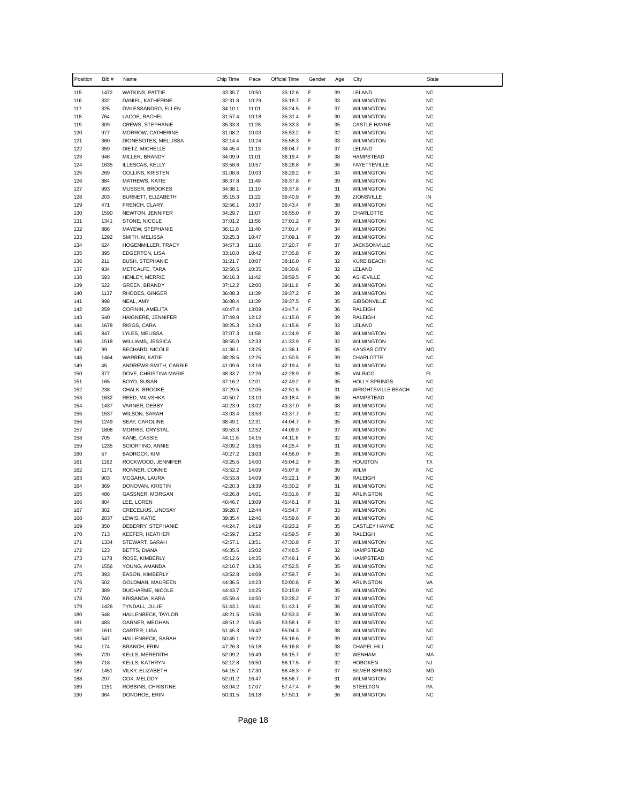| Position   | Bib #        | Name                                           | Chip Time          | Pace           | Official Time      | Gender | Age      | City                                     | <b>State</b>           |
|------------|--------------|------------------------------------------------|--------------------|----------------|--------------------|--------|----------|------------------------------------------|------------------------|
| 115        | 1472         | WATKINS, PATTIE                                | 33:35.7            | 10:50          | 35:12.6            | F      | 39       | LELAND                                   | <b>NC</b>              |
| 116        | 332          | DANIEL, KATHERINE                              | 32:31.8            | 10:29          | 35:18.7            | F      | 33       | <b>WILMINGTON</b>                        | <b>NC</b>              |
| 117        | 325          | D'ALESSANDRO, ELLEN                            | 34:10.1            | 11:01          | 35:24.5            | F      | 37       | <b>WILMINGTON</b>                        | <b>NC</b>              |
| 118        | 764          | LACOE, RACHEL                                  | 31:57.4            | 10:18          | 35:31.4            | F      | 30       | <b>WILMINGTON</b>                        | <b>NC</b>              |
| 119<br>120 | 309<br>977   | CREWS, STEPHANIE<br>MORROW, CATHERINE          | 35:33.3<br>31:08.2 | 11:28<br>10:03 | 35:33.3<br>35:53.2 | F<br>F | 35<br>32 | <b>CASTLE HAYNE</b><br><b>WILMINGTON</b> | <b>NC</b><br><b>NC</b> |
| 121        | 360          | DIONESOTES, MELLISSA                           | 32:14.4            | 10:24          | 35:58.3            | F      | 33       | <b>WILMINGTON</b>                        | <b>NC</b>              |
| 122        | 359          | DIETZ, MICHELLE                                | 34:45.4            | 11:13          | 36:04.7            | F      | 37       | LELAND                                   | <b>NC</b>              |
| 123        | 946          | MILLER, BRANDY                                 | 34:09.9            | 11:01          | 36:19.4            | F      | 38       | <b>HAMPSTEAD</b>                         | <b>NC</b>              |
| 124        | 1635         | ILLESCAS, KELLY                                | 33:58.6            | 10:57          | 36:26.8            | F      | 36       | <b>FAYETTEVILLE</b>                      | <b>NC</b>              |
| 125        | 269          | COLLINS, KRISTEN                               | 31:08.6            | 10:03          | 36:29.2            | F      | 34       | <b>WILMINGTON</b>                        | <b>NC</b>              |
| 126<br>127 | 884<br>993   | MATHEWS, KATIE<br>MUSSER, BROOKES              | 36:37.8<br>34:38.1 | 11:49<br>11:10 | 36:37.8<br>36:37.8 | F<br>F | 39<br>31 | <b>WILMINGTON</b><br><b>WILMINGTON</b>   | <b>NC</b><br><b>NC</b> |
| 128        | 203          | BURNETT, ELIZABETH                             | 35:15.3            | 11:22          | 36:40.9            | F      | 39       | ZIONSVILLE                               | IN                     |
| 129        | 471          | FRENCH, CLARY                                  | 32:56.1            | 10:37          | 36:43.4            | F      | 38       | <b>WILMINGTON</b>                        | <b>NC</b>              |
| 130        | 1590         | NEWTON, JENNIFER                               | 34:29.7            | 11:07          | 36:55.0            | F      | 39       | CHARLOTTE                                | <b>NC</b>              |
| 131        | 1341         | STONE, NICOLE                                  | 37:01.2            | 11:56          | 37:01.2            | F      | 39       | <b>WILMINGTON</b>                        | <b>NC</b>              |
| 132        | 886          | MAYEW, STEPHANIE                               | 36:11.8            | 11:40          | 37:01.4            | F      | 34       | <b>WILMINGTON</b>                        | <b>NC</b>              |
| 133<br>134 | 1292<br>624  | SMITH, MELISSA                                 | 33:25.3            | 10:47          | 37:09.1            | F<br>F | 39<br>37 | <b>WILMINGTON</b>                        | <b>NC</b><br><b>NC</b> |
| 135        | 395          | HOGENMILLER, TRACY<br>EDGERTON, LISA           | 34:57.3<br>33:10.0 | 11:16<br>10:42 | 37:20.7<br>37:35.8 | F      | 39       | <b>JACKSONVILLE</b><br><b>WILMINGTON</b> | <b>NC</b>              |
| 136        | 211          | <b>BUSH, STEPHANIE</b>                         | 31:21.7            | 10:07          | 38:16.0            | F      | 32       | <b>KURE BEACH</b>                        | <b>NC</b>              |
| 137        | 934          | METCALFE, TARA                                 | 32:50.5            | 10:35          | 38:30.6            | F      | 32       | LELAND                                   | <b>NC</b>              |
| 138        | 593          | HENLEY, MERRIE                                 | 36:16.3            | 11:42          | 38:59.5            | F      | 36       | <b>ASHEVILLE</b>                         | <b>NC</b>              |
| 139        | 522          | <b>GREEN, BRANDY</b>                           | 37:12.2            | 12:00          | 39:11.6            | F      | 36       | <b>WILMINGTON</b>                        | <b>NC</b>              |
| 140        | 1137         | RHODES, GINGER                                 | 36:08.3            | 11:39          | 39:37.2            | F      | 39       | <b>WILMINGTON</b>                        | <b>NC</b>              |
| 141        | 998<br>259   | NEAL, AMY                                      | 36:08.4            | 11:39<br>13:09 | 39:37.5            | F<br>F | 35       | <b>GIBSONVILLE</b>                       | <b>NC</b><br><b>NC</b> |
| 142<br>143 | 540          | COFININ, AMELITA<br>HAIGNERE, JENNIFER         | 40:47.4<br>37:49.8 | 12:12          | 40:47.4<br>41:15.0 | F      | 36<br>39 | RALEIGH<br>RALEIGH                       | <b>NC</b>              |
| 144        | 1678         | RIGGS, CARA                                    | 39:25.3            | 12:43          | 41:15.6            | F      | 33       | LELAND                                   | <b>NC</b>              |
| 145        | 847          | LYLES, MELISSA                                 | 37:07.3            | 11:58          | 41:24.9            | F      | 38       | <b>WILMINGTON</b>                        | <b>NC</b>              |
| 146        | 1518         | WILLIAMS, JESSICA                              | 38:55.0            | 12:33          | 41:33.9            | F      | 32       | <b>WILMINGTON</b>                        | <b>NC</b>              |
| 147        | 99           | BECHARD, NICOLE                                | 41:36.1            | 13:25          | 41:36.1            | F      | 35       | <b>KANSAS CITY</b>                       | MO                     |
| 148        | 1464         | WARREN, KATIE                                  | 38:28.5            | 12:25          | 41:50.5            | F      | 39       | CHARLOTTE                                | <b>NC</b>              |
| 149<br>150 | 45<br>377    | ANDREWS-SMITH, CARRIE<br>DOVE, CHRISTINA MARIE | 41:09.6<br>38:33.7 | 13:16<br>12:26 | 42:19.4<br>42:28.9 | F<br>F | 34<br>35 | <b>WILMINGTON</b><br><b>VALRICO</b>      | <b>NC</b><br>FL        |
| 151        | 165          | BOYD, SUSAN                                    | 37:16.2            | 12:01          | 42:49.2            | F      | 35       | <b>HOLLY SPRINGS</b>                     | <b>NC</b>              |
| 152        | 238          | CHALK, BROOKE                                  | 37:29.5            | 12:05          | 42:51.5            | F      | 31       | <b>WRIGHTSVILLE BEACH</b>                | <b>NC</b>              |
| 153        | 1632         | REED, MILVSHKA                                 | 40:50.7            | 13:10          | 43:18.4            | F      | 36       | <b>HAMPSTEAD</b>                         | <b>NC</b>              |
| 154        | 1437         | VARNER, DEBBY                                  | 40:23.9            | 13:02          | 43:37.0            | F      | 38       | <b>WILMINGTON</b>                        | <b>NC</b>              |
| 155        | 1537         | <b>WILSON, SARAH</b>                           | 43:03.4            | 13:53          | 43:37.7            | F      | 32       | <b>WILMINGTON</b>                        | <b>NC</b>              |
| 156<br>157 | 1249<br>1808 | SEAY, CAROLINE<br>MORRIS, CRYSTAL              | 38:49.1<br>39:53.3 | 12:31<br>12:52 | 44:04.7<br>44:09.9 | F<br>F | 35<br>37 | WILMINGTON<br><b>WILMINGTON</b>          | <b>NC</b><br><b>NC</b> |
| 158        | 705          | KANE, CASSIE                                   | 44:11.6            | 14:15          | 44:11.6            | F      | 32       | <b>WILMINGTON</b>                        | <b>NC</b>              |
| 159        | 1235         | SCIORTINO, ANNIE                               | 43:09.2            | 13:55          | 44:25.4            | F      | 31       | <b>WILMINGTON</b>                        | <b>NC</b>              |
| 160        | 57           | <b>BADROCK, KIM</b>                            | 40:27.2            | 13:03          | 44:56.0            | F      | 35       | <b>WILMINGTON</b>                        | <b>NC</b>              |
| 161        | 1162         | ROCKWOOD, JENNIFER                             | 43:25.5            | 14:00          | 45:04.2            | F      | 35       | <b>HOUSTON</b>                           | ТX                     |
| 162        | 1171         | RONNER, CONNIE                                 | 43:52.2            | 14:09          | 45:07.8            | F      | 39       | <b>WILM</b>                              | <b>NC</b>              |
| 163<br>164 | 903<br>369   | MCGAHA, LAURA<br>DONOVAN, KRISTIN              | 43:53.8<br>42:20.3 | 14:09<br>13:39 | 45:22.1<br>45:30.2 | F<br>F | 30<br>31 | RALEIGH<br><b>WILMINGTON</b>             | <b>NC</b><br><b>NC</b> |
| 165        | 486          | GASSNER, MORGAN                                | 43:26.8            | 14:01          | 45:31.6            | F      | 32       | <b>ARLINGTON</b>                         | <b>NC</b>              |
| 166        | 804          | LEE, LOREN                                     | 40:46.7            | 13:09          | 45:46.1            | F      | 31       | <b>WILMINGTON</b>                        | <b>NC</b>              |
| 167        | 302          | CRECELIUS, LINDSAY                             | 39:28.7            | 12:44          | 45:54.7            | F      | 33       | <b>WILMINGTON</b>                        | <b>NC</b>              |
| 168        | 2037         | LEWIS, KATIE                                   | 39:35.4            | 12:46          | 45:59.6            | F      | 38       | <b>WILMINGTON</b>                        | <b>NC</b>              |
| 169        | 350          | DEBERRY, STEPHANIE                             | 44:24.7            | 14:19          | 46:23.2            | F      | 35       | CASTLEY HAYNE                            | <b>NC</b>              |
| 170        | 713          | KEEFER, HEATHER                                | 42:59.7            | 13:52          | 46:59.5            | F      | 38       | RALEIGH                                  | <b>NC</b>              |
| 171<br>172 | 1334<br>123  | STEWART, SARAH<br>BETTS, DIANA                 | 42:57.1<br>46:35.5 | 13:51<br>15:02 | 47:30.8<br>47:48.5 | F<br>F | 37<br>32 | <b>WILMINGTON</b><br><b>HAMPSTEAD</b>    | <b>NC</b><br><b>NC</b> |
| 173        | 1178         | ROSE, KIMBERLY                                 | 45:12.6            | 14:35          | 47:49.1            | F      | 36       | <b>HAMPSTEAD</b>                         | <b>NC</b>              |
| 174        | 1556         | YOUNG, AMANDA                                  | 42:10.7            | 13:36          | 47:52.5            | F      | 35       | <b>WILMINGTON</b>                        | <b>NC</b>              |
| 175        | 393          | EASON, KIMBERLY                                | 43:52.8            | 14:09          | 47:59.7            | F      | 34       | <b>WILMINGTON</b>                        | <b>NC</b>              |
| 176        | 502          | GOLDMAN, MAUREEN                               | 44:36.5            | 14:23          | 50:00.6            | F      | 30       | ARLINGTON                                | VA                     |
| 177        | 389          | DUCHARME, NICOLE                               | 44:43.7            | 14:25          | 50:15.0            | F      | 35       | <b>WILMINGTON</b>                        | <b>NC</b>              |
| 178        | 760          | KRISANDA, KARA                                 | 45:59.4            | 14:50          | 50:28.2            | F      | 37       | <b>WILMINGTON</b>                        | <b>NC</b>              |
| 179<br>180 | 1426<br>548  | TYNDALL, JULIE<br>HALLENBECK, TAYLOR           | 51:43.1<br>48:21.5 | 16:41<br>15:36 | 51:43.1<br>52:53.3 | F<br>F | 36<br>30 | <b>WILMINGTON</b><br><b>WILMINGTON</b>   | <b>NC</b><br><b>NC</b> |
| 181        | 483          | GARNER, MEGHAN                                 | 48:51.2            | 15:45          | 53:58.1            | F      | 32       | <b>WILMINGTON</b>                        | <b>NC</b>              |
| 182        | 1611         | CARTER, LISA                                   | 51:45.3            | 16:42          | 55:04.3            | F      | 38       | <b>WILMINGTON</b>                        | <b>NC</b>              |
| 183        | 547          | HALLENBECK, SARAH                              | 50:45.1            | 16:22          | 55:16.6            | F      | 39       | <b>WILMINGTON</b>                        | <b>NC</b>              |
| 184        | 174          | <b>BRANCH, ERIN</b>                            | 47:26.3            | 15:18          | 55:16.8            | F      | 38       | CHAPEL HILL                              | <b>NC</b>              |
| 185        | 720          | <b>KELLS, MEREDITH</b>                         | 52:09.2            | 16:49          | 56:15.7            | F      | 32       | <b>WENHAM</b>                            | МA                     |
| 186        | 718          | <b>KELLS, KATHRYN</b>                          | 52:12.8            | 16:50          | 56:17.5            | F      | 32       | <b>HOBOKEN</b>                           | <b>NJ</b>              |
| 187        | 1451         | VILKY, ELIZABETH                               | 54:15.7            | 17:30          | 56:48.3            | F      | 37       | SILVER SPRING                            | MD                     |
| 188<br>189 | 297<br>1151  | COX, MELODY<br>ROBBINS, CHRISTINE              | 52:01.2<br>53:04.2 | 16:47<br>17:07 | 56:56.7<br>57:47.4 | F<br>F | 31<br>36 | <b>WILMINGTON</b><br><b>STEELTON</b>     | <b>NC</b><br>PA        |
| 190        | 364          | DONOHOE, ERIN                                  | 50:31.5            | 16:18          | 57:50.1            | F      | 36       | <b>WILMINGTON</b>                        | <b>NC</b>              |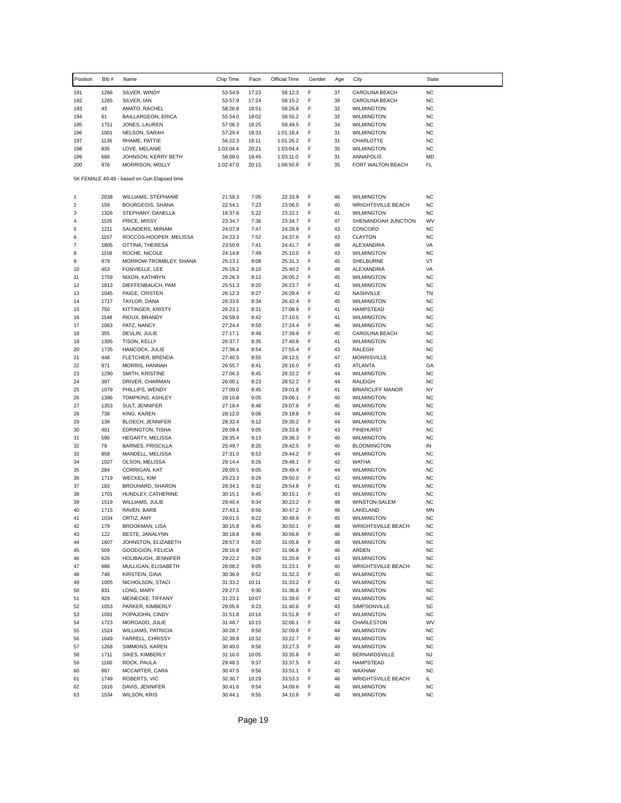| Position         | Bib#         | Name                                                | Chip Time            | Pace           | Official Time          | Gender | Age      | City                                    | <b>State</b>           |
|------------------|--------------|-----------------------------------------------------|----------------------|----------------|------------------------|--------|----------|-----------------------------------------|------------------------|
| 191              | 1266         | SILVER, WINDY                                       | 53:54.9              | 17:23          | 58:12.3                | F      | 37       | CAROLINA BEACH                          | <b>NC</b>              |
| 192              | 1265         | SILVER, IAN                                         | 53:57.9              | 17:24          | 58:15.2                | F      | 39       | CAROLINA BEACH                          | <b>NC</b>              |
| 193              | 43           | AMATO, RACHEL                                       | 58:26.8              | 18:51          | 58:26.8                | F      | 32       | <b>WILMINGTON</b>                       | <b>NC</b>              |
| 194              | 61           | <b>BAILLARGEON, ERICA</b>                           | 55:54.0              | 18:02          | 58:55.2                | F      | 32       | <b>WILMINGTON</b>                       | <b>NC</b>              |
| 195              | 1751         | JONES, LAUREN                                       | 57:06.3              | 18:25          | 59:49.5                | F      | 34       | <b>WILMINGTON</b>                       | <b>NC</b>              |
| 196              | 1001<br>1136 | NELSON, SARAH                                       | 57:29.4              | 18:33          | 1:01:18.4              | F<br>F | 31       | <b>WILMINGTON</b><br><b>CHARLOTTE</b>   | <b>NC</b><br><b>NC</b> |
| 197<br>198       | 835          | RHAME, PATTIE<br>LOVE, MELANIE                      | 56:22.3<br>1:03:04.4 | 18:11<br>20:21 | 1:01:26.2<br>1:03:04.4 | F      | 31<br>35 | <b>WILMINGTON</b>                       | <b>NC</b>              |
| 199              | 688          | JOHNSON, KERRY BETH                                 | 58:09.0              | 18:45          | 1:03:11.0              | F      | 31       | ANNAPOLIS                               | MD                     |
| 200              | 976          | MORRISON, MOLLY                                     | 1:02:47.0            | 20:15          | 1:06:50.9              | F      | 35       | FORT WALTON BEACH                       | FL                     |
|                  |              | 5K FEMALE 40-49 - based on Gun Elapsed time         |                      |                |                        |        |          |                                         |                        |
| 1                | 2038         | WILLIAMS, STEPHANIE                                 | 21:58.3              | 7:05           | 22:33.9                | F      | 46       | <b>WILMINGTON</b>                       | <b>NC</b>              |
| $\boldsymbol{2}$ | 159          | <b>BOURGEOIS, SHANA</b>                             | 22:54.1              | 7:23           | 23:06.0                | F      | 40       | <b>WRIGHTSVILLE BEACH</b>               | <b>NC</b>              |
| 3                | 1326         | STEPHANY, DANELLA                                   | 16:37.6              | 5:22           | 23:22.1                | F      | 41       | <b>WILMINGTON</b>                       | <b>NC</b>              |
| 4                | 1105         | PRICE, MISSY                                        | 23:34.7              | 7:36           | 23:34.7                | F      | 47       | SHENANDOAH JUNCTION                     | WV                     |
| 5                | 1211         | SAUNDERS, MIRIAM                                    | 24:07.9              | 7:47           | 24:28.9                | F      | 43       | CONCORD                                 | <b>NC</b>              |
| 6                | 1157         | ROCCOS-HOOPER, MELISSA                              | 24:23.3              | 7:52           | 24:37.6                | F      | 43       | CLAYTON                                 | <b>NC</b>              |
| 7<br>8           | 1805<br>1158 | OTTINA, THERESA<br>ROCHE, NICOLE                    | 23:50.9<br>24:14.8   | 7:41<br>7:49   | 24:41.7<br>25:10.0     | F<br>F | 48<br>43 | ALEXANDRIA<br><b>WILMINGTON</b>         | VA<br><b>NC</b>        |
| 9                | 979          | MORROW-TROMBLEY, SHANA                              | 25:13.1              | 8:08           | 25:31.3                | F      | 45       | SHELBURNE                               | VT                     |
| 10               | 453          | FONVIELLE, LEE                                      | 25:19.2              | 8:10           | 25:40.2                | F      | 48       | ALEXANDRIA                              | VA                     |
| 11               | 1759         | NIXON, KATHRYN                                      | 25:26.3              | 8:12           | 26:05.2                | F      | 45       | <b>WILMINGTON</b>                       | <b>NC</b>              |
| 12               | 1813         | DIEFFENBAUCH, PAM                                   | 25:51.3              | 8:20           | 26:23.7                | F      | 41       | <b>WILMINGTON</b>                       | <b>NC</b>              |
| 13               | 1045         | PAIGE, CRISTEN                                      | 26:12.3              | 8:27           | 26:29.4                | F      | 42       | NASHVILLE                               | TN                     |
| 14               | 1717         | TAYLOR, DANA                                        | 26:33.6              | 8:34           | 26:42.4                | F      | 45       | <b>WILMINGTON</b>                       | <b>NC</b>              |
| 15               | 750          | KITTINGER, KRISTY                                   | 26:23.1              | 8:31           | 27:08.9                | F      | 41       | <b>HAMPSTEAD</b>                        | <b>NC</b>              |
| 16               | 1148         | RIOUX, BRANDY                                       | 26:59.9              | 8:42           | 27:10.5                | F      | 41       | <b>WILMINGTON</b>                       | <b>NC</b>              |
| 17               | 1063         | PATZ, NANCY                                         | 27:24.4              | 8:50           | 27:24.4                | F      | 46       | <b>WILMINGTON</b>                       | <b>NC</b>              |
| 18               | 355          | DEVLIN, JULIE                                       | 27:17.1              | 8:48           | 27:39.9                | F      | 45       | CAROLINA BEACH                          | <b>NC</b>              |
| 19<br>20         | 1395<br>1735 | TISON, KELLY                                        | 26:37.7              | 8:35<br>8:54   | 27:40.6                | F<br>F | 41<br>43 | <b>WILMINGTON</b>                       | <b>NC</b><br><b>NC</b> |
| 21               | 448          | HANCOCK, JULIE<br>FLETCHER, BRENDA                  | 27:36.4<br>27:40.5   | 8:55           | 27:55.4<br>28:12.5     | F      | 47       | RALEGH<br>MORRISVILLE                   | <b>NC</b>              |
| 22               | 971          | MORRIS, HANNAH                                      | 26:55.7              | 8:41           | 28:16.0                | F      | 43       | <b>ATLANTA</b>                          | GA                     |
| 23               | 1290         | SMITH, KRISTINE                                     | 27:06.3              | 8:45           | 28:32.2                | F      | 44       | <b>WILMINGTON</b>                       | <b>NC</b>              |
| 24               | 387          | DRIVER, CHARMAN                                     | 26:00.1              | 8:23           | 28:52.2                | F      | 44       | RALEIGH                                 | <b>NC</b>              |
| 25               | 1079         | PHILLIPS, WENDY                                     | 27:09.0              | 8:45           | 29:01.8                | F      | 41       | <b>BRIARCLIFF MANOR</b>                 | NY                     |
| 26               | 1396         | TOMPKINS, ASHLEY                                    | 28:10.8              | 9:05           | 29:06.1                | F      | 40       | <b>WILMINGTON</b>                       | <b>NC</b>              |
| 27               | 1353         | SULT, JENNIFER                                      | 27:18.4              | 8:48           | 29:07.6                | F      | 45       | <b>WILMINGTON</b>                       | <b>NC</b>              |
| 28               | 738          | KING, KAREN                                         | 28:12.0              | 9:06           | 29:18.8                | F      | 44       | <b>WILMINGTON</b>                       | <b>NC</b>              |
| 29               | 138          | BLOECH, JENNIFER                                    | 28:32.4              | 9:12           | 29:30.2                | F      | 44       | <b>WILMINGTON</b>                       | <b>NC</b>              |
| 30               | 401          | EDRINGTON, TISHA                                    | 28:09.4              | 9:05           | 29:33.8                | F<br>F | 43       | PINEHURST                               | <b>NC</b>              |
| 31<br>32         | 590<br>79    | <b>HEGARTY, MELISSA</b><br><b>BARNES, PRISCILLA</b> | 28:35.4<br>25:49.7   | 9:13<br>8:20   | 29:38.3<br>29:42.5     | F      | 40<br>40 | <b>WILMINGTON</b><br><b>BLOOMINGTON</b> | <b>NC</b><br>IN        |
| 33               | 858          | MANDELL, MELISSA                                    | 27:31.0              | 8:53           | 29:44.2                | F      | 44       | <b>WILMINGTON</b>                       | <b>NC</b>              |
| 34               | 1027         | OLSON, MELISSA                                      | 29:14.4              | 9:26           | 29:48.1                | F      | 42       | <b>WATHA</b>                            | <b>NC</b>              |
| 35               | 284          | CORRIGAN, KAT                                       | 28:09.5              | 9:05           | 29:49.4                | F      | 44       | <b>WILMINGTON</b>                       | <b>NC</b>              |
| 36               | 1719         | WECKEL, KIM                                         | 29:23.3              | 9:29           | 29:50.0                | F      | 42       | <b>WILMINGTON</b>                       | <b>NC</b>              |
| 37               | 183          | BROUHARD, SHARON                                    | 29:34.1              | 9:32           | 29:54.8                | F      | 41       | <b>WILMINGTON</b>                       | <b>NC</b>              |
| 38               | 1701         | HUNDLEY, CATHERINE                                  | 30:15.1              | 9:45           | 30:15.1                | F      | 43       | <b>WILMINGTON</b>                       | <b>NC</b>              |
| 39               | 1519         | WILLIAMS, JULIE                                     | 29:40.4              | 9:34           | 30:23.2                | F      | 48       | WINSTON-SALEM                           | <b>NC</b>              |
| 40               | 1715         | RAVEN, BARB                                         | 27:43.1              | 8:56           | 30:47.2                | F      | 46       | LAKELAND                                | MN                     |
| 41               | 1034         | ORTIZ, AMY                                          | 29:01.5              | 9:22           | 30:48.9                | F      | 45       | <b>WILMINGTON</b>                       | <b>NC</b>              |
| 42               | 179          | BROOKMAN, LISA                                      | 30:15.8              | 9:45           | 30:50.1                | F      | 48       | <b>WRIGHTSVILLE BEACH</b>               | $_{\rm NC}$            |
| 43               | 122          | <b>BESTE, JANALYNN</b>                              | 30:18.8              | 9:46           | 30:56.8                | F      | 46       | <b>WILMINGTON</b>                       | <b>NC</b>              |
| 44<br>45         | 1607<br>509  | JOHNSTON, ELIZABETH<br>GOODGION, FELICIA            | 28:57.3<br>28:16.8   | 9:20<br>9:07   | 31:05.8                | F<br>F | 48<br>46 | <b>WILMINGTON</b><br>ARDEN              | <b>NC</b><br>NC        |
| 46               | 626          | HOLIBAUGH, JENNIFER                                 | 29:22.2              | 9:28           | 31:06.8<br>31:20.9     | F      | 43       | <b>WILMINGTON</b>                       | <b>NC</b>              |
| 47               | 988          | MULLIGAN, ELISABETH                                 | 28:08.2              | 9:05           | 31:23.1                | F      | 40       | <b>WRIGHTSVILLE BEACH</b>               | <b>NC</b>              |
| 48               | 748          | KIRSTEIN, GINA                                      | 30:36.9              | 9:52           | 31:32.3                | F      | 40       | <b>WILMINGTON</b>                       | <b>NC</b>              |
| 49               | 1005         | NICHOLSON, STACI                                    | 31:33.2              | 10:11          | 31:33.2                | F      | 41       | <b>WILMINGTON</b>                       | <b>NC</b>              |
| 50               | 831          | LONG, MARY                                          | 29:27.5              | 9:30           | 31:36.8                | F      | 49       | <b>WILMINGTON</b>                       | <b>NC</b>              |
| 51               | 929          | MEINECKE, TIFFANY                                   | 31:23.1              | 10:07          | 31:39.0                | F      | 42       | <b>WILMINGTON</b>                       | <b>NC</b>              |
| 52               | 1053         | PARKER, KIMBERLY                                    | 29:05.9              | 9:23           | 31:40.6                | F      | 43       | SIMPSONVILLE                            | SC                     |
| 53               | 1091         | POPAJOHN, CINDY                                     | 31:51.8              | 10:16          | 31:51.8                | F      | 47       | <b>WILMINGTON</b>                       | <b>NC</b>              |
| 54               | 1723         | MORGADO, JULIE                                      | 31:48.7              | 10:15          | 32:06.1                | F      | 44       | CHARLESTON                              | WV                     |
| 55               | 1524         | <b>WILLIAMS, PATRICIA</b>                           | 30:28.7              | 9:50           | 32:09.8                | F      | 44       | <b>WILMINGTON</b>                       | <b>NC</b>              |
| 56               | 1649         | FARRELL, CHRISSY                                    | 32:39.8              | 10:32          | 33:22.7                | F      | 40       | <b>WILMINGTON</b>                       | <b>NC</b>              |
| 57               | 1268         | SIMMONS, KAREN                                      | 30:49.0              | 9:56           | 33:27.3                | F      | 49       | <b>WILMINGTON</b>                       | <b>NC</b>              |
| 58<br>59         | 1711<br>1160 | SIKES, KIMBERLY                                     | 31:16.0<br>29:48.3   | 10:05          | 33:35.8                | F<br>F | 40<br>43 | <b>BERNARDSVILLE</b>                    | <b>NJ</b><br><b>NC</b> |
| 60               | 887          | ROCK, PAULA<br>MCCARTER, CARA                       | 30:47.5              | 9:37<br>9:56   | 33:37.5<br>33:51.1     | F      | 40       | HAMPSTEAD<br>WAXHAW                     | <b>NC</b>              |
| 61               | 1749         | ROBERTS, VIC                                        | 32:30.7              | 10:29          | 33:53.3                | F      | 46       | <b>WRIGHTSVILLE BEACH</b>               | IL.                    |
| 62               | 1616         | DAVIS, JENNIFER                                     | 30:41.6              | 9:54           | 34:09.6                | F      | 46       | <b>WILMINGTON</b>                       | <b>NC</b>              |
| 63               | 1534         | <b>WILSON, KRIS</b>                                 | 30:44.1              | 9:55           | 34:10.6                | F      | 48       | <b>WILMINGTON</b>                       | NC                     |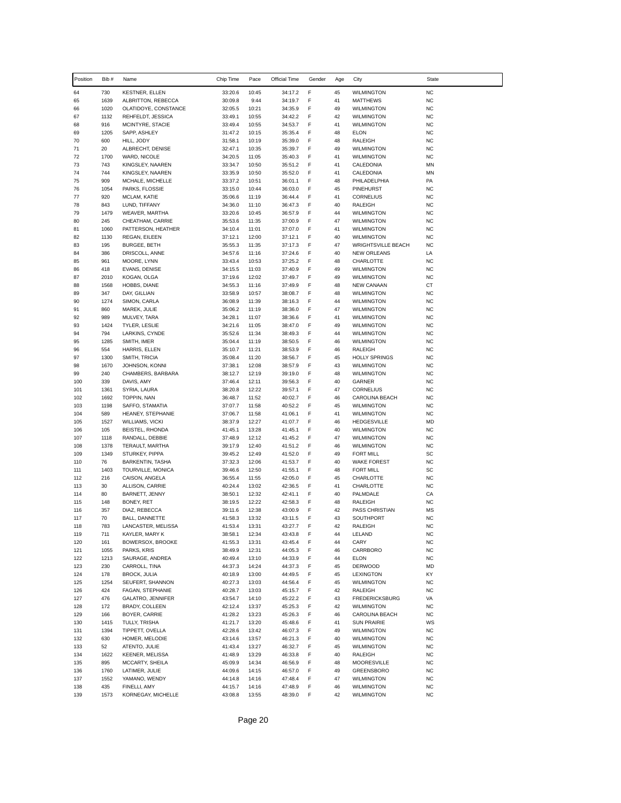| Position   | Bib #        | Name                                | Chip Time          | Pace           | Official Time      | Gender | Age      | City                                            | <b>State</b>           |
|------------|--------------|-------------------------------------|--------------------|----------------|--------------------|--------|----------|-------------------------------------------------|------------------------|
| 64         | 730          | KESTNER, ELLEN                      | 33:20.6            | 10:45          | 34:17.2            | F      | 45       | <b>WILMINGTON</b>                               | <b>NC</b>              |
| 65         | 1639         | ALBRITTON, REBECCA                  | 30:09.8            | 9:44           | 34:19.7            | F      | 41       | <b>MATTHEWS</b>                                 | <b>NC</b>              |
| 66         | 1020         | OLATIDOYE, CONSTANCE                | 32:05.5            | 10:21          | 34:35.9            | F      | 49       | <b>WILMINGTON</b>                               | <b>NC</b>              |
| 67         | 1132         | REHFELDT, JESSICA                   | 33:49.1            | 10:55          | 34:42.2            | F      | 42       | <b>WILMINGTON</b>                               | <b>NC</b>              |
| 68<br>69   | 916<br>1205  | MCINTYRE, STACIE<br>SAPP, ASHLEY    | 33:49.4<br>31:47.2 | 10:55<br>10:15 | 34:53.7<br>35:35.4 | F<br>F | 41<br>48 | <b>WILMINGTON</b><br><b>ELON</b>                | <b>NC</b><br><b>NC</b> |
| 70         | 600          | HILL, JODY                          | 31:58.1            | 10:19          | 35:39.0            | F      | 48       | RALEIGH                                         | <b>NC</b>              |
| 71         | 20           | ALBRECHT, DENISE                    | 32:47.1            | 10:35          | 35:39.7            | F      | 49       | <b>WILMINGTON</b>                               | <b>NC</b>              |
| 72         | 1700         | WARD, NICOLE                        | 34:20.5            | 11:05          | 35:40.3            | F      | 41       | <b>WILMINGTON</b>                               | <b>NC</b>              |
| 73         | 743          | KINGSLEY, NAAREN                    | 33:34.7            | 10:50          | 35:51.2            | F      | 41       | CALEDONIA                                       | MN                     |
| 74         | 744          | KINGSLEY, NAAREN                    | 33:35.9            | 10:50          | 35:52.0            | F      | 41       | CALEDONIA                                       | MN                     |
| 75<br>76   | 909<br>1054  | MCHALE, MICHELLE<br>PARKS, FLOSSIE  | 33:37.2<br>33:15.0 | 10:51<br>10:44 | 36:01.1<br>36:03.0 | F<br>F | 48<br>45 | PHILADELPHIA<br>PINEHURST                       | PA<br><b>NC</b>        |
| 77         | 920          | MCLAM, KATIE                        | 35:06.6            | 11:19          | 36:44.4            | F      | 41       | CORNELIUS                                       | <b>NC</b>              |
| 78         | 843          | LUND, TIFFANY                       | 34:36.0            | 11:10          | 36:47.3            | F      | 40       | RALEIGH                                         | <b>NC</b>              |
| 79         | 1479         | <b>WEAVER, MARTHA</b>               | 33:20.6            | 10:45          | 36:57.9            | F      | 44       | <b>WILMINGTON</b>                               | <b>NC</b>              |
| 80         | 245          | CHEATHAM, CARRIE                    | 35:53.6            | 11:35          | 37:00.9            | F      | 47       | <b>WILMINGTON</b>                               | <b>NC</b>              |
| 81         | 1060         | PATTERSON, HEATHER                  | 34:10.4            | 11:01          | 37:07.0            | F      | 41       | <b>WILMINGTON</b>                               | <b>NC</b>              |
| 82         | 1130         | REGAN, EILEEN                       | 37:12.1            | 12:00          | 37:12.1            | F      | 40       | <b>WILMINGTON</b>                               | <b>NC</b>              |
| 83<br>84   | 195<br>386   | BURGEE, BETH<br>DRISCOLL, ANNE      | 35:55.3<br>34:57.6 | 11:35<br>11:16 | 37:17.3<br>37:24.6 | F<br>F | 47<br>40 | <b>WRIGHTSVILLE BEACH</b><br><b>NEW ORLEANS</b> | <b>NC</b><br>LA        |
| 85         | 961          | MOORE, LYNN                         | 33:43.4            | 10:53          | 37:25.2            | F      | 48       | CHARLOTTE                                       | <b>NC</b>              |
| 86         | 418          | EVANS, DENISE                       | 34:15.5            | 11:03          | 37:40.9            | F      | 49       | <b>WILMINGTON</b>                               | <b>NC</b>              |
| 87         | 2010         | KOGAN, OLGA                         | 37:19.6            | 12:02          | 37:49.7            | F      | 49       | <b>WILMINGTON</b>                               | <b>NC</b>              |
| 88         | 1568         | HOBBS, DIANE                        | 34:55.3            | 11:16          | 37:49.9            | F      | 48       | <b>NEW CANAAN</b>                               | CT                     |
| 89         | 347          | DAY, GILLIAN                        | 33:58.9            | 10:57          | 38:08.7            | F      | 48       | <b>WILMINGTON</b>                               | <b>NC</b>              |
| 90         | 1274         | SIMON, CARLA                        | 36:08.9            | 11:39          | 38:16.3            | F<br>F | 44       | <b>WILMINGTON</b>                               | <b>NC</b>              |
| 91<br>92   | 860<br>989   | MAREK, JULIE<br>MULVEY, TARA        | 35:06.2<br>34:28.1 | 11:19<br>11:07 | 38:36.0<br>38:36.6 | F      | 47<br>41 | <b>WILMINGTON</b><br><b>WILMINGTON</b>          | <b>NC</b><br><b>NC</b> |
| 93         | 1424         | TYLER, LESLIE                       | 34:21.6            | 11:05          | 38:47.0            | F      | 49       | <b>WILMINGTON</b>                               | <b>NC</b>              |
| 94         | 794          | LARKINS, CYNDE                      | 35:52.6            | 11:34          | 38:49.3            | F      | 44       | <b>WILMINGTON</b>                               | <b>NC</b>              |
| 95         | 1285         | SMITH, IMER                         | 35:04.4            | 11:19          | 38:50.5            | F      | 46       | <b>WILMINGTON</b>                               | <b>NC</b>              |
| 96         | 554          | HARRIS, ELLEN                       | 35:10.7            | 11:21          | 38:53.9            | F      | 46       | RALEIGH                                         | <b>NC</b>              |
| 97         | 1300         | SMITH, TRICIA                       | 35:08.4            | 11:20          | 38:56.7            | F      | 45       | <b>HOLLY SPRINGS</b>                            | <b>NC</b>              |
| 98<br>99   | 1670<br>240  | JOHNSON, KONNI<br>CHAMBERS, BARBARA | 37:38.1<br>38:12.7 | 12:08<br>12:19 | 38:57.9<br>39:19.0 | F<br>F | 43<br>48 | <b>WILMINGTON</b><br><b>WILMINGTON</b>          | <b>NC</b><br><b>NC</b> |
| 100        | 339          | DAVIS, AMY                          | 37:46.4            | 12:11          | 39:56.3            | F      | 40       | GARNER                                          | <b>NC</b>              |
| 101        | 1361         | SYRIA, LAURA                        | 38:20.8            | 12:22          | 39:57.1            | F      | 47       | <b>CORNELIUS</b>                                | <b>NC</b>              |
| 102        | 1692         | TOPPIN, NAN                         | 36:48.7            | 11:52          | 40:02.7            | F      | 46       | CAROLINA BEACH                                  | <b>NC</b>              |
| 103        | 1198         | SAFFO, STAMATIA                     | 37:07.7            | 11:58          | 40:52.2            | F      | 45       | <b>WILMINGTON</b>                               | <b>NC</b>              |
| 104        | 589          | HEANEY, STEPHANIE                   | 37:06.7            | 11:58          | 41:06.1            | F      | 41       | <b>WILMINGTON</b>                               | <b>NC</b>              |
| 105<br>106 | 1527<br>105  | WILLIAMS, VICKI<br>BEISTEL, RHONDA  | 38:37.9<br>41:45.1 | 12:27<br>13:28 | 41:07.7<br>41:45.1 | F<br>F | 46<br>40 | <b>HEDGESVILLE</b><br><b>WILMINGTON</b>         | <b>MD</b><br><b>NC</b> |
| 107        | 1118         | RANDALL, DEBBIE                     | 37:48.9            | 12:12          | 41:45.2            | F      | 47       | <b>WILMINGTON</b>                               | <b>NC</b>              |
| 108        | 1378         | TERAULT, MARTHA                     | 39:17.9            | 12:40          | 41:51.2            | F      | 46       | <b>WILMINGTON</b>                               | <b>NC</b>              |
| 109        | 1349         | STURKEY, PIPPA                      | 39:45.2            | 12:49          | 41:52.0            | F      | 49       | <b>FORT MILL</b>                                | SC                     |
| 110        | 76           | <b>BARKENTIN, TASHA</b>             | 37:32.3            | 12:06          | 41:53.7            | F      | 40       | <b>WAKE FOREST</b>                              | <b>NC</b>              |
| 111        | 1403         | TOURVILLE, MONICA                   | 39:46.6            | 12:50          | 41:55.1            | F      | 48       | <b>FORT MILL</b>                                | SC                     |
| 112<br>113 | 216<br>30    | CAISON, ANGELA<br>ALLISON, CARRIE   | 36:55.4<br>40:24.4 | 11:55<br>13:02 | 42:05.0<br>42:36.5 | F<br>F | 45<br>41 | CHARLOTTE<br>CHARLOTTE                          | <b>NC</b><br><b>NC</b> |
| 114        | 80           | BARNETT, JENNY                      | 38:50.1            | 12:32          | 42:41.1            | F      | 40       | PALMDALE                                        | CA                     |
| 115        | 148          | BONEY, RET                          | 38:19.5            | 12:22          | 42:58.3            | F      | 48       | RALEIGH                                         | <b>NC</b>              |
| 116        | 357          | DIAZ, REBECCA                       | 39:11.6            | 12:38          | 43:00.9            | F      | 42       | PASS CHRISTIAN                                  | MS                     |
| 117        | 70           | <b>BALL, DANNETTE</b>               | 41:58.3            | 13:32          | 43:11.5            | F      | 43       | SOUTHPORT                                       | <b>NC</b>              |
| 118        | 783          | LANCASTER, MELISSA                  | 41:53.4            | 13:31          | 43:27.7            | F      | 42       | RALEIGH                                         | <b>NC</b>              |
| 119        | 711          | KAYLER, MARY K                      | 38:58.1            | 12:34          | 43:43.8            | F      | 44       | LELAND                                          | <b>NC</b>              |
| 120<br>121 | 161<br>1055  | BOWERSOX, BROOKE<br>PARKS, KRIS     | 41:55.3<br>38:49.9 | 13:31<br>12:31 | 43:45.4<br>44:05.3 | F<br>F | 44<br>46 | CARY<br>CARRBORO                                | <b>NC</b><br><b>NC</b> |
| 122        | 1213         | SAURAGE, ANDREA                     | 40:49.4            | 13:10          | 44:33.9            | F      | 44       | <b>ELON</b>                                     | <b>NC</b>              |
| 123        | 230          | CARROLL, TINA                       | 44:37.3            | 14:24          | 44:37.3            | F      | 45       | DERWOOD                                         | MD                     |
| 124        | 178          | <b>BROCK, JULIA</b>                 | 40:18.9            | 13:00          | 44:49.5            | F      | 45       | <b>LEXINGTON</b>                                | KY                     |
| 125        | 1254         | SEUFERT, SHANNON                    | 40:27.3            | 13:03          | 44:56.4            | F      | 45       | WILMINGTON                                      | <b>NC</b>              |
| 126        | 424          | FAGAN, STEPHANIE                    | 40:28.7            | 13:03          | 45:15.7            | F      | 42       | RALEIGH                                         | <b>NC</b>              |
| 127        | 476<br>172   | GALATRO, JENNIFER                   | 43:54.7<br>42:12.4 | 14:10          | 45:22.2            | F<br>F | 43<br>42 | <b>FREDERICKSBURG</b>                           | VA<br><b>NC</b>        |
| 128<br>129 | 166          | BRADY, COLLEEN<br>BOYER, CARRIE     | 41:28.2            | 13:37<br>13:23 | 45:25.3<br>45:26.3 | F      | 46       | <b>WILMINGTON</b><br>CAROLINA BEACH             | <b>NC</b>              |
| 130        | 1415         | TULLY, TRISHA                       | 41:21.7            | 13:20          | 45:48.6            | F      | 41       | <b>SUN PRAIRIE</b>                              | WS                     |
| 131        | 1394         | TIPPETT, OVELLA                     | 42:28.6            | 13:42          | 46:07.3            | F      | 49       | <b>WILMINGTON</b>                               | <b>NC</b>              |
| 132        | 630          | HOMER, MELODIE                      | 43:14.6            | 13:57          | 46:21.3            | F      | 40       | <b>WILMINGTON</b>                               | <b>NC</b>              |
| 133        | 52           | ATENTO, JULIE                       | 41:43.4            | 13:27          | 46:32.7            | F      | 45       | <b>WILMINGTON</b>                               | <b>NC</b>              |
| 134        | 1622         | <b>KEENER, MELISSA</b>              | 41:48.9            | 13:29          | 46:33.8            | F      | 40       | RALEIGH                                         | <b>NC</b>              |
| 135        | 895          | MCCARTY, SHEILA                     | 45:09.9            | 14:34          | 46:56.9            | F      | 48       | <b>MOORESVILLE</b>                              | <b>NC</b>              |
| 136<br>137 | 1760<br>1552 | LATIMER, JULIE<br>YAMANO, WENDY     | 44:09.6<br>44:14.8 | 14:15<br>14:16 | 46:57.0<br>47:48.4 | F<br>F | 49<br>47 | GREENSBORO<br>WILMINGTON                        | <b>NC</b><br><b>NC</b> |
| 138        | 435          | FINELLI, AMY                        | 44:15.7            | 14:16          | 47:48.9            | F      | 46       | <b>WILMINGTON</b>                               | <b>NC</b>              |
| 139        | 1573         | KORNEGAY, MICHELLE                  | 43:08.8            | 13:55          | 48:39.0            | F      | 42       | <b>WILMINGTON</b>                               | <b>NC</b>              |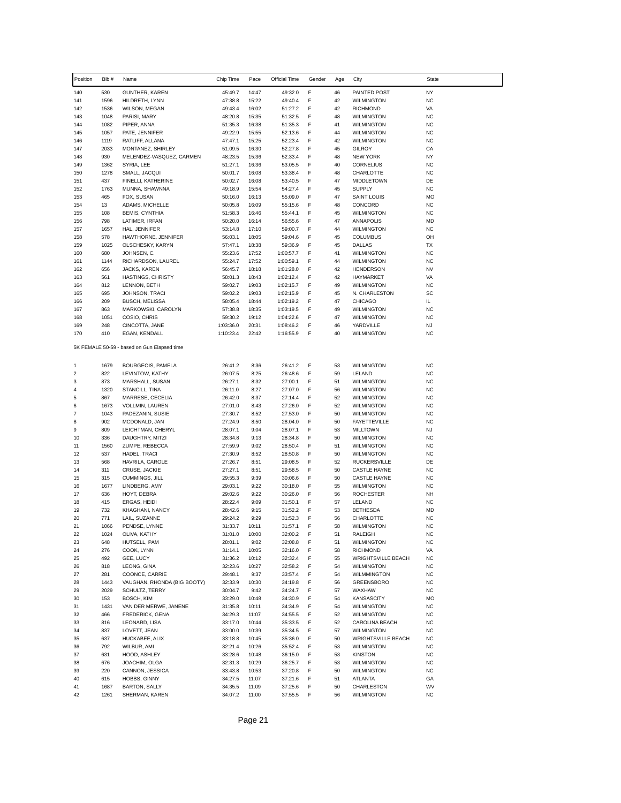| Position       | Bib #        | Name                                        | Chip Time              | Pace           | Official Time          | Gender | Age      | City                                       | <b>State</b>           |
|----------------|--------------|---------------------------------------------|------------------------|----------------|------------------------|--------|----------|--------------------------------------------|------------------------|
| 140            | 530          | <b>GUNTHER, KAREN</b>                       | 45:49.7                | 14:47          | 49:32.0                | F      | 46       | PAINTED POST                               | <b>NY</b>              |
| 141            | 1596         | HILDRETH, LYNN                              | 47:38.8                | 15:22          | 49:40.4                | F      | 42       | <b>WILMINGTON</b>                          | <b>NC</b>              |
| 142            | 1536         | WILSON, MEGAN                               | 49:43.4                | 16:02          | 51:27.2                | F      | 42       | <b>RICHMOND</b>                            | VA                     |
| 143            | 1048         | PARISI, MARY                                | 48:20.8                | 15:35          | 51:32.5                | F      | 48       | <b>WILMINGTON</b><br><b>WILMINGTON</b>     | <b>NC</b>              |
| 144<br>145     | 1082<br>1057 | PIPER, ANNA<br>PATE, JENNIFER               | 51:35.3<br>49:22.9     | 16:38<br>15:55 | 51:35.3<br>52:13.6     | F<br>F | 41<br>44 | <b>WILMINGTON</b>                          | <b>NC</b><br><b>NC</b> |
| 146            | 1119         | RATLIFF, ALLANA                             | 47:47.1                | 15:25          | 52:23.4                | F      | 42       | <b>WILMINGTON</b>                          | <b>NC</b>              |
| 147            | 2033         | MONTANEZ, SHIRLEY                           | 51:09.5                | 16:30          | 52:27.8                | F      | 45       | GILROY                                     | CA                     |
| 148            | 930          | MELENDEZ-VASQUEZ, CARMEN                    | 48:23.5                | 15:36          | 52:33.4                | F      | 48       | <b>NEW YORK</b>                            | NY                     |
| 149            | 1362         | SYRIA, LEE                                  | 51:27.1                | 16:36          | 53:05.5                | F      | 40       | CORNELIUS                                  | <b>NC</b>              |
| 150            | 1278         | SMALL, JACQUI                               | 50:01.7                | 16:08          | 53:38.4                | F      | 48       | CHARLOTTE                                  | <b>NC</b>              |
| 151            | 437          | FINELLI, KATHERINE                          | 50:02.7                | 16:08          | 53:40.5                | F      | 47       | <b>MIDDLETOWN</b>                          | DE                     |
| 152            | 1763<br>465  | MUNNA, SHAWNNA                              | 49:18.9                | 15:54          | 54:27.4                | F<br>F | 45<br>47 | <b>SUPPLY</b>                              | <b>NC</b><br>MO        |
| 153<br>154     | 13           | FOX, SUSAN<br>ADAMS, MICHELLE               | 50:16.0<br>50:05.8     | 16:13<br>16:09 | 55:09.0<br>55:15.6     | F      | 48       | <b>SAINT LOUIS</b><br>CONCORD              | <b>NC</b>              |
| 155            | 108          | <b>BEMIS, CYNTHIA</b>                       | 51:58.3                | 16:46          | 55:44.1                | F      | 45       | <b>WILMINGTON</b>                          | <b>NC</b>              |
| 156            | 798          | LATIMER, IRFAN                              | 50:20.0                | 16:14          | 56:55.6                | F      | 47       | ANNAPOLIS                                  | <b>MD</b>              |
| 157            | 1657         | HAL, JENNIFER                               | 53:14.8                | 17:10          | 59:00.7                | F      | 44       | <b>WILMINGTON</b>                          | <b>NC</b>              |
| 158            | 578          | HAWTHORNE, JENNIFER                         | 56:03.1                | 18:05          | 59:04.6                | F      | 45       | <b>COLUMBUS</b>                            | OH                     |
| 159            | 1025         | OLSCHESKY, KARYN                            | 57:47.1                | 18:38          | 59:36.9                | F      | 45       | DALLAS                                     | TX                     |
| 160            | 680          | JOHNSEN, C.                                 | 55:23.6                | 17:52          | 1:00:57.7              | F<br>F | 41       | <b>WILMINGTON</b>                          | <b>NC</b><br><b>NC</b> |
| 161<br>162     | 1144<br>656  | RICHARDSON, LAUREL<br>JACKS, KAREN          | 55:24.7<br>56:45.7     | 17:52<br>18:18 | 1:00:59.1<br>1:01:28.0 | F      | 44<br>42 | <b>WILMINGTON</b><br><b>HENDERSON</b>      | <b>NV</b>              |
| 163            | 561          | <b>HASTINGS, CHRISTY</b>                    | 58:01.3                | 18:43          | 1:02:12.4              | F      | 42       | HAYMARKET                                  | VA                     |
| 164            | 812          | LENNON, BETH                                | 59:02.7                | 19:03          | 1:02:15.7              | F      | 49       | <b>WILMINGTON</b>                          | <b>NC</b>              |
| 165            | 695          | JOHNSON, TRACI                              | 59:02.2                | 19:03          | 1:02:15.9              | F      | 45       | N. CHARLESTON                              | SC                     |
| 166            | 209          | <b>BUSCH, MELISSA</b>                       | 58:05.4                | 18:44          | 1:02:19.2              | F      | 47       | <b>CHICAGO</b>                             | IL.                    |
| 167            | 863          | MARKOWSKI, CAROLYN                          | 57:38.8                | 18:35          | 1:03:19.5              | F      | 49       | <b>WILMINGTON</b>                          | <b>NC</b>              |
| 168            | 1051         | COSIO, CHRIS                                | 59:30.2                | 19:12          | 1:04:22.6              | F      | 47       | <b>WILMINGTON</b>                          | <b>NC</b>              |
| 169<br>170     | 248<br>410   | CINCOTTA, JANE<br>EGAN, KENDALL             | 1:03:36.0<br>1:10:23.4 | 20:31<br>22:42 | 1:08:46.2<br>1:16:55.9 | F<br>F | 46<br>40 | YARDVILLE                                  | <b>NJ</b><br><b>NC</b> |
|                |              |                                             |                        |                |                        |        |          | <b>WILMINGTON</b>                          |                        |
|                |              | 5K FEMALE 50-59 - based on Gun Elapsed time |                        |                |                        |        |          |                                            |                        |
| 1              | 1679         | BOURGEOIS, PAMELA                           | 26:41.2                | 8:36           | 26:41.2                | F      | 53       | <b>WILMINGTON</b>                          | <b>NC</b>              |
| 2              | 822          | LEVINTOW, KATHY                             | 26:07.5                | 8:25           | 26:48.6                | F      | 59       | LELAND                                     | <b>NC</b>              |
| 3              | 873          | MARSHALL, SUSAN                             | 26:27.1                | 8:32           | 27:00.1                | F      | 51       | <b>WILMINGTON</b>                          | <b>NC</b>              |
| 4              | 1320         | STANCILL, TINA                              | 26:11.0                | 8:27           | 27:07.0                | F      | 56       | <b>WILMINGTON</b>                          | <b>NC</b>              |
| 5<br>6         | 867<br>1673  | MARRESE, CECELIA<br>VOLLMIN, LAUREN         | 26:42.0<br>27:01.0     | 8:37<br>8:43   | 27:14.4<br>27:26.0     | F<br>F | 52<br>52 | <b>WILMINGTON</b><br><b>WILMINGTON</b>     | <b>NC</b><br><b>NC</b> |
| $\overline{7}$ | 1043         | PADEZANIN, SUSIE                            | 27:30.7                | 8:52           | 27:53.0                | F      | 50       | <b>WILMINGTON</b>                          | <b>NC</b>              |
| 8              | 902          | MCDONALD, JAN                               | 27:24.9                | 8:50           | 28:04.0                | F      | 50       | <b>FAYETTEVILLE</b>                        | <b>NC</b>              |
| 9              | 809          | LEICHTMAN, CHERYL                           | 28:07.1                | 9:04           | 28:07.1                | F      | 53       | <b>MILLTOWN</b>                            | <b>NJ</b>              |
| 10             | 336          | DAUGHTRY, MITZI                             | 28:34.8                | 9:13           | 28:34.8                | F      | 50       | <b>WILMINGTON</b>                          | <b>NC</b>              |
| 11             | 1560         | ZUMPE, REBECCA                              | 27:59.9                | 9:02           | 28:50.4                | F      | 51       | <b>WILMINGTON</b>                          | <b>NC</b>              |
| 12             | 537          | HADEL, TRACI                                | 27:30.9                | 8:52           | 28:50.8                | F<br>F | 50       | <b>WILMINGTON</b>                          | <b>NC</b><br>DE        |
| 13<br>14       | 568<br>311   | HAVRILA, CAROLE<br>CRUSE, JACKIE            | 27:26.7<br>27:27.1     | 8:51<br>8:51   | 29:08.5<br>29:58.5     | F      | 52<br>50 | <b>RUCKERSVILLE</b><br><b>CASTLE HAYNE</b> | <b>NC</b>              |
| 15             | 315          | CUMMINGS, JILL                              | 29:55.3                | 9:39           | 30:06.6                | F      | 50       | <b>CASTLE HAYNE</b>                        | <b>NC</b>              |
| 16             | 1677         | LINDBERG, AMY                               | 29:03.1                | 9:22           | 30:18.0                | F      | 55       | <b>WILMINGTON</b>                          | <b>NC</b>              |
| 17             | 636          | HOYT, DEBRA                                 | 29:02.6                | 9:22           | 30:26.0                | F      | 56       | <b>ROCHESTER</b>                           | NH                     |
| 18             | 415          | ERGAS, HEIDI                                | 28:22.4                | 9:09           | 31:50.1                | F      | 57       | LELAND                                     | <b>NC</b>              |
| 19             | 732          | KHAGHANI, NANCY                             | 28:42.6                | 9:15           | 31:52.2                | F      | 53       | <b>BETHESDA</b>                            | MD                     |
| 20             | 771          | LAIL, SUZANNE                               | 29:24.2                | 9:29           | 31:52.3                | F      | 56       | CHARLOTTE                                  | <b>NC</b>              |
| 21<br>22       | 1066<br>1024 | PENDSE, LYNNE<br>OLIVA, KATHY               | 31:33.7<br>31:01.0     | 10:11<br>10:00 | 31:57.1<br>32:00.2     | F<br>F | 58<br>51 | <b>WILMINGTON</b><br>RALEIGH               | NC<br><b>NC</b>        |
| 23             | 648          | HUTSELL, PAM                                | 28:01.1                | 9:02           | 32:08.8                | F      | 51       | <b>WILMINGTON</b>                          | <b>NC</b>              |
| 24             | 276          | COOK, LYNN                                  | 31:14.1                | 10:05          | 32:16.0                | F      | 58       | <b>RICHMOND</b>                            | VA                     |
| 25             | 492          | GEE, LUCY                                   | 31:36.2                | 10:12          | 32:32.4                | F      | 55       | <b>WRIGHTSVILLE BEACH</b>                  | <b>NC</b>              |
| 26             | 818          | LEONG, GINA                                 | 32:23.6                | 10:27          | 32:58.2                | F      | 54       | <b>WILMINGTON</b>                          | <b>NC</b>              |
| 27             | 281          | COONCE, CARRIE                              | 29:48.1                | 9:37           | 33:57.4                | F      | 54       | WILMMINGTON                                | <b>NC</b>              |
| 28             | 1443         | VAUGHAN, RHONDA (BIG BOOTY)                 | 32:33.9                | 10:30          | 34:19.8                | F      | 56       | <b>GREENSBORO</b>                          | <b>NC</b>              |
| 29<br>30       | 2029<br>153  | SCHULTZ, TERRY<br>BOSCH, KIM                | 30:04.7<br>33:29.0     | 9:42<br>10:48  | 34:24.7<br>34:30.9     | F<br>F | 57<br>54 | WAXHAW<br><b>KANSASCITY</b>                | <b>NC</b><br>MO        |
| 31             | 1431         | VAN DER MERWE, JANENE                       | 31:35.8                | 10:11          | 34:34.9                | F      | 54       | <b>WILMINGTON</b>                          | <b>NC</b>              |
| 32             | 466          | FREDERICK, GENA                             | 34:29.3                | 11:07          | 34:55.5                | F      | 52       | <b>WILMINGTON</b>                          | <b>NC</b>              |
| 33             | 816          | LEONARD, LISA                               | 33:17.0                | 10:44          | 35:33.5                | F      | 52       | CAROLINA BEACH                             | <b>NC</b>              |
| 34             | 837          | LOVETT, JEAN                                | 33:00.0                | 10:39          | 35:34.5                | F      | 57       | <b>WILMINGTON</b>                          | <b>NC</b>              |
| 35             | 637          | HUCKABEE, ALIX                              | 33:18.8                | 10:45          | 35:36.0                | F      | 50       | <b>WRIGHTSVILLE BEACH</b>                  | <b>NC</b>              |
| 36             | 792          | WILBUR, AMI                                 | 32:21.4                | 10:26          | 35:52.4                | F      | 53       | <b>WILMINGTON</b>                          | <b>NC</b>              |
| 37             | 631          | HOOD, ASHLEY                                | 33:28.6                | 10:48          | 36:15.0                | F      | 53       | <b>KINSTON</b>                             | <b>NC</b>              |
| 38<br>39       | 676<br>220   | JOACHIM, OLGA<br>CANNON, JESSICA            | 32:31.3<br>33:43.8     | 10:29<br>10:53 | 36:25.7<br>37:20.8     | F<br>F | 53<br>50 | <b>WILMINGTON</b><br><b>WILMINGTON</b>     | <b>NC</b><br><b>NC</b> |
| 40             | 615          | HOBBS, GINNY                                | 34:27.5                | 11:07          | 37:21.6                | F      | 51       | ATLANTA                                    | GA                     |
| 41             | 1687         | BARTON, SALLY                               | 34:35.5                | 11:09          | 37:25.6                | F      | 50       | CHARLESTON                                 | WV                     |
| 42             | 1261         | SHERMAN, KAREN                              | 34:07.2                | 11:00          | 37:55.5                | F      | 56       | <b>WILMINGTON</b>                          | <b>NC</b>              |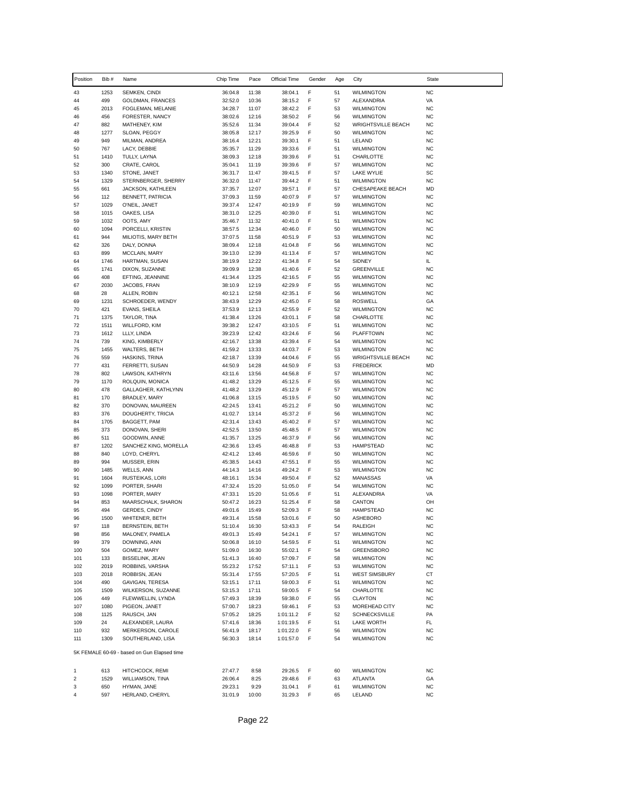| Position         | Bib #        | Name                                          | Chip Time          | Pace           | Official Time          | Gender | Age      | City                                           | State                  |
|------------------|--------------|-----------------------------------------------|--------------------|----------------|------------------------|--------|----------|------------------------------------------------|------------------------|
| 43               | 1253         | SEMKEN, CINDI                                 | 36:04.8            | 11:38          | 38:04.1                | F      | 51       | <b>WILMINGTON</b>                              | <b>NC</b>              |
| 44               | 499          | GOLDMAN, FRANCES                              | 32:52.0            | 10:36          | 38:15.2                | F      | 57       | <b>ALEXANDRIA</b>                              | VA                     |
| 45               | 2013         | FOGLEMAN, MELANIE                             | 34:28.7            | 11:07          | 38:42.2                | F      | 53       | <b>WILMINGTON</b>                              | <b>NC</b>              |
| 46               | 456          | FORESTER, NANCY                               | 38:02.6            | 12:16          | 38:50.2                | F      | 56       | <b>WILMINGTON</b>                              | <b>NC</b>              |
| 47<br>48         | 882<br>1277  | MATHENEY, KIM<br>SLOAN, PEGGY                 | 35:52.6<br>38:05.8 | 11:34<br>12:17 | 39:04.4<br>39:25.9     | F<br>F | 52<br>50 | <b>WRIGHTSVILLE BEACH</b><br><b>WILMINGTON</b> | <b>NC</b><br><b>NC</b> |
| 49               | 949          | MILMAN, ANDREA                                | 38:16.4            | 12:21          | 39:30.1                | F      | 51       | LELAND                                         | <b>NC</b>              |
| 50               | 767          | LACY, DEBBIE                                  | 35:35.7            | 11:29          | 39:33.6                | F      | 51       | <b>WILMINGTON</b>                              | <b>NC</b>              |
| 51               | 1410         | TULLY, LAYNA                                  | 38:09.3            | 12:18          | 39:39.6                | F      | 51       | CHARLOTTE                                      | <b>NC</b>              |
| 52               | 300          | CRATE, CAROL                                  | 35:04.1            | 11:19          | 39:39.6                | F      | 57       | <b>WILMINGTON</b>                              | <b>NC</b>              |
| 53               | 1340         | STONE, JANET                                  | 36:31.7            | 11:47          | 39:41.5                | F      | 57       | LAKE WYLIE                                     | SC                     |
| 54<br>55         | 1329<br>661  | STERNBERGER, SHERRY                           | 36:32.0<br>37:35.7 | 11:47<br>12:07 | 39:44.2<br>39:57.1     | F<br>F | 51<br>57 | <b>WILMINGTON</b><br>CHESAPEAKE BEACH          | <b>NC</b><br><b>MD</b> |
| 56               | 112          | JACKSON, KATHLEEN<br><b>BENNETT, PATRICIA</b> | 37:09.3            | 11:59          | 40:07.9                | F      | 57       | <b>WILMINGTON</b>                              | <b>NC</b>              |
| 57               | 1029         | O'NEIL, JANET                                 | 39:37.4            | 12:47          | 40:19.9                | F      | 59       | <b>WILMINGTON</b>                              | <b>NC</b>              |
| 58               | 1015         | OAKES, LISA                                   | 38:31.0            | 12:25          | 40:39.0                | F      | 51       | <b>WILMINGTON</b>                              | <b>NC</b>              |
| 59               | 1032         | OOTS, AMY                                     | 35:46.7            | 11:32          | 40:41.0                | F      | 51       | <b>WILMINGTON</b>                              | <b>NC</b>              |
| 60               | 1094         | PORCELLI, KRISTIN                             | 38:57.5            | 12:34          | 40:46.0                | F      | 50       | <b>WILMINGTON</b>                              | <b>NC</b>              |
| 61<br>62         | 944<br>326   | MILIOTIS, MARY BETH<br>DALY, DONNA            | 37:07.5<br>38:09.4 | 11:58<br>12:18 | 40:51.9<br>41:04.8     | F<br>F | 53<br>56 | <b>WILMINGTON</b><br><b>WILMINGTON</b>         | <b>NC</b><br><b>NC</b> |
| 63               | 899          | MCCLAIN, MARY                                 | 39:13.0            | 12:39          | 41:13.4                | F      | 57       | <b>WILMINGTON</b>                              | <b>NC</b>              |
| 64               | 1746         | HARTMAN, SUSAN                                | 38:19.9            | 12:22          | 41:34.8                | F      | 54       | <b>SIDNEY</b>                                  | IL                     |
| 65               | 1741         | DIXON, SUZANNE                                | 39:09.9            | 12:38          | 41:40.6                | F      | 52       | GREENVILLE                                     | <b>NC</b>              |
| 66               | 408          | EFTING, JEANNINE                              | 41:34.4            | 13:25          | 42:16.5                | F      | 55       | <b>WILMINGTON</b>                              | <b>NC</b>              |
| 67               | 2030         | JACOBS, FRAN                                  | 38:10.9            | 12:19          | 42:29.9                | F      | 55       | <b>WILMINGTON</b>                              | <b>NC</b>              |
| 68               | 28           | ALLEN, ROBIN                                  | 40:12.1            | 12:58          | 42:35.1                | F      | 56       | <b>WILMINGTON</b>                              | <b>NC</b>              |
| 69<br>70         | 1231<br>421  | SCHROEDER, WENDY<br>EVANS, SHEILA             | 38:43.9<br>37:53.9 | 12:29<br>12:13 | 42:45.0<br>42:55.9     | F<br>F | 58<br>52 | <b>ROSWELL</b><br><b>WILMINGTON</b>            | GA<br><b>NC</b>        |
| 71               | 1375         | TAYLOR, TINA                                  | 41:38.4            | 13:26          | 43:01.1                | F      | 58       | CHARLOTTE                                      | <b>NC</b>              |
| 72               | 1511         | WILLFORD, KIM                                 | 39:38.2            | 12:47          | 43:10.5                | F      | 51       | <b>WILMINGTON</b>                              | <b>NC</b>              |
| 73               | 1612         | LLLY, LINDA                                   | 39:23.9            | 12:42          | 43:24.6                | F      | 56       | PLAFFTOWN                                      | <b>NC</b>              |
| 74               | 739          | KING, KIMBERLY                                | 42:16.7            | 13:38          | 43:39.4                | F      | 54       | <b>WILMINGTON</b>                              | <b>NC</b>              |
| 75               | 1455         | <b>WALTERS, BETH</b>                          | 41:59.2            | 13:33          | 44:03.7                | F      | 53       | <b>WILMINGTON</b>                              | <b>NC</b>              |
| 76               | 559          | HASKINS, TRINA                                | 42:18.7            | 13:39          | 44:04.6                | F      | 55       | <b>WRIGHTSVILLE BEACH</b>                      | <b>NC</b>              |
| 77<br>78         | 431<br>802   | FERRETTI, SUSAN<br>LAWSON, KATHRYN            | 44:50.9<br>43:11.6 | 14:28<br>13:56 | 44:50.9<br>44:56.8     | F<br>F | 53<br>57 | <b>FREDERICK</b><br><b>WILMINGTON</b>          | MD<br><b>NC</b>        |
| 79               | 1170         | ROLQUIN, MONICA                               | 41:48.2            | 13:29          | 45:12.5                | F      | 55       | <b>WILMINGTON</b>                              | <b>NC</b>              |
| 80               | 478          | GALLAGHER, KATHLYNN                           | 41:48.2            | 13:29          | 45:12.9                | F      | 57       | <b>WILMINGTON</b>                              | <b>NC</b>              |
| 81               | 170          | BRADLEY, MARY                                 | 41:06.8            | 13:15          | 45:19.5                | F      | 50       | <b>WILMINGTON</b>                              | <b>NC</b>              |
| 82               | 370          | DONOVAN, MAUREEN                              | 42:24.5            | 13:41          | 45:21.2                | F      | 50       | <b>WILMINGTON</b>                              | <b>NC</b>              |
| 83               | 376          | DOUGHERTY, TRICIA                             | 41:02.7            | 13:14          | 45:37.2                | F      | 56       | <b>WILMINGTON</b>                              | <b>NC</b>              |
| 84               | 1705<br>373  | BAGGETT, PAM                                  | 42:31.4<br>42:52.5 | 13:43          | 45:40.2                | F<br>F | 57<br>57 | <b>WILMINGTON</b>                              | <b>NC</b><br><b>NC</b> |
| 85<br>86         | 511          | DONOVAN, SHERI<br>GOODWIN, ANNE               | 41:35.7            | 13:50<br>13:25 | 45:48.5<br>46:37.9     | F      | 56       | <b>WILMINGTON</b><br><b>WILMINGTON</b>         | <b>NC</b>              |
| 87               | 1202         | SANCHEZ KING, MORELLA                         | 42:36.6            | 13:45          | 46:48.8                | F      | 53       | <b>HAMPSTEAD</b>                               | <b>NC</b>              |
| 88               | 840          | LOYD, CHERYL                                  | 42:41.2            | 13:46          | 46:59.6                | F      | 50       | <b>WILMINGTON</b>                              | <b>NC</b>              |
| 89               | 994          | MUSSER, ERIN                                  | 45:38.5            | 14:43          | 47:55.1                | F      | 55       | <b>WILMINGTON</b>                              | <b>NC</b>              |
| 90               | 1485         | WELLS, ANN                                    | 44:14.3            | 14:16          | 49:24.2                | F      | 53       | <b>WILMINGTON</b>                              | <b>NC</b>              |
| 91               | 1604         | RUSTEIKAS, LORI                               | 48:16.1            | 15:34          | 49:50.4                | F      | 52       | MANASSAS                                       | VA                     |
| 92<br>93         | 1099<br>1098 | PORTER, SHARI                                 | 47:32.4<br>47:33.1 | 15:20<br>15:20 | 51:05.0                | F<br>F | 54<br>51 | <b>WILMINGTON</b><br>ALEXANDRIA                | <b>NC</b><br>VA        |
| 94               | 853          | PORTER, MARY<br>MAARSCHALK, SHARON            | 50:47.2            | 16:23          | 51:05.6<br>51:25.4     | F      | 58       | CANTON                                         | OH                     |
| 95               | 494          | <b>GERDES, CINDY</b>                          | 49:01.6            | 15:49          | 52:09.3                | F      | 58       | <b>HAMPSTEAD</b>                               | <b>NC</b>              |
| 96               | 1500         | WHITENER, BETH                                | 49:31.4            | 15:58          | 53:01.6                | F      | 50       | ASHEBORO                                       | <b>NC</b>              |
| 97               | 118          | BERNSTEIN, BETH                               | 51:10.4            | 16:30          | 53:43.3                | F      | 54       | <b>RALEIGH</b>                                 | <b>NC</b>              |
| 98               | 856          | MALONEY, PAMELA                               | 49:01.3            | 15:49          | 54:24.1                | F      | 57       | <b>WILMINGTON</b>                              | <b>NC</b>              |
| 99               | 379          | DOWNING, ANN                                  | 50:06.8            | 16:10          | 54:59.5                | F      | 51       | <b>WILMINGTON</b>                              | <b>NC</b>              |
| 100<br>101       | 504<br>133   | GOMEZ, MARY<br><b>BISSELINK, JEAN</b>         | 51:09.0<br>51:41.3 | 16:30<br>16:40 | 55:02.1<br>57:09.7     | F<br>F | 54<br>58 | GREENSBORO<br><b>WILMINGTON</b>                | <b>NC</b><br><b>NC</b> |
| 102              | 2019         | ROBBINS, VARSHA                               | 55:23.2            | 17:52          | 57:11.1                | F      | 53       | <b>WILMINGTON</b>                              | <b>NC</b>              |
| 103              | 2018         | ROBBISN, JEAN                                 | 55:31.4            | 17:55          | 57:20.5                | F      | 51       | <b>WEST SIMSBURY</b>                           | СT                     |
| 104              | 490          | GAVIGAN, TERESA                               | 53:15.1            | 17:11          | 59:00.3                | F      | 51       | <b>WILMINGTON</b>                              | <b>NC</b>              |
| 105              | 1509         | WILKERSON, SUZANNE                            | 53:15.3            | 17:11          | 59:00.5                | F      | 54       | CHARLOTTE                                      | <b>NC</b>              |
| 106              | 449          | FLEWWELLIN, LYNDA                             | 57:49.3            | 18:39          | 59:38.0                | F      | 55       | CLAYTON                                        | <b>NC</b>              |
| 107              | 1080<br>1125 | PIGEON, JANET                                 | 57:00.7            | 18:23          | 59:46.1                | F<br>F | 53<br>52 | MOREHEAD CITY                                  | <b>NC</b><br>PA        |
| 108<br>109       | 24           | RAUSCH, JAN<br>ALEXANDER, LAURA               | 57:05.2<br>57:41.6 | 18:25<br>18:36 | 1:01:11.2<br>1:01:19.5 | F      | 51       | <b>SCHNECKSVILLE</b><br>LAKE WORTH             | FL                     |
| 110              | 932          | MERKERSON, CAROLE                             | 56:41.9            | 18:17          | 1:01:22.0              | F      | 56       | <b>WILMINGTON</b>                              | NC                     |
| 111              | 1309         | SOUTHERLAND, LISA                             | 56:30.3            | 18:14          | 1:01:57.0              | F      | 54       | <b>WILMINGTON</b>                              | <b>NC</b>              |
|                  |              | 5K FEMALE 60-69 - based on Gun Elapsed time   |                    |                |                        |        |          |                                                |                        |
|                  |              |                                               |                    |                |                        |        |          |                                                |                        |
| 1                | 613          | HITCHCOCK, REMI                               | 27:47.7            | 8:58           | 29:26.5                | F      | 60       | <b>WILMINGTON</b>                              | <b>NC</b>              |
| $\mathbf 2$<br>3 | 1529<br>650  | WILLIAMSON, TINA<br>HYMAN, JANE               | 26:06.4<br>29:23.1 | 8:25<br>9:29   | 29:48.6<br>31:04.1     | F<br>F | 63<br>61 | ATLANTA<br><b>WILMINGTON</b>                   | GA<br><b>NC</b>        |
| 4                | 597          | HERLAND, CHERYL                               | 31:01.9            | 10:00          | 31:29.3                | F      | 65       | LELAND                                         | <b>NC</b>              |
|                  |              |                                               |                    |                |                        |        |          |                                                |                        |